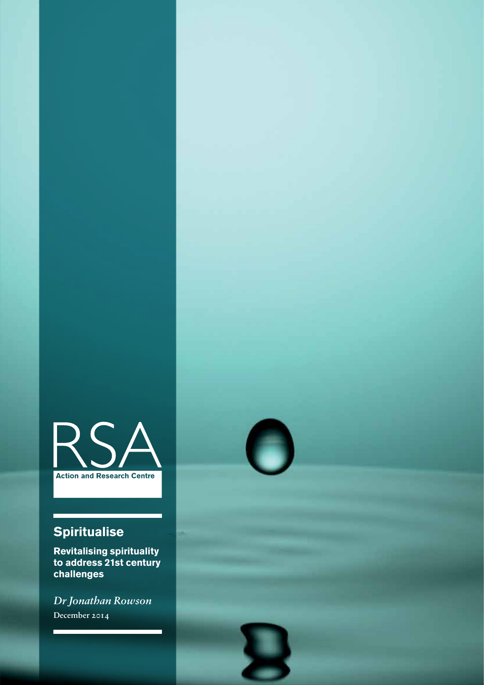

## **Spiritualise**

**Revitalising spirituality to address 21st century challenges**

*Dr Jonathan Rowson* December 2014

п



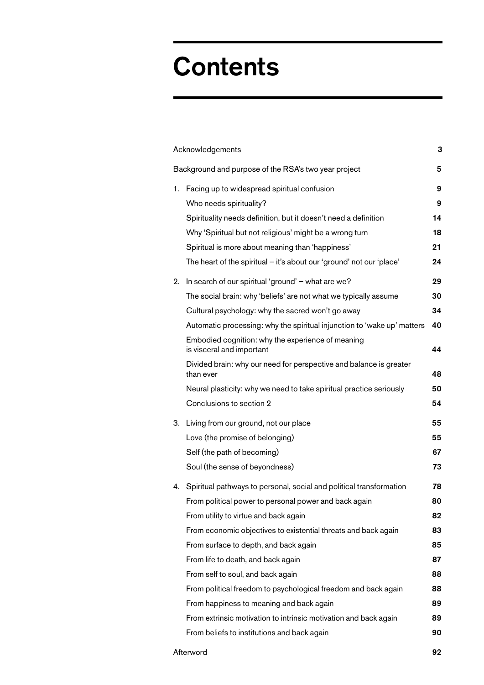# **Contents**

| Acknowledgements                                     |                                                                                 |    |
|------------------------------------------------------|---------------------------------------------------------------------------------|----|
| Background and purpose of the RSA's two year project |                                                                                 |    |
|                                                      | 1. Facing up to widespread spiritual confusion                                  | 9  |
|                                                      | Who needs spirituality?                                                         | 9  |
|                                                      | Spirituality needs definition, but it doesn't need a definition                 | 14 |
|                                                      | Why 'Spiritual but not religious' might be a wrong turn                         | 18 |
|                                                      | Spiritual is more about meaning than 'happiness'                                | 21 |
|                                                      | The heart of the spiritual – it's about our 'ground' not our 'place'            | 24 |
| 2.                                                   | In search of our spiritual 'ground' - what are we?                              | 29 |
|                                                      | The social brain: why 'beliefs' are not what we typically assume                | 30 |
|                                                      | Cultural psychology: why the sacred won't go away                               | 34 |
|                                                      | Automatic processing: why the spiritual injunction to 'wake up' matters         | 40 |
|                                                      | Embodied cognition: why the experience of meaning<br>is visceral and important  | 44 |
|                                                      | Divided brain: why our need for perspective and balance is greater<br>than ever | 48 |
|                                                      | Neural plasticity: why we need to take spiritual practice seriously             | 50 |
|                                                      | Conclusions to section 2                                                        | 54 |
|                                                      | 3. Living from our ground, not our place                                        | 55 |
|                                                      | Love (the promise of belonging)                                                 | 55 |
|                                                      | Self (the path of becoming)                                                     | 67 |
|                                                      | Soul (the sense of beyondness)                                                  | 73 |
|                                                      | 4. Spiritual pathways to personal, social and political transformation          | 78 |
|                                                      | From political power to personal power and back again                           | 80 |
|                                                      | From utility to virtue and back again                                           | 82 |
|                                                      | From economic objectives to existential threats and back again                  | 83 |
|                                                      | From surface to depth, and back again                                           | 85 |
|                                                      | From life to death, and back again                                              | 87 |
|                                                      | From self to soul, and back again                                               | 88 |
|                                                      | From political freedom to psychological freedom and back again                  | 88 |
|                                                      | From happiness to meaning and back again                                        | 89 |
|                                                      | From extrinsic motivation to intrinsic motivation and back again                | 89 |
|                                                      | From beliefs to institutions and back again                                     | 90 |
|                                                      |                                                                                 |    |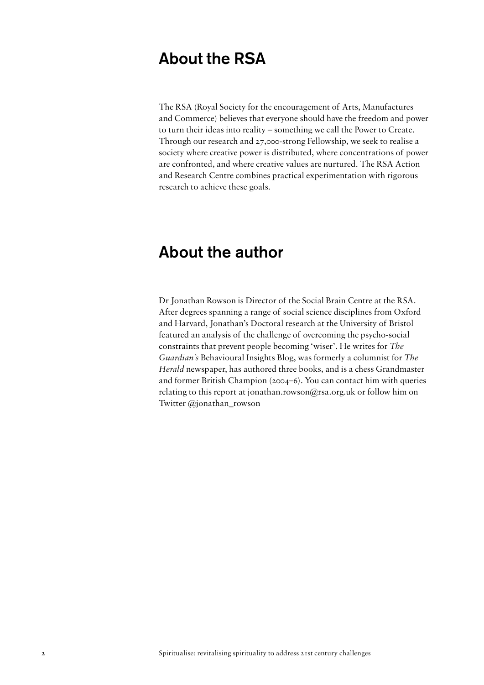### About the RSA

The RSA (Royal Society for the encouragement of Arts, Manufactures and Commerce) believes that everyone should have the freedom and power to turn their ideas into reality – something we call the Power to Create. Through our research and 27,000-strong Fellowship, we seek to realise a society where creative power is distributed, where concentrations of power are confronted, and where creative values are nurtured. The RSA Action and Research Centre combines practical experimentation with rigorous research to achieve these goals.

### About the author

Dr Jonathan Rowson is Director of the Social Brain Centre at the RSA. After degrees spanning a range of social science disciplines from Oxford and Harvard, Jonathan's Doctoral research at the University of Bristol featured an analysis of the challenge of overcoming the psycho-social constraints that prevent people becoming 'wiser'. He writes for *The Guardian's* Behavioural Insights Blog, was formerly a columnist for *The Herald* newspaper, has authored three books, and is a chess Grandmaster and former British Champion (2004–6). You can contact him with queries relating to this report at jonathan.rowson@rsa.org.uk or follow him on Twitter @jonathan\_rowson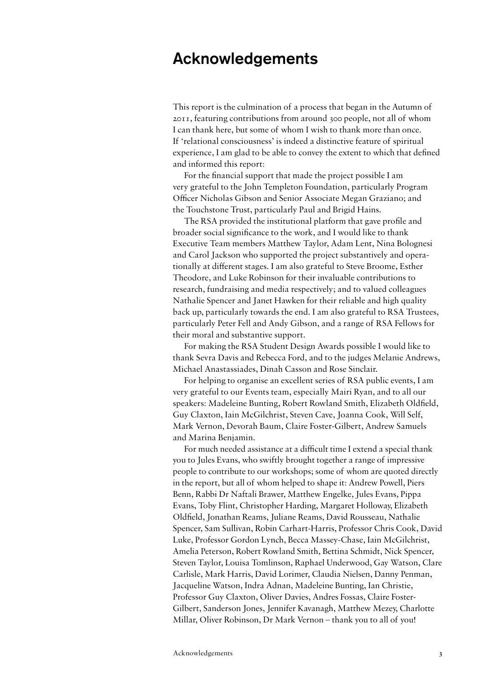### Acknowledgements

This report is the culmination of a process that began in the Autumn of 2011, featuring contributions from around 300 people, not all of whom I can thank here, but some of whom I wish to thank more than once. If 'relational consciousness' is indeed a distinctive feature of spiritual experience, I am glad to be able to convey the extent to which that defined and informed this report:

For the financial support that made the project possible I am very grateful to the John Templeton Foundation, particularly Program Officer Nicholas Gibson and Senior Associate Megan Graziano; and the Touchstone Trust, particularly Paul and Brigid Hains.

The RSA provided the institutional platform that gave profile and broader social significance to the work, and I would like to thank Executive Team members Matthew Taylor, Adam Lent, Nina Bolognesi and Carol Jackson who supported the project substantively and operationally at different stages. I am also grateful to Steve Broome, Esther Theodore, and Luke Robinson for their invaluable contributions to research, fundraising and media respectively; and to valued colleagues Nathalie Spencer and Janet Hawken for their reliable and high quality back up, particularly towards the end. I am also grateful to RSA Trustees, particularly Peter Fell and Andy Gibson, and a range of RSA Fellows for their moral and substantive support.

For making the RSA Student Design Awards possible I would like to thank Sevra Davis and Rebecca Ford, and to the judges Melanie Andrews, Michael Anastassiades, Dinah Casson and Rose Sinclair.

For helping to organise an excellent series of RSA public events, I am very grateful to our Events team, especially Mairi Ryan, and to all our speakers: Madeleine Bunting, Robert Rowland Smith, Elizabeth Oldfield, Guy Claxton, Iain McGilchrist, Steven Cave, Joanna Cook, Will Self, Mark Vernon, Devorah Baum, Claire Foster-Gilbert, Andrew Samuels and Marina Benjamin.

For much needed assistance at a difficult time I extend a special thank you to Jules Evans, who swiftly brought together a range of impressive people to contribute to our workshops; some of whom are quoted directly in the report, but all of whom helped to shape it: Andrew Powell, Piers Benn, Rabbi Dr Naftali Brawer, Matthew Engelke, Jules Evans, Pippa Evans, Toby Flint, Christopher Harding, Margaret Holloway, Elizabeth Oldfield, Jonathan Reams, Juliane Reams, David Rousseau, Nathalie Spencer, Sam Sullivan, Robin Carhart-Harris, Professor Chris Cook, David Luke, Professor Gordon Lynch, Becca Massey-Chase, Iain McGilchrist, Amelia Peterson, Robert Rowland Smith, Bettina Schmidt, Nick Spencer, Steven Taylor, Louisa Tomlinson, Raphael Underwood, Gay Watson, Clare Carlisle, Mark Harris, David Lorimer, Claudia Nielsen, Danny Penman, Jacqueline Watson, Indra Adnan, Madeleine Bunting, Ian Christie, Professor Guy Claxton, Oliver Davies, Andres Fossas, Claire Foster-Gilbert, Sanderson Jones, Jennifer Kavanagh, Matthew Mezey, Charlotte Millar, Oliver Robinson, Dr Mark Vernon – thank you to all of you!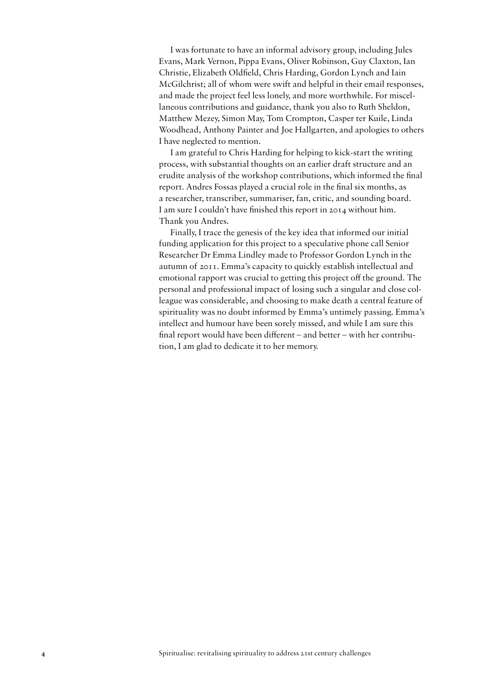I was fortunate to have an informal advisory group, including Jules Evans, Mark Vernon, Pippa Evans, Oliver Robinson, Guy Claxton, Ian Christie, Elizabeth Oldfield, Chris Harding, Gordon Lynch and Iain McGilchrist; all of whom were swift and helpful in their email responses, and made the project feel less lonely, and more worthwhile. For miscellaneous contributions and guidance, thank you also to Ruth Sheldon, Matthew Mezey, Simon May, Tom Crompton, Casper ter Kuile, Linda Woodhead, Anthony Painter and Joe Hallgarten, and apologies to others I have neglected to mention.

I am grateful to Chris Harding for helping to kick-start the writing process, with substantial thoughts on an earlier draft structure and an erudite analysis of the workshop contributions, which informed the final report. Andres Fossas played a crucial role in the final six months, as a researcher, transcriber, summariser, fan, critic, and sounding board. I am sure I couldn't have finished this report in 2014 without him. Thank you Andres.

Finally, I trace the genesis of the key idea that informed our initial funding application for this project to a speculative phone call Senior Researcher Dr Emma Lindley made to Professor Gordon Lynch in the autumn of 2011. Emma's capacity to quickly establish intellectual and emotional rapport was crucial to getting this project off the ground. The personal and professional impact of losing such a singular and close colleague was considerable, and choosing to make death a central feature of spirituality was no doubt informed by Emma's untimely passing. Emma's intellect and humour have been sorely missed, and while I am sure this final report would have been different – and better – with her contribution, I am glad to dedicate it to her memory.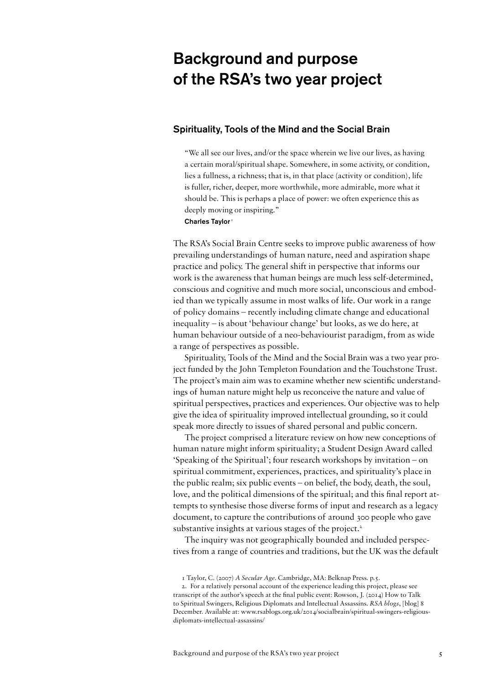## Background and purpose of the RSA's two year project

#### Spirituality, Tools of the Mind and the Social Brain

"We all see our lives, and/or the space wherein we live our lives, as having a certain moral/spiritual shape. Somewhere, in some activity, or condition, lies a fullness, a richness; that is, in that place (activity or condition), life is fuller, richer, deeper, more worthwhile, more admirable, more what it should be. This is perhaps a place of power: we often experience this as deeply moving or inspiring."

#### Charles Taylor<sup>1</sup>

The RSA's Social Brain Centre seeks to improve public awareness of how prevailing understandings of human nature, need and aspiration shape practice and policy. The general shift in perspective that informs our work is the awareness that human beings are much less self-determined, conscious and cognitive and much more social, unconscious and embodied than we typically assume in most walks of life. Our work in a range of policy domains – recently including climate change and educational inequality – is about 'behaviour change' but looks, as we do here, at human behaviour outside of a neo-behaviourist paradigm, from as wide a range of perspectives as possible.

Spirituality, Tools of the Mind and the Social Brain was a two year project funded by the John Templeton Foundation and the Touchstone Trust. The project's main aim was to examine whether new scientific understandings of human nature might help us reconceive the nature and value of spiritual perspectives, practices and experiences. Our objective was to help give the idea of spirituality improved intellectual grounding, so it could speak more directly to issues of shared personal and public concern.

The project comprised a literature review on how new conceptions of human nature might inform spirituality; a Student Design Award called 'Speaking of the Spiritual'; four research workshops by invitation – on spiritual commitment, experiences, practices, and spirituality's place in the public realm; six public events – on belief, the body, death, the soul, love, and the political dimensions of the spiritual; and this final report attempts to synthesise those diverse forms of input and research as a legacy document, to capture the contributions of around 300 people who gave substantive insights at various stages of the project.<sup>2</sup>

The inquiry was not geographically bounded and included perspectives from a range of countries and traditions, but the UK was the default

<sup>1</sup> Taylor, C. (2007) *A Secular Age.* Cambridge, MA: Belknap Press. p.5.

<sup>2.</sup> For a relatively personal account of the experience leading this project, please see transcript of the author's speech at the final public event: Rowson, J. (2014) How to Talk to Spiritual Swingers, Religious Diplomats and Intellectual Assassins. *RSA blogs*, [blog] 8 December. Available at: www.rsablogs.org.uk/2014/socialbrain/spiritual-swingers-religiousdiplomats-intellectual-assassins/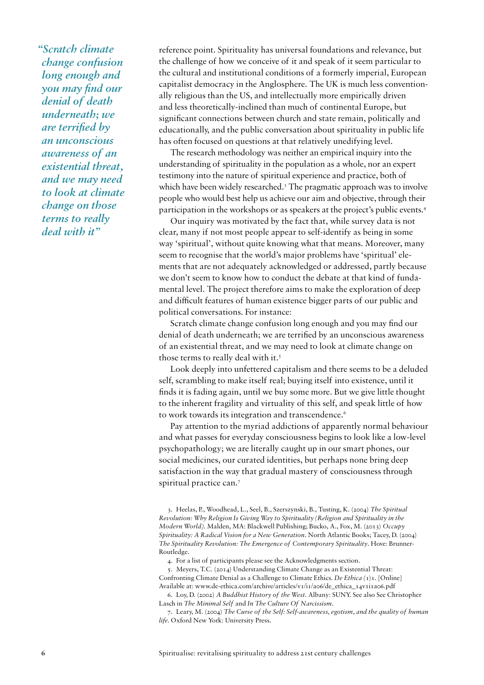*"Scratch climate change confusion long enough and you may find our denial of death underneath; we are terrified by an unconscious awareness of an existential threat, and we may need to look at climate change on those terms to really deal with it"* 

reference point. Spirituality has universal foundations and relevance, but the challenge of how we conceive of it and speak of it seem particular to the cultural and institutional conditions of a formerly imperial, European capitalist democracy in the Anglosphere. The UK is much less conventionally religious than the US, and intellectually more empirically driven and less theoretically-inclined than much of continental Europe, but significant connections between church and state remain, politically and educationally, and the public conversation about spirituality in public life has often focused on questions at that relatively unedifying level.

The research methodology was neither an empirical inquiry into the understanding of spirituality in the population as a whole, nor an expert testimony into the nature of spiritual experience and practice, both of which have been widely researched.<sup>3</sup> The pragmatic approach was to involve people who would best help us achieve our aim and objective, through their participation in the workshops or as speakers at the project's public events.4

Our inquiry was motivated by the fact that, while survey data is not clear, many if not most people appear to self-identify as being in some way 'spiritual', without quite knowing what that means. Moreover, many seem to recognise that the world's major problems have 'spiritual' elements that are not adequately acknowledged or addressed, partly because we don't seem to know how to conduct the debate at that kind of fundamental level. The project therefore aims to make the exploration of deep and difficult features of human existence bigger parts of our public and political conversations. For instance:

Scratch climate change confusion long enough and you may find our denial of death underneath; we are terrified by an unconscious awareness of an existential threat, and we may need to look at climate change on those terms to really deal with it.<sup>5</sup>

Look deeply into unfettered capitalism and there seems to be a deluded self, scrambling to make itself real; buying itself into existence, until it finds it is fading again, until we buy some more. But we give little thought to the inherent fragility and virtuality of this self, and speak little of how to work towards its integration and transcendence.<sup>6</sup>

Pay attention to the myriad addictions of apparently normal behaviour and what passes for everyday consciousness begins to look like a low-level psychopathology; we are literally caught up in our smart phones, our social medicines, our curated identities, but perhaps none bring deep satisfaction in the way that gradual mastery of consciousness through spiritual practice can.7

3. Heelas, P., Woodhead, L., Seel, B., Szerszynski, B., Tusting, K. (2004) *The Spiritual Revolution: Why Religion Is Giving Way to Spirituality (Religion and Spirituality in the Modern World)*. Malden, MA: Blackwell Publishing; Bucko, A., Fox, M. (2013) *Occupy Spirituality: A Radical Vision for a New Generation*. North Atlantic Books; Tacey, D. (2004) *The Spirituality Revolution: The Emergence of Contemporary Spirituality*. Hove: Brunner-Routledge.

4. For a list of participants please see the Acknowledgments section.

5. Meyers, T.C. (2014) Understanding Climate Change as an Existential Threat: Confronting Climate Denial as a Challenge to Climate Ethics. *De Ethica (*1)1. [Online] Available at: www.de-ethica.com/archive/articles/v1/i1/a06/de\_ethica\_14v1i1a06.pdf

6. Loy, D. (2002) *A Buddhist History of the West*. Albany: SUNY. See also See Christopher Lasch in *The Minimal Self* and *In The Culture Of Narcissism*.

7. Leary, M. (2004) *The Curse of the Self: Self-awareness, egotism, and the quality of human life.* Oxford New York: University Press.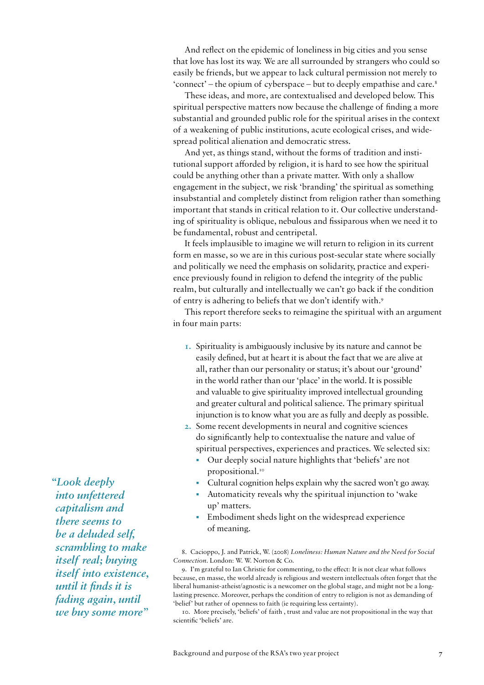And reflect on the epidemic of loneliness in big cities and you sense that love has lost its way. We are all surrounded by strangers who could so easily be friends, but we appear to lack cultural permission not merely to 'connect' – the opium of cyberspace – but to deeply empathise and care.8

These ideas, and more, are contextualised and developed below. This spiritual perspective matters now because the challenge of finding a more substantial and grounded public role for the spiritual arises in the context of a weakening of public institutions, acute ecological crises, and widespread political alienation and democratic stress.

And yet, as things stand, without the forms of tradition and institutional support afforded by religion, it is hard to see how the spiritual could be anything other than a private matter. With only a shallow engagement in the subject, we risk 'branding' the spiritual as something insubstantial and completely distinct from religion rather than something important that stands in critical relation to it. Our collective understanding of spirituality is oblique, nebulous and fissiparous when we need it to be fundamental, robust and centripetal.

It feels implausible to imagine we will return to religion in its current form en masse, so we are in this curious post-secular state where socially and politically we need the emphasis on solidarity, practice and experience previously found in religion to defend the integrity of the public realm, but culturally and intellectually we can't go back if the condition of entry is adhering to beliefs that we don't identify with.9

This report therefore seeks to reimagine the spiritual with an argument in four main parts:

- **1.** Spirituality is ambiguously inclusive by its nature and cannot be easily defined, but at heart it is about the fact that we are alive at all, rather than our personality or status; it's about our 'ground' in the world rather than our 'place' in the world. It is possible and valuable to give spirituality improved intellectual grounding and greater cultural and political salience. The primary spiritual injunction is to know what you are as fully and deeply as possible.
- **2.** Some recent developments in neural and cognitive sciences do significantly help to contextualise the nature and value of spiritual perspectives, experiences and practices. We selected six:
	- Our deeply social nature highlights that 'beliefs' are not propositional.<sup>10</sup>
	- Cultural cognition helps explain why the sacred won't go away.
	- Automaticity reveals why the spiritual injunction to 'wake up' matters.
	- Embodiment sheds light on the widespread experience of meaning.

8. Cacioppo, J. and Patrick, W. (2008) *Loneliness: Human Nature and the Need for Social Connection*. London: W. W. Norton & Co.

9. I'm grateful to Ian Christie for commenting, to the effect: It is not clear what follows because, en masse, the world already is religious and western intellectuals often forget that the liberal humanist-atheist/agnostic is a newcomer on the global stage, and might not be a longlasting presence. Moreover, perhaps the condition of entry to religion is not as demanding of 'belief' but rather of openness to faith (ie requiring less certainty).

10. More precisely, 'beliefs' of faith , trust and value are not propositional in the way that scientific 'beliefs' are.

*"Look deeply into unfettered capitalism and there seems to be a deluded self, scrambling to make itself real; buying itself into existence, until it finds it is fading again, until we buy some more"*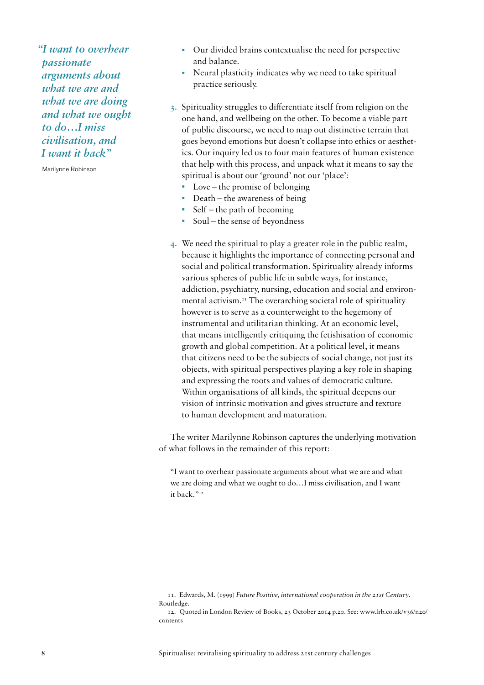*"I want to overhear passionate arguments about what we are and what we are doing and what we ought to do…I miss civilisation, and I want it back"* 

Marilynne Robinson

- Our divided brains contextualise the need for perspective and balance.
- Neural plasticity indicates why we need to take spiritual practice seriously.
- **3.** Spirituality struggles to differentiate itself from religion on the one hand, and wellbeing on the other. To become a viable part of public discourse, we need to map out distinctive terrain that goes beyond emotions but doesn't collapse into ethics or aesthetics. Our inquiry led us to four main features of human existence that help with this process, and unpack what it means to say the spiritual is about our 'ground' not our 'place':
	- Love the promise of belonging
	- Death the awareness of being
	- Self the path of becoming
	- Soul the sense of beyondness
- **4.** We need the spiritual to play a greater role in the public realm, because it highlights the importance of connecting personal and social and political transformation. Spirituality already informs various spheres of public life in subtle ways, for instance, addiction, psychiatry, nursing, education and social and environmental activism.<sup>11</sup> The overarching societal role of spirituality however is to serve as a counterweight to the hegemony of instrumental and utilitarian thinking. At an economic level, that means intelligently critiquing the fetishisation of economic growth and global competition. At a political level, it means that citizens need to be the subjects of social change, not just its objects, with spiritual perspectives playing a key role in shaping and expressing the roots and values of democratic culture. Within organisations of all kinds, the spiritual deepens our vision of intrinsic motivation and gives structure and texture to human development and maturation.

The writer Marilynne Robinson captures the underlying motivation of what follows in the remainder of this report:

"I want to overhear passionate arguments about what we are and what we are doing and what we ought to do…I miss civilisation, and I want it back."<sup>12</sup>

<sup>11.</sup> Edwards, M. (1999) *Future Positive, international cooperation in the 21st Century*. Routledge.

<sup>12.</sup> Quoted in London Review of Books, 23 October 2014 p.20. See: www.lrb.co.uk/v36/n20/ contents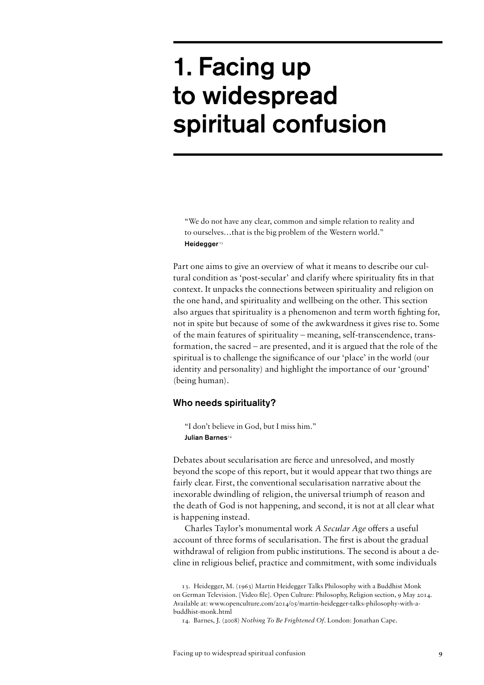# 1. Facing up to widespread spiritual confusion

"We do not have any clear, common and simple relation to reality and to ourselves…that is the big problem of the Western world." Heidegger<sup>13</sup>

Part one aims to give an overview of what it means to describe our cultural condition as 'post-secular' and clarify where spirituality fits in that context. It unpacks the connections between spirituality and religion on the one hand, and spirituality and wellbeing on the other. This section also argues that spirituality is a phenomenon and term worth fighting for, not in spite but because of some of the awkwardness it gives rise to. Some of the main features of spirituality – meaning, self-transcendence, transformation, the sacred – are presented, and it is argued that the role of the spiritual is to challenge the significance of our 'place' in the world (our identity and personality) and highlight the importance of our 'ground' (being human).

#### Who needs spirituality?

"I don't believe in God, but I miss him." Julian Barnes<sup>14</sup>

Debates about secularisation are fierce and unresolved, and mostly beyond the scope of this report, but it would appear that two things are fairly clear. First, the conventional secularisation narrative about the inexorable dwindling of religion, the universal triumph of reason and the death of God is not happening, and second, it is not at all clear what is happening instead.

Charles Taylor's monumental work *A Secular Age* offers a useful account of three forms of secularisation. The first is about the gradual withdrawal of religion from public institutions. The second is about a decline in religious belief, practice and commitment, with some individuals

<sup>13.</sup> Heidegger, M. (1963) Martin Heidegger Talks Philosophy with a Buddhist Monk on German Television. [Video file]. Open Culture: Philosophy, Religion section, 9 May 2014. Available at: www.openculture.com/2014/05/martin-heidegger-talks-philosophy-with-abuddhist-monk.html

<sup>14.</sup> Barnes, J. (2008) *Nothing To Be Frightened Of*. London: Jonathan Cape.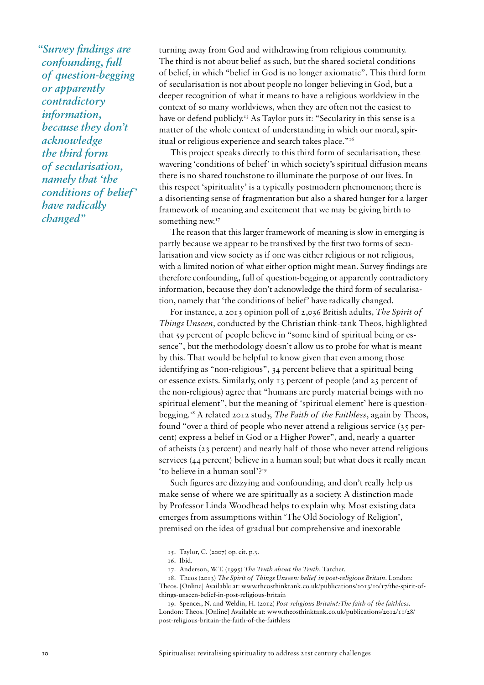*"Survey findings are confounding, full of question-begging or apparently contradictory information, because they don't acknowledge the third form of secularisation, namely that 'the conditions of belief' have radically changed"* 

turning away from God and withdrawing from religious community. The third is not about belief as such, but the shared societal conditions of belief, in which "belief in God is no longer axiomatic". This third form of secularisation is not about people no longer believing in God, but a deeper recognition of what it means to have a religious worldview in the context of so many worldviews, when they are often not the easiest to have or defend publicly.<sup>15</sup> As Taylor puts it: "Secularity in this sense is a matter of the whole context of understanding in which our moral, spiritual or religious experience and search takes place."16

This project speaks directly to this third form of secularisation, these wavering 'conditions of belief' in which society's spiritual diffusion means there is no shared touchstone to illuminate the purpose of our lives. In this respect 'spirituality' is a typically postmodern phenomenon; there is a disorienting sense of fragmentation but also a shared hunger for a larger framework of meaning and excitement that we may be giving birth to something new.<sup>17</sup>

The reason that this larger framework of meaning is slow in emerging is partly because we appear to be transfixed by the first two forms of secularisation and view society as if one was either religious or not religious, with a limited notion of what either option might mean. Survey findings are therefore confounding, full of question-begging or apparently contradictory information, because they don't acknowledge the third form of secularisation, namely that 'the conditions of belief' have radically changed.

For instance, a 2013 opinion poll of 2,036 British adults, *The Spirit of Things Unseen,* conducted by the Christian think-tank Theos, highlighted that 59 percent of people believe in "some kind of spiritual being or essence", but the methodology doesn't allow us to probe for what is meant by this. That would be helpful to know given that even among those identifying as "non-religious", 34 percent believe that a spiritual being or essence exists. Similarly, only 13 percent of people (and 25 percent of the non-religious) agree that "humans are purely material beings with no spiritual element", but the meaning of 'spiritual element' here is questionbegging.18 A related 2012 study, *The Faith of the Faithless*, again by Theos, found "over a third of people who never attend a religious service (35 percent) express a belief in God or a Higher Power", and, nearly a quarter of atheists (23 percent) and nearly half of those who never attend religious services (44 percent) believe in a human soul; but what does it really mean 'to believe in a human soul'?19

Such figures are dizzying and confounding, and don't really help us make sense of where we are spiritually as a society. A distinction made by Professor Linda Woodhead helps to explain why. Most existing data emerges from assumptions within 'The Old Sociology of Religion', premised on the idea of gradual but comprehensive and inexorable

18. Theos (2013) *The Spirit of Things Unseen: belief in post-religious Britain*. London: Theos. [Online] Available at: www.theosthinktank.co.uk/publications/2013/10/17/the-spirit-ofthings-unseen-belief-in-post-religious-britain

19. Spencer, N. and Weldin, H. (2012) *Post-religious Britain?:The faith of the faithless.*  London: Theos. [Online] Available at: www.theosthinktank.co.uk/publications/2012/11/28/ post-religious-britain-the-faith-of-the-faithless

<sup>15.</sup> Taylor, C. (2007) op. cit. p.3.

<sup>16.</sup> Ibid.

<sup>17.</sup> Anderson, W.T. (1995) *The Truth about the Truth*. Tarcher.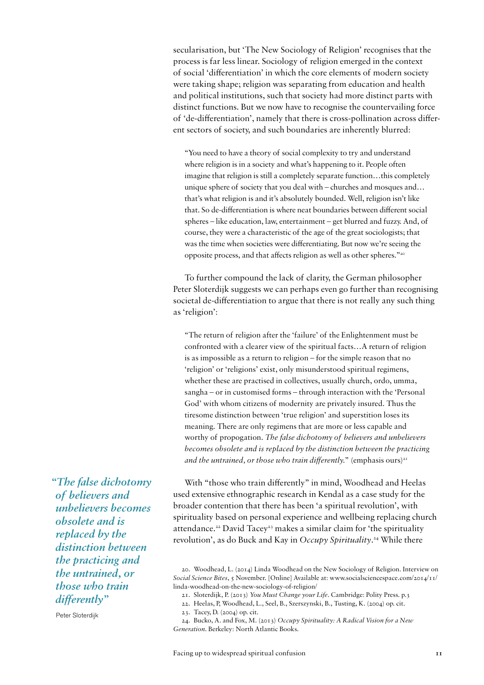secularisation, but 'The New Sociology of Religion' recognises that the process is far less linear. Sociology of religion emerged in the context of social 'differentiation' in which the core elements of modern society were taking shape; religion was separating from education and health and political institutions, such that society had more distinct parts with distinct functions. But we now have to recognise the countervailing force of 'de-differentiation', namely that there is cross-pollination across different sectors of society, and such boundaries are inherently blurred:

"You need to have a theory of social complexity to try and understand where religion is in a society and what's happening to it. People often imagine that religion is still a completely separate function…this completely unique sphere of society that you deal with – churches and mosques and… that's what religion is and it's absolutely bounded. Well, religion isn't like that. So de-differentiation is where neat boundaries between different social spheres – like education, law, entertainment – get blurred and fuzzy. And, of course, they were a characteristic of the age of the great sociologists; that was the time when societies were differentiating. But now we're seeing the opposite process, and that affects religion as well as other spheres."20

To further compound the lack of clarity, the German philosopher Peter Sloterdijk suggests we can perhaps even go further than recognising societal de-differentiation to argue that there is not really any such thing as 'religion':

"The return of religion after the 'failure' of the Enlightenment must be confronted with a clearer view of the spiritual facts…A return of religion is as impossible as a return to religion – for the simple reason that no 'religion' or 'religions' exist, only misunderstood spiritual regimens, whether these are practised in collectives, usually church, ordo, umma, sangha – or in customised forms – through interaction with the 'Personal God' with whom citizens of modernity are privately insured. Thus the tiresome distinction between 'true religion' and superstition loses its meaning. There are only regimens that are more or less capable and worthy of propogation. *The false dichotomy of believers and unbelievers becomes obsolete and is replaced by the distinction between the practicing*  and the untrained, or those who train differently." (emphasis ours)<sup>21</sup>

*"The false dichotomy of believers and unbelievers becomes obsolete and is replaced by the distinction between the practicing and the untrained, or those who train differently"* 

Peter Sloterdijk

With "those who train differently" in mind, Woodhead and Heelas used extensive ethnographic research in Kendal as a case study for the broader contention that there has been 'a spiritual revolution', with spirituality based on personal experience and wellbeing replacing church attendance.<sup>22</sup> David Tacey<sup>23</sup> makes a similar claim for 'the spirituality revolution', as do Buck and Kay in *Occupy Spirituality*. 24 While there

23. Tacey, D. (2004) op. cit.

<sup>20.</sup> Woodhead, L. (2014) Linda Woodhead on the New Sociology of Religion. Interview on *Social Science Bites*, 5 November. [Online] Available at: www.socialsciencespace.com/2014/11/ linda-woodhead-on-the-new-sociology-of-religion/

<sup>21.</sup> Sloterdijk, P. (2013) *You Must Change your Life*. Cambridge: Polity Press. p.3

<sup>22.</sup> Heelas, P, Woodhead, L., Seel, B., Szerszynski, B., Tusting, K. (2004) op. cit.

<sup>24.</sup> Bucko, A. and Fox, M. (2013) *Occupy Spirituality: A Radical Vision for a New Generation*. Berkeley: North Atlantic Books.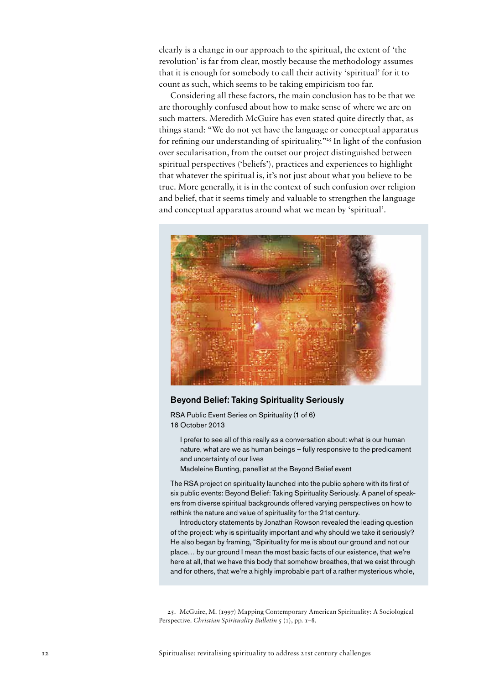clearly is a change in our approach to the spiritual, the extent of 'the revolution' is far from clear, mostly because the methodology assumes that it is enough for somebody to call their activity 'spiritual' for it to count as such, which seems to be taking empiricism too far.

Considering all these factors, the main conclusion has to be that we are thoroughly confused about how to make sense of where we are on such matters. Meredith McGuire has even stated quite directly that, as things stand: "We do not yet have the language or conceptual apparatus for refining our understanding of spirituality."<sup>25</sup> In light of the confusion over secularisation, from the outset our project distinguished between spiritual perspectives ('beliefs'), practices and experiences to highlight that whatever the spiritual is, it's not just about what you believe to be true. More generally, it is in the context of such confusion over religion and belief, that it seems timely and valuable to strengthen the language and conceptual apparatus around what we mean by 'spiritual'.



#### Beyond Belief: Taking Spirituality Seriously

- I prefer to see all of this really as a conversation about: what is our human nature, what are we as human beings – fully responsive to the predicament and uncertainty of our lives
- Madeleine Bunting, panellist at the Beyond Belief event

The RSA project on spirituality launched into the public sphere with its first of six public events: Beyond Belief: Taking Spirituality Seriously. A panel of speakers from diverse spiritual backgrounds offered varying perspectives on how to rethink the nature and value of spirituality for the 21st century.

Introductory statements by Jonathan Rowson revealed the leading question of the project: why is spirituality important and why should we take it seriously? He also began by framing, "Spirituality for me is about our ground and not our place… by our ground I mean the most basic facts of our existence, that we're here at all, that we have this body that somehow breathes, that we exist through and for others, that we're a highly improbable part of a rather mysterious whole,

25. McGuire, M. (1997) Mapping Contemporary American Spirituality: A Sociological Perspective. *Christian Spirituality Bulletin* 5 (1), pp. 1–8.

RSA Public Event Series on Spirituality (1 of 6) 16 October 2013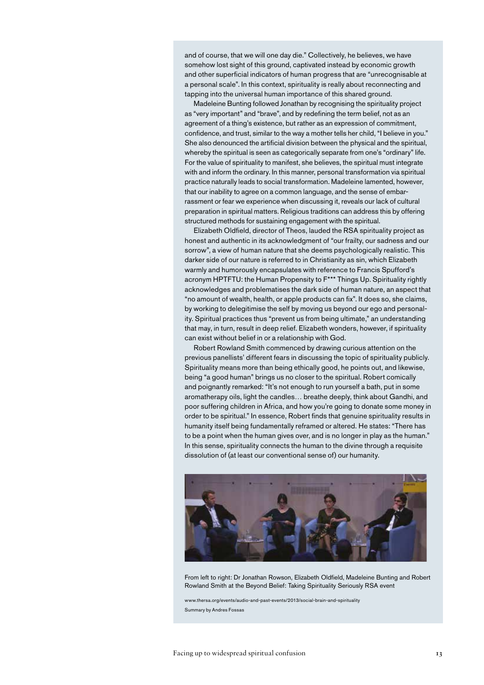and of course, that we will one day die." Collectively, he believes, we have somehow lost sight of this ground, captivated instead by economic growth and other superficial indicators of human progress that are "unrecognisable at a personal scale". In this context, spirituality is really about reconnecting and tapping into the universal human importance of this shared ground.

Madeleine Bunting followed Jonathan by recognising the spirituality project as "very important" and "brave", and by redefining the term belief, not as an agreement of a thing's existence, but rather as an expression of commitment, confidence, and trust, similar to the way a mother tells her child, "I believe in you." She also denounced the artificial division between the physical and the spiritual, whereby the spiritual is seen as categorically separate from one's "ordinary" life. For the value of spirituality to manifest, she believes, the spiritual must integrate with and inform the ordinary. In this manner, personal transformation via spiritual practice naturally leads to social transformation. Madeleine lamented, however, that our inability to agree on a common language, and the sense of embarrassment or fear we experience when discussing it, reveals our lack of cultural preparation in spiritual matters. Religious traditions can address this by offering structured methods for sustaining engagement with the spiritual.

Elizabeth Oldfield, director of Theos, lauded the RSA spirituality project as honest and authentic in its acknowledgment of "our frailty, our sadness and our sorrow", a view of human nature that she deems psychologically realistic. This darker side of our nature is referred to in Christianity as sin, which Elizabeth warmly and humorously encapsulates with reference to Francis Spufford's acronym HPTFTU: the Human Propensity to F\*\*\* Things Up. Spirituality rightly acknowledges and problematises the dark side of human nature, an aspect that "no amount of wealth, health, or apple products can fix". It does so, she claims, by working to delegitimise the self by moving us beyond our ego and personality. Spiritual practices thus "prevent us from being ultimate," an understanding that may, in turn, result in deep relief. Elizabeth wonders, however, if spirituality can exist without belief in or a relationship with God.

Robert Rowland Smith commenced by drawing curious attention on the previous panellists' different fears in discussing the topic of spirituality publicly. Spirituality means more than being ethically good, he points out, and likewise, being "a good human" brings us no closer to the spiritual. Robert comically and poignantly remarked: "It's not enough to run yourself a bath, put in some aromatherapy oils, light the candles… breathe deeply, think about Gandhi, and poor suffering children in Africa, and how you're going to donate some money in order to be spiritual." In essence, Robert finds that genuine spirituality results in humanity itself being fundamentally reframed or altered. He states: "There has to be a point when the human gives over, and is no longer in play as the human." In this sense, spirituality connects the human to the divine through a requisite dissolution of (at least our conventional sense of) our humanity.



From left to right: Dr Jonathan Rowson, Elizabeth Oldfield, Madeleine Bunting and Robert Rowland Smith at the Beyond Belief: Taking Spirituality Seriously RSA event

www.thersa.org/events/audio-and-past-events/2013/social-brain-and-spirituality Summary by Andres Fossas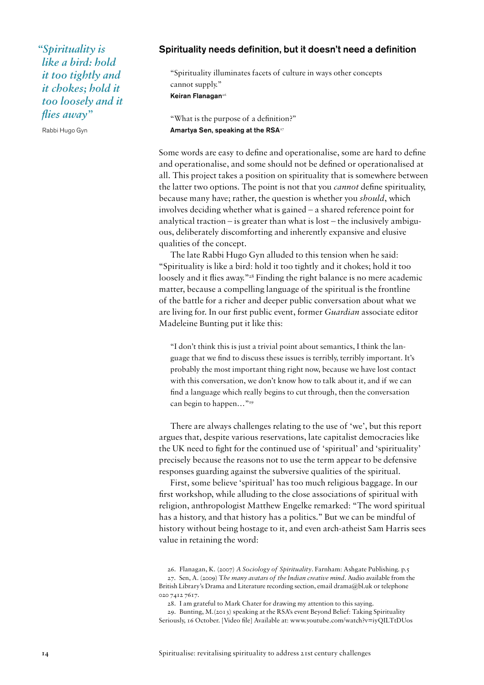*"Spirituality is like a bird: hold it too tightly and it chokes; hold it too loosely and it flies away"* 

Rabbi Hugo Gyn

#### Spirituality needs definition, but it doesn't need a definition

"Spirituality illuminates facets of culture in ways other concepts cannot supply." Keiran Flanagan<sup>26</sup>

"What is the purpose of a definition?" Amartya Sen, speaking at the RSA<sup>27</sup>

Some words are easy to define and operationalise, some are hard to define and operationalise, and some should not be defined or operationalised at all. This project takes a position on spirituality that is somewhere between the latter two options. The point is not that you *cannot* define spirituality, because many have; rather, the question is whether you *should*, which involves deciding whether what is gained – a shared reference point for analytical traction – is greater than what is lost – the inclusively ambiguous, deliberately discomforting and inherently expansive and elusive qualities of the concept.

The late Rabbi Hugo Gyn alluded to this tension when he said: "Spirituality is like a bird: hold it too tightly and it chokes; hold it too loosely and it flies away."<sup>28</sup> Finding the right balance is no mere academic matter, because a compelling language of the spiritual is the frontline of the battle for a richer and deeper public conversation about what we are living for. In our first public event, former *Guardian* associate editor Madeleine Bunting put it like this:

"I don't think this is just a trivial point about semantics, I think the language that we find to discuss these issues is terribly, terribly important. It's probably the most important thing right now, because we have lost contact with this conversation, we don't know how to talk about it, and if we can find a language which really begins to cut through, then the conversation can begin to happen..."<sup>29</sup>

There are always challenges relating to the use of 'we', but this report argues that, despite various reservations, late capitalist democracies like the UK need to fight for the continued use of 'spiritual' and 'spirituality' precisely because the reasons not to use the term appear to be defensive responses guarding against the subversive qualities of the spiritual.

First, some believe 'spiritual' has too much religious baggage. In our first workshop, while alluding to the close associations of spiritual with religion, anthropologist Matthew Engelke remarked: "The word spiritual has a history, and that history has a politics." But we can be mindful of history without being hostage to it, and even arch-atheist Sam Harris sees value in retaining the word:

26. Flanagan, K. (2007) *A Sociology of Spirituality*. Farnham: Ashgate Publishing. p.5

27. Sen, A. (2009) T*he many avatars of the Indian creative mind.* Audio available from the British Library's Drama and Literature recording section, email drama@bl.uk or telephone 020 7412 7617.

28. I am grateful to Mark Chater for drawing my attention to this saying.

29. Bunting, M.(2013) speaking at the RSA's event Beyond Belief: Taking Spirituality Seriously, 16 October. [Video file] Available at: www.youtube.com/watch?v=iyQILTtDUos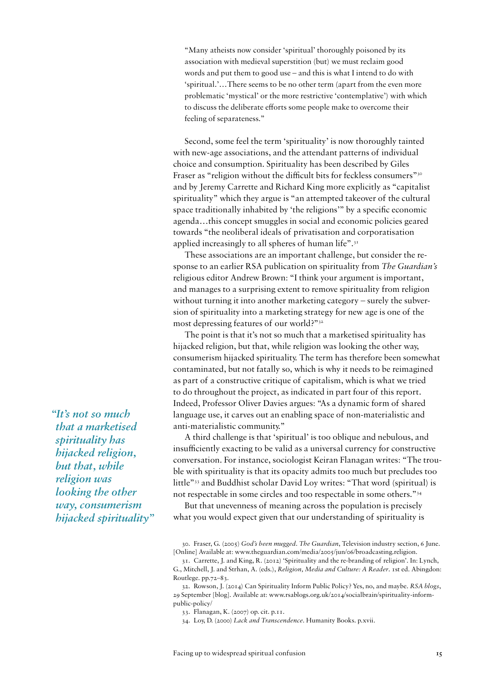"Many atheists now consider 'spiritual' thoroughly poisoned by its association with medieval superstition (but) we must reclaim good words and put them to good use – and this is what I intend to do with 'spiritual.'…There seems to be no other term (apart from the even more problematic 'mystical' or the more restrictive 'contemplative') with which to discuss the deliberate efforts some people make to overcome their feeling of separateness."

Second, some feel the term 'spirituality' is now thoroughly tainted with new-age associations, and the attendant patterns of individual choice and consumption. Spirituality has been described by Giles Fraser as "religion without the difficult bits for feckless consumers"<sup>30</sup> and by Jeremy Carrette and Richard King more explicitly as "capitalist spirituality" which they argue is "an attempted takeover of the cultural space traditionally inhabited by 'the religions'" by a specific economic agenda…this concept smuggles in social and economic policies geared towards "the neoliberal ideals of privatisation and corporatisation applied increasingly to all spheres of human life".<sup>31</sup>

These associations are an important challenge, but consider the response to an earlier RSA publication on spirituality from *The Guardian's* religious editor Andrew Brown: "I think your argument is important, and manages to a surprising extent to remove spirituality from religion without turning it into another marketing category – surely the subversion of spirituality into a marketing strategy for new age is one of the most depressing features of our world?"32

The point is that it's not so much that a marketised spirituality has hijacked religion, but that, while religion was looking the other way, consumerism hijacked spirituality. The term has therefore been somewhat contaminated, but not fatally so, which is why it needs to be reimagined as part of a constructive critique of capitalism, which is what we tried to do throughout the project, as indicated in part four of this report. Indeed, Professor Oliver Davies argues: "As a dynamic form of shared language use, it carves out an enabling space of non-materialistic and anti-materialistic community."

A third challenge is that 'spiritual' is too oblique and nebulous, and insufficiently exacting to be valid as a universal currency for constructive conversation. For instance, sociologist Keiran Flanagan writes: "The trouble with spirituality is that its opacity admits too much but precludes too little"33 and Buddhist scholar David Loy writes: "That word (spiritual) is not respectable in some circles and too respectable in some others."34

But that unevenness of meaning across the population is precisely what you would expect given that our understanding of spirituality is

30. Fraser, G. (2005) *God's been mugged*. *The Guardian*, Television industry section, 6 June. [Online] Available at: www.theguardian.com/media/2005/jun/06/broadcasting.religion.

32. Rowson, J. (2014) Can Spirituality Inform Public Policy? Yes, no, and maybe. *RSA blogs*, 29 September [blog]. Available at: www.rsablogs.org.uk/2014/socialbrain/spirituality-informpublic-policy/

33. Flanagan, K. (2007) op. cit. p.11.

34. Loy, D. (2000) *Lack and Transcendence*. Humanity Books. p.xvii.

*"It's not so much that a marketised spirituality has hijacked religion, but that, while religion was looking the other way, consumerism hijacked spirituality"* 

<sup>31.</sup> Carrette, J. and King, R. (2012) 'Spirituality and the re-branding of religion'. In: Lynch, G., Mitchell, J. and Strhan, A. (eds.), *Religion, Media and Culture: A Reader*. 1st ed. Abingdon: Routlege. pp.72–83.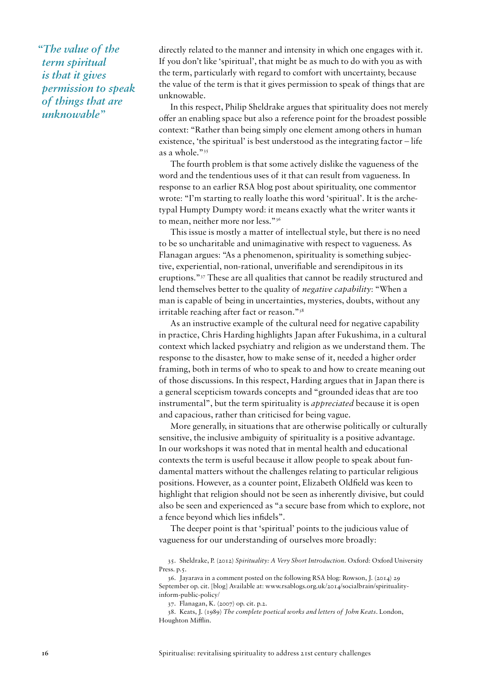*"The value of the term spiritual is that it gives permission to speak of things that are unknowable"* 

directly related to the manner and intensity in which one engages with it. If you don't like 'spiritual', that might be as much to do with you as with the term, particularly with regard to comfort with uncertainty, because the value of the term is that it gives permission to speak of things that are unknowable.

In this respect, Philip Sheldrake argues that spirituality does not merely offer an enabling space but also a reference point for the broadest possible context: "Rather than being simply one element among others in human existence, 'the spiritual' is best understood as the integrating factor – life as a whole."35

The fourth problem is that some actively dislike the vagueness of the word and the tendentious uses of it that can result from vagueness. In response to an earlier RSA blog post about spirituality, one commentor wrote: "I'm starting to really loathe this word 'spiritual'. It is the archetypal Humpty Dumpty word: it means exactly what the writer wants it to mean, neither more nor less."36

This issue is mostly a matter of intellectual style, but there is no need to be so uncharitable and unimaginative with respect to vagueness. As Flanagan argues: "As a phenomenon, spirituality is something subjective, experiential, non-rational, unverifiable and serendipitous in its eruptions."37 These are all qualities that cannot be readily structured and lend themselves better to the quality of *negative capability*: "When a man is capable of being in uncertainties, mysteries, doubts, without any irritable reaching after fact or reason."38

As an instructive example of the cultural need for negative capability in practice, Chris Harding highlights Japan after Fukushima, in a cultural context which lacked psychiatry and religion as we understand them. The response to the disaster, how to make sense of it, needed a higher order framing, both in terms of who to speak to and how to create meaning out of those discussions. In this respect, Harding argues that in Japan there is a general scepticism towards concepts and "grounded ideas that are too instrumental", but the term spirituality is *appreciated* because it is open and capacious, rather than criticised for being vague.

More generally, in situations that are otherwise politically or culturally sensitive, the inclusive ambiguity of spirituality is a positive advantage. In our workshops it was noted that in mental health and educational contexts the term is useful because it allow people to speak about fundamental matters without the challenges relating to particular religious positions. However, as a counter point, Elizabeth Oldfield was keen to highlight that religion should not be seen as inherently divisive, but could also be seen and experienced as "a secure base from which to explore, not a fence beyond which lies infidels".

The deeper point is that 'spiritual' points to the judicious value of vagueness for our understanding of ourselves more broadly:

35. Sheldrake, P. (2012) *Spirituality: A Very Short Introduction*. Oxford: Oxford University Press. p.5.

<sup>36.</sup> Jayarava in a comment posted on the following RSA blog: Rowson, J. (2014) 29 September op. cit. [blog] Available at: www.rsablogs.org.uk/2014/socialbrain/spiritualityinform-public-policy/

<sup>37.</sup> Flanagan, K. (2007) op. cit. p.2.

<sup>38.</sup> Keats, J. (1989) *The complete poetical works and letters of John Keats*. London, Houghton Mifflin.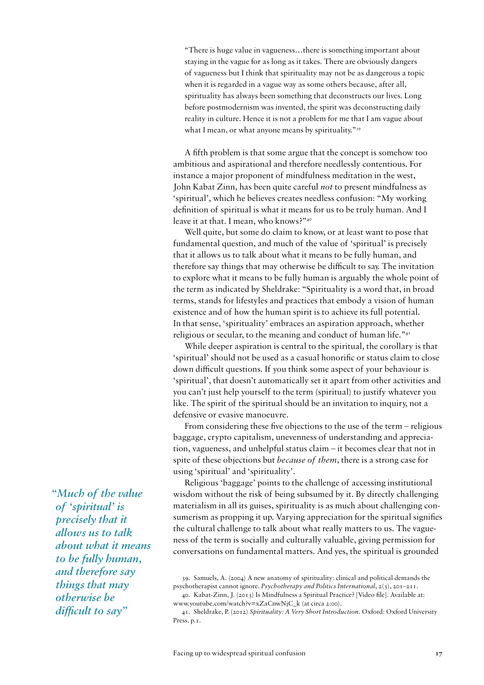"There is huge value in vagueness…there is something important about staying in the vague for as long as it takes. There are obviously dangers of vagueness but I think that spirituality may not be as dangerous a topic when it is regarded in a vague way as some others because, after all, spirituality has always been something that deconstructs our lives. Long before postmodernism was invented, the spirit was deconstructing daily reality in culture. Hence it is not a problem for me that I am vague about what I mean, or what anyone means by spirituality."<sup>39</sup>

A fifth problem is that some argue that the concept is somehow too ambitious and aspirational and therefore needlessly contentious. For instance a major proponent of mindfulness meditation in the west, John Kabat Zinn, has been quite careful *not* to present mindfulness as 'spiritual', which he believes creates needless confusion: "My working definition of spiritual is what it means for us to be truly human. And I leave it at that. I mean, who knows?"40

Well quite, but some do claim to know, or at least want to pose that fundamental question, and much of the value of 'spiritual' is precisely that it allows us to talk about what it means to be fully human, and therefore say things that may otherwise be difficult to say. The invitation to explore what it means to be fully human is arguably the whole point of the term as indicated by Sheldrake: "Spirituality is a word that, in broad terms, stands for lifestyles and practices that embody a vision of human existence and of how the human spirit is to achieve its full potential. In that sense, 'spirituality' embraces an aspiration approach, whether religious or secular, to the meaning and conduct of human life."<sup>41</sup>

While deeper aspiration is central to the spiritual, the corollary is that 'spiritual' should not be used as a casual honorific or status claim to close down difficult questions. If you think some aspect of your behaviour is 'spiritual', that doesn't automatically set it apart from other activities and you can't just help yourself to the term (spiritual) to justify whatever you like. The spirit of the spiritual should be an invitation to inquiry, not a defensive or evasive manoeuvre.

From considering these five objections to the use of the term – religious baggage, crypto capitalism, unevenness of understanding and appreciation, vagueness, and unhelpful status claim – it becomes clear that not in spite of these objections but *because of them*, there is a strong case for using 'spiritual' and 'spirituality'.

Religious 'baggage' points to the challenge of accessing institutional wisdom without the risk of being subsumed by it. By directly challenging materialism in all its guises, spirituality is as much about challenging consumerism as propping it up. Varying appreciation for the spiritual signifies the cultural challenge to talk about what really matters to us. The vagueness of the term is socially and culturally valuable, giving permission for conversations on fundamental matters. And yes, the spiritual is grounded

39. Samuels, A. (2004) A new anatomy of spirituality: clinical and political demands the psychotherapist cannot ignore. *Psychotherapy and Politics International*, 2(3), 201–211.

*"Much of the value of 'spiritual' is precisely that it allows us to talk about what it means to be fully human, and therefore say things that may otherwise be difficult to say"* 

<sup>40.</sup> Kabat-Zinn, J. (2013) Is Mindfulness a Spiritual Practice? [Video file]. Available at: www.youtube.com/watch?v=xZaCnwNjC\_k (at circa 2:00).

<sup>41.</sup> Sheldrake, P. (2012) *Spirituality: A Very Short Introduction*. Oxford: Oxford University Press. p.1.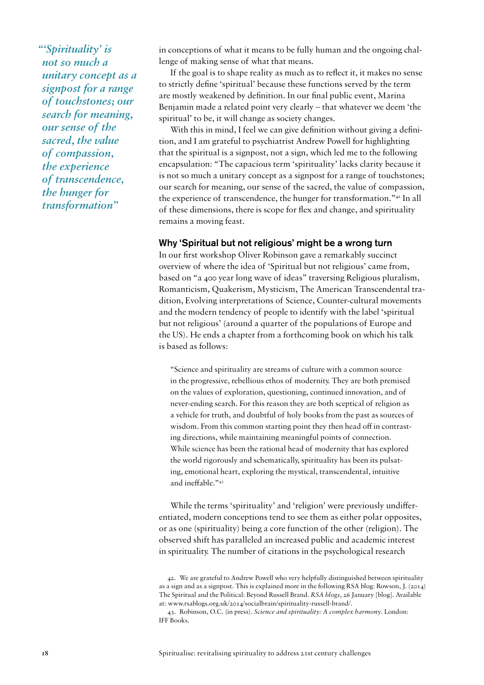*"'Spirituality' is not so much a unitary concept as a signpost for a range of touchstones; our search for meaning, our sense of the sacred, the value of compassion, the experience of transcendence, the hunger for transformation"*

in conceptions of what it means to be fully human and the ongoing challenge of making sense of what that means.

If the goal is to shape reality as much as to reflect it, it makes no sense to strictly define 'spiritual' because these functions served by the term are mostly weakened by definition. In our final public event, Marina Benjamin made a related point very clearly – that whatever we deem 'the spiritual' to be, it will change as society changes.

With this in mind, I feel we can give definition without giving a definition, and I am grateful to psychiatrist Andrew Powell for highlighting that the spiritual is a signpost, not a sign, which led me to the following encapsulation: "The capacious term 'spirituality' lacks clarity because it is not so much a unitary concept as a signpost for a range of touchstones; our search for meaning, our sense of the sacred, the value of compassion, the experience of transcendence, the hunger for transformation."42 In all of these dimensions, there is scope for flex and change, and spirituality remains a moving feast.

#### Why 'Spiritual but not religious' might be a wrong turn

In our first workshop Oliver Robinson gave a remarkably succinct overview of where the idea of 'Spiritual but not religious' came from, based on "a 400 year long wave of ideas" traversing Religious pluralism, Romanticism, Quakerism, Mysticism, The American Transcendental tradition, Evolving interpretations of Science, Counter-cultural movements and the modern tendency of people to identify with the label 'spiritual but not religious' (around a quarter of the populations of Europe and the US). He ends a chapter from a forthcoming book on which his talk is based as follows:

"Science and spirituality are streams of culture with a common source in the progressive, rebellious ethos of modernity. They are both premised on the values of exploration, questioning, continued innovation, and of never-ending search. For this reason they are both sceptical of religion as a vehicle for truth, and doubtful of holy books from the past as sources of wisdom. From this common starting point they then head off in contrasting directions, while maintaining meaningful points of connection. While science has been the rational head of modernity that has explored the world rigorously and schematically, spirituality has been its pulsating, emotional heart, exploring the mystical, transcendental, intuitive and ineffable."43

While the terms 'spirituality' and 'religion' were previously undifferentiated, modern conceptions tend to see them as either polar opposites, or as one (spirituality) being a core function of the other (religion). The observed shift has paralleled an increased public and academic interest in spirituality. The number of citations in the psychological research

<sup>42.</sup> We are grateful to Andrew Powell who very helpfully distinguished between spirituality as a sign and as a signpost. This is explained more in the following RSA blog: Rowson, J. (2014) The Spiritual and the Political: Beyond Russell Brand. *RSA blogs*, 26 January [blog]. Available at: www.rsablogs.org.uk/2014/socialbrain/spirituality-russell-brand/.

<sup>43.</sup> Robinson, O.C. (in press). *Science and spirituality: A complex harmony*. London: IFF Books.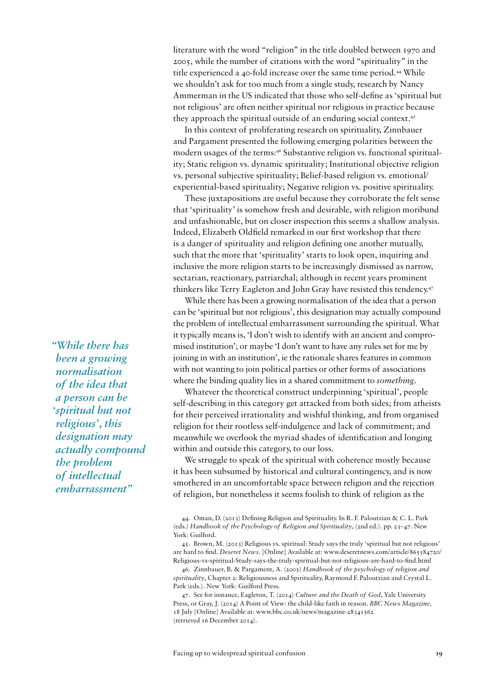literature with the word "religion" in the title doubled between 1970 and 2005, while the number of citations with the word "spirituality" in the title experienced a 40-fold increase over the same time period.44 While we shouldn't ask for too much from a single study, research by Nancy Ammerman in the US indicated that those who self-define as 'spiritual but not religious' are often neither spiritual nor religious in practice because they approach the spiritual outside of an enduring social context.45

In this context of proliferating research on spirituality, Zinnbauer and Pargament presented the following emerging polarities between the modern usages of the terms:<sup>46</sup> Substantive religion vs. functional spirituality; Static religion vs. dynamic spirituality; Institutional objective religion vs. personal subjective spirituality; Belief-based religion vs. emotional/ experiential-based spirituality; Negative religion vs. positive spirituality.

These juxtapositions are useful because they corroborate the felt sense that 'spirituality' is somehow fresh and desirable, with religion moribund and unfashionable, but on closer inspection this seems a shallow analysis. Indeed, Elizabeth Oldfield remarked in our first workshop that there is a danger of spirituality and religion defining one another mutually, such that the more that 'spirituality' starts to look open, inquiring and inclusive the more religion starts to be increasingly dismissed as narrow, sectarian, reactionary, patriarchal; although in recent years prominent thinkers like Terry Eagleton and John Gray have resisted this tendency.<sup>47</sup>

While there has been a growing normalisation of the idea that a person can be 'spiritual but not religious', this designation may actually compound the problem of intellectual embarrassment surrounding the spiritual. What it typically means is, 'I don't wish to identify with an ancient and compromised institution'; or maybe 'I don't want to have any rules set for me by joining in with an institution', ie the rationale shares features in common with not wanting to join political parties or other forms of associations where the binding quality lies in a shared commitment to *something*.

Whatever the theoretical construct underpinning 'spiritual', people self-describing in this category get attacked from both sides; from atheists for their perceived irrationality and wishful thinking, and from organised religion for their rootless self-indulgence and lack of commitment; and meanwhile we overlook the myriad shades of identification and longing within and outside this category, to our loss.

We struggle to speak of the spiritual with coherence mostly because it has been subsumed by historical and cultural contingency, and is now smothered in an uncomfortable space between religion and the rejection of religion, but nonetheless it seems foolish to think of religion as the

45. Brown, M. (2013) Religious vs. spiritual: Study says the truly 'spiritual but not religious' are hard to find. *Deseret News*. [Online] Available at: www.deseretnews.com/article/865584720/ Religious-vs-spiritual-Study-says-the-truly-spiritual-but-not-religious-are-hard-to-find.html

46. Zinnbauer, B. & Pargament, A. (2005) *Handbook of the psychology of religion and spirituality*, Chapter 2: Religiousness and Spirituality, Raymond F. Paloutzian and Crystal L. Park (eds.). New York: Guilford Press.

47. See for instance, Eagleton, T. (2014) *Culture and the Death of God*, Yale University Press, or Gray, J. (2014) A Point of View: the child-like faith in reason. *BBC News Magazine,*  18 July [Online] Available at: www.bbc.co.uk/news/magazine-28341562 (retrieved 16 December 2014).

*"While there has been a growing normalisation of the idea that a person can be 'spiritual but not religious', this designation may actually compound the problem of intellectual embarrassment"*

<sup>44.</sup> Oman, D. (2013) Defining Religion and Spirituality. In R. F. Paloutzian & C. L. Park (eds.) *Handbook of the Psychology of Religion and Spirituality*, (2nd ed.). pp. 23–47. New York: Guilford.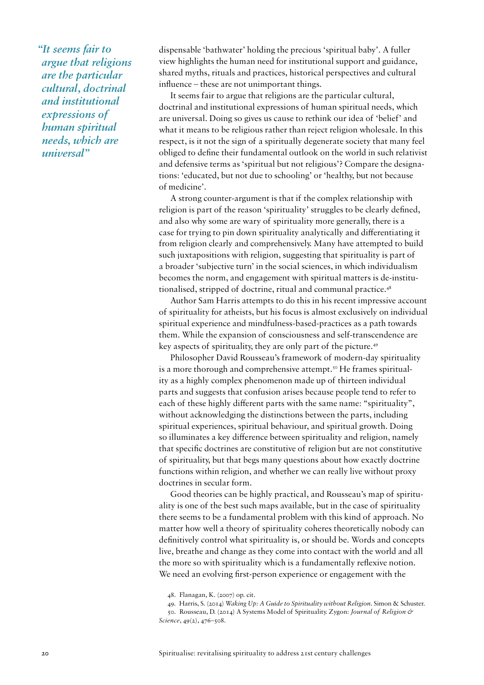*"It seems fair to argue that religions are the particular cultural, doctrinal and institutional expressions of human spiritual needs, which are universal"* 

dispensable 'bathwater' holding the precious 'spiritual baby'. A fuller view highlights the human need for institutional support and guidance, shared myths, rituals and practices, historical perspectives and cultural influence – these are not unimportant things.

It seems fair to argue that religions are the particular cultural, doctrinal and institutional expressions of human spiritual needs, which are universal. Doing so gives us cause to rethink our idea of 'belief' and what it means to be religious rather than reject religion wholesale. In this respect, is it not the sign of a spiritually degenerate society that many feel obliged to define their fundamental outlook on the world in such relativist and defensive terms as 'spiritual but not religious'? Compare the designations: 'educated, but not due to schooling' or 'healthy, but not because of medicine'.

A strong counter-argument is that if the complex relationship with religion is part of the reason 'spirituality' struggles to be clearly defined, and also why some are wary of spirituality more generally, there is a case for trying to pin down spirituality analytically and differentiating it from religion clearly and comprehensively. Many have attempted to build such juxtapositions with religion, suggesting that spirituality is part of a broader 'subjective turn' in the social sciences, in which individualism becomes the norm, and engagement with spiritual matters is de-institutionalised, stripped of doctrine, ritual and communal practice.<sup>48</sup>

Author Sam Harris attempts to do this in his recent impressive account of spirituality for atheists, but his focus is almost exclusively on individual spiritual experience and mindfulness-based-practices as a path towards them. While the expansion of consciousness and self-transcendence are key aspects of spirituality, they are only part of the picture.49

Philosopher David Rousseau's framework of modern-day spirituality is a more thorough and comprehensive attempt.<sup>50</sup> He frames spirituality as a highly complex phenomenon made up of thirteen individual parts and suggests that confusion arises because people tend to refer to each of these highly different parts with the same name: "spirituality", without acknowledging the distinctions between the parts, including spiritual experiences, spiritual behaviour, and spiritual growth. Doing so illuminates a key difference between spirituality and religion, namely that specific doctrines are constitutive of religion but are not constitutive of spirituality, but that begs many questions about how exactly doctrine functions within religion, and whether we can really live without proxy doctrines in secular form.

Good theories can be highly practical, and Rousseau's map of spirituality is one of the best such maps available, but in the case of spirituality there seems to be a fundamental problem with this kind of approach. No matter how well a theory of spirituality coheres theoretically nobody can definitively control what spirituality is, or should be. Words and concepts live, breathe and change as they come into contact with the world and all the more so with spirituality which is a fundamentally reflexive notion. We need an evolving first-person experience or engagement with the

<sup>48.</sup> Flanagan, K. (2007) op. cit.

<sup>49.</sup> Harris, S. (2014) *Waking Up: A Guide to Spirituality without Religion*. Simon & Schuster.

<sup>50.</sup> Rousseau, D. (2014) A Systems Model of Spirituality. Zygon: *Journal of Religion & Science*, 49(2), 476–508.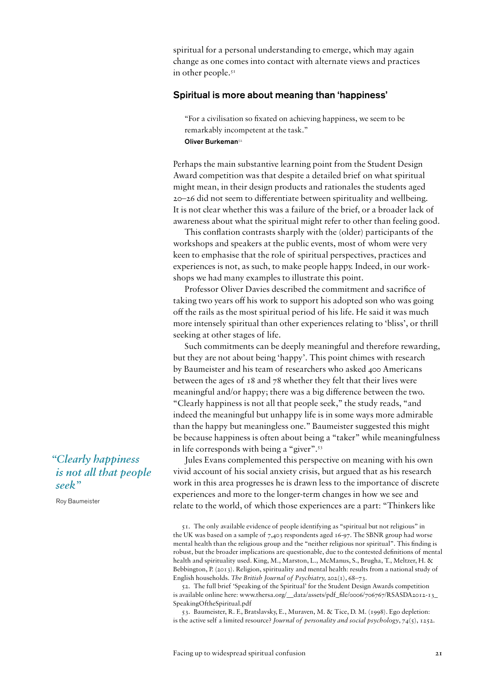spiritual for a personal understanding to emerge, which may again change as one comes into contact with alternate views and practices in other people. $5<sup>T</sup>$ 

#### Spiritual is more about meaning than 'happiness'

"For a civilisation so fixated on achieving happiness, we seem to be remarkably incompetent at the task." Oliver Burkeman<sup>52</sup>

Perhaps the main substantive learning point from the Student Design Award competition was that despite a detailed brief on what spiritual might mean, in their design products and rationales the students aged 20–26 did not seem to differentiate between spirituality and wellbeing. It is not clear whether this was a failure of the brief, or a broader lack of awareness about what the spiritual might refer to other than feeling good.

This conflation contrasts sharply with the (older) participants of the workshops and speakers at the public events, most of whom were very keen to emphasise that the role of spiritual perspectives, practices and experiences is not, as such, to make people happy. Indeed, in our workshops we had many examples to illustrate this point.

Professor Oliver Davies described the commitment and sacrifice of taking two years off his work to support his adopted son who was going off the rails as the most spiritual period of his life. He said it was much more intensely spiritual than other experiences relating to 'bliss', or thrill seeking at other stages of life.

Such commitments can be deeply meaningful and therefore rewarding, but they are not about being 'happy'. This point chimes with research by Baumeister and his team of researchers who asked 400 Americans between the ages of 18 and 78 whether they felt that their lives were meaningful and/or happy; there was a big difference between the two. "Clearly happiness is not all that people seek," the study reads, "and indeed the meaningful but unhappy life is in some ways more admirable than the happy but meaningless one." Baumeister suggested this might be because happiness is often about being a "taker" while meaningfulness in life corresponds with being a "giver".53

Jules Evans complemented this perspective on meaning with his own vivid account of his social anxiety crisis, but argued that as his research work in this area progresses he is drawn less to the importance of discrete experiences and more to the longer-term changes in how we see and relate to the world, of which those experiences are a part: "Thinkers like

52. The full brief 'Speaking of the Spiritual' for the Student Design Awards competition is available online here: www.thersa.org/\_\_data/assets/pdf\_file/0006/706767/RSASDA2012-13\_ SpeakingOftheSpiritual.pdf

53. Baumeister, R. F., Bratslavsky, E., Muraven, M. & Tice, D. M. (1998). Ego depletion: is the active self a limited resource? *Journal of personality and social psychology*, *74*(5), 1252.

*"Clearly happiness is not all that people seek"* 

Roy Baumeister

<sup>51.</sup> The only available evidence of people identifying as "spiritual but not religious" in the UK was based on a sample of 7,403 respondents aged 16-97. The SBNR group had worse mental health than the religious group and the "neither religious nor spiritual". This finding is robust, but the broader implications are questionable, due to the contested definitions of mental health and spirituality used. King, M., Marston, L., McManus, S., Brugha, T., Meltzer, H. & Bebbington, P. (2013). Religion, spirituality and mental health: results from a national study of English households. *The British Journal of Psychiatry,* 202(1), 68–73.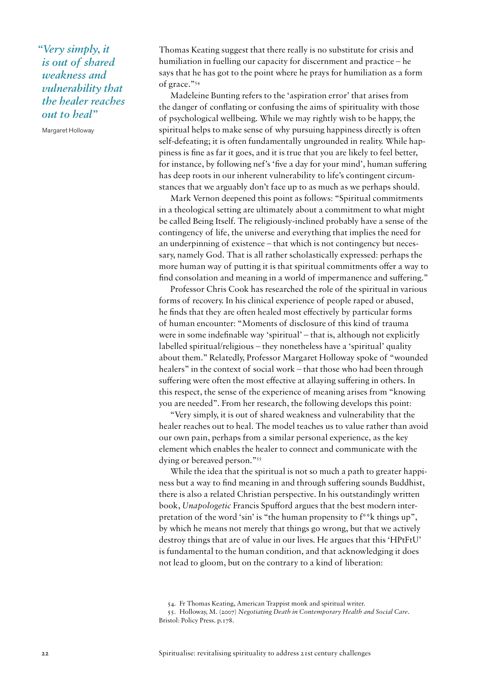*"Very simply, it is out of shared weakness and vulnerability that the healer reaches out to heal"* 

Margaret Holloway

Thomas Keating suggest that there really is no substitute for crisis and humiliation in fuelling our capacity for discernment and practice – he says that he has got to the point where he prays for humiliation as a form of grace."54

Madeleine Bunting refers to the 'aspiration error' that arises from the danger of conflating or confusing the aims of spirituality with those of psychological wellbeing. While we may rightly wish to be happy, the spiritual helps to make sense of why pursuing happiness directly is often self-defeating; it is often fundamentally ungrounded in reality. While happiness is fine as far it goes, and it is true that you are likely to feel better, for instance, by following nef's 'five a day for your mind', human suffering has deep roots in our inherent vulnerability to life's contingent circumstances that we arguably don't face up to as much as we perhaps should.

Mark Vernon deepened this point as follows: "Spiritual commitments in a theological setting are ultimately about a commitment to what might be called Being Itself. The religiously-inclined probably have a sense of the contingency of life, the universe and everything that implies the need for an underpinning of existence – that which is not contingency but necessary, namely God. That is all rather scholastically expressed: perhaps the more human way of putting it is that spiritual commitments offer a way to find consolation and meaning in a world of impermanence and suffering."

Professor Chris Cook has researched the role of the spiritual in various forms of recovery. In his clinical experience of people raped or abused, he finds that they are often healed most effectively by particular forms of human encounter: "Moments of disclosure of this kind of trauma were in some indefinable way 'spiritual' – that is, although not explicitly labelled spiritual/religious – they nonetheless have a 'spiritual' quality about them." Relatedly, Professor Margaret Holloway spoke of "wounded healers" in the context of social work – that those who had been through suffering were often the most effective at allaying suffering in others. In this respect, the sense of the experience of meaning arises from "knowing you are needed". From her research, the following develops this point:

"Very simply, it is out of shared weakness and vulnerability that the healer reaches out to heal. The model teaches us to value rather than avoid our own pain, perhaps from a similar personal experience, as the key element which enables the healer to connect and communicate with the dying or bereaved person."55

While the idea that the spiritual is not so much a path to greater happiness but a way to find meaning in and through suffering sounds Buddhist, there is also a related Christian perspective. In his outstandingly written book, *Unapologetic* Francis Spufford argues that the best modern interpretation of the word 'sin' is "the human propensity to f\*\*k things up", by which he means not merely that things go wrong, but that we actively destroy things that are of value in our lives. He argues that this 'HPtFtU' is fundamental to the human condition, and that acknowledging it does not lead to gloom, but on the contrary to a kind of liberation:

<sup>54.</sup> Fr Thomas Keating, American Trappist monk and spiritual writer.

<sup>55.</sup> Holloway, M. (2007) *Negotiating Death in Contemporary Health and Social Care*. Bristol: Policy Press. p.178.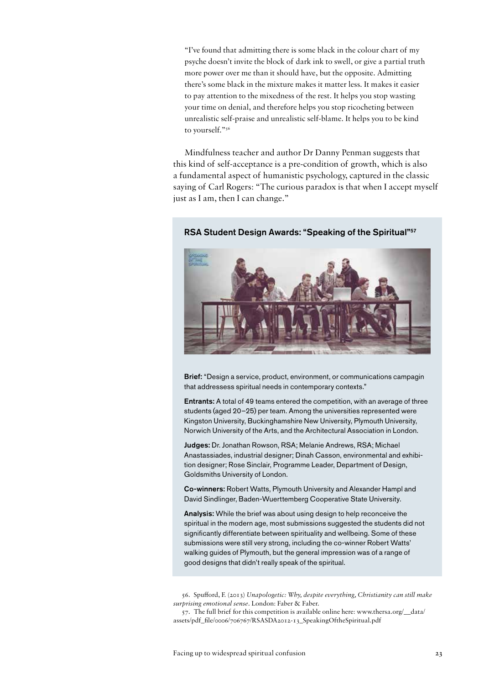"I've found that admitting there is some black in the colour chart of my psyche doesn't invite the block of dark ink to swell, or give a partial truth more power over me than it should have, but the opposite. Admitting there's some black in the mixture makes it matter less. It makes it easier to pay attention to the mixedness of the rest. It helps you stop wasting your time on denial, and therefore helps you stop ricocheting between unrealistic self-praise and unrealistic self-blame. It helps you to be kind to yourself."56

Mindfulness teacher and author Dr Danny Penman suggests that this kind of self-acceptance is a pre-condition of growth, which is also a fundamental aspect of humanistic psychology, captured in the classic saying of Carl Rogers: "The curious paradox is that when I accept myself just as I am, then I can change."



#### RSA Student Design Awards: "Speaking of the Spiritual"<sup>57</sup>

Brief: "Design a service, product, environment, or communications campagin that addressess spiritual needs in contemporary contexts."

Entrants: A total of 49 teams entered the competition, with an average of three students (aged 20–25) per team. Among the universities represented were Kingston University, Buckinghamshire New University, Plymouth University, Norwich University of the Arts, and the Architectural Association in London.

Judges: Dr. Jonathan Rowson, RSA; Melanie Andrews, RSA; Michael Anastassiades, industrial designer; Dinah Casson, environmental and exhibition designer; Rose Sinclair, Programme Leader, Department of Design, Goldsmiths University of London.

Co-winners: Robert Watts, Plymouth University and Alexander Hampl and David Sindlinger, Baden-Wuerttemberg Cooperative State University.

Analysis: While the brief was about using design to help reconceive the spiritual in the modern age, most submissions suggested the students did not significantly differentiate between spirituality and wellbeing. Some of these submissions were still very strong, including the co-winner Robert Watts' walking guides of Plymouth, but the general impression was of a range of good designs that didn't really speak of the spiritual.

56. Spufford, F. (2013) *Unapologetic: Why, despite everything, Christianity can still make surprising emotional sense*. London: Faber & Faber.

57. The full brief for this competition is available online here: www.thersa.org/\_\_data/ assets/pdf\_file/0006/706767/RSASDA2012-13\_SpeakingOftheSpiritual.pdf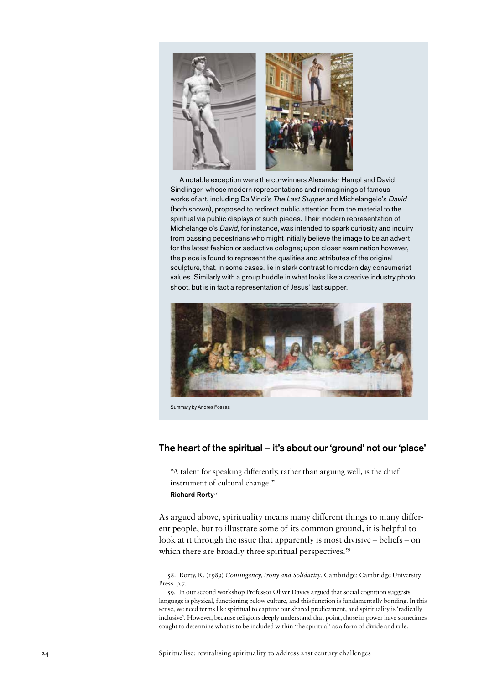

A notable exception were the co-winners Alexander Hampl and David Sindlinger, whose modern representations and reimaginings of famous works of art, including Da Vinci's *The Last Supper* and Michelangelo's *David* (both shown), proposed to redirect public attention from the material to the spiritual via public displays of such pieces. Their modern representation of Michelangelo's *David*, for instance, was intended to spark curiosity and inquiry from passing pedestrians who might initially believe the image to be an advert for the latest fashion or seductive cologne; upon closer examination however, the piece is found to represent the qualities and attributes of the original sculpture, that, in some cases, lie in stark contrast to modern day consumerist values. Similarly with a group huddle in what looks like a creative industry photo shoot, but is in fact a representation of Jesus' last supper.



Summary by Andres Fossas

#### The heart of the spiritual – it's about our 'ground' not our 'place'

"A talent for speaking differently, rather than arguing well, is the chief instrument of cultural change." Richard Rorty<sup>58</sup>

As argued above, spirituality means many different things to many different people, but to illustrate some of its common ground, it is helpful to look at it through the issue that apparently is most divisive – beliefs – on which there are broadly three spiritual perspectives.<sup>59</sup>

58. Rorty, R. (1989) *Contingency, Irony and Solidarity*. Cambridge: Cambridge University Press. p.7.

59. In our second workshop Professor Oliver Davies argued that social cognition suggests language is physical, functioning below culture, and this function is fundamentally bonding. In this sense, we need terms like spiritual to capture our shared predicament, and spirituality is 'radically inclusive'. However, because religions deeply understand that point, those in power have sometimes sought to determine what is to be included within 'the spiritual' as a form of divide and rule.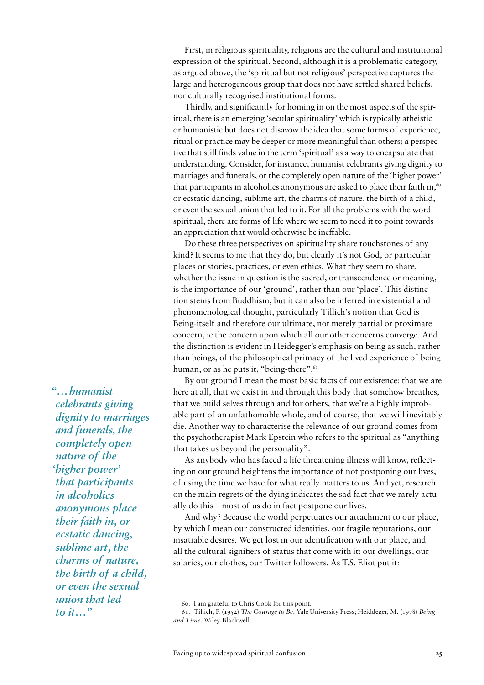First, in religious spirituality, religions are the cultural and institutional expression of the spiritual. Second, although it is a problematic category, as argued above, the 'spiritual but not religious' perspective captures the large and heterogeneous group that does not have settled shared beliefs, nor culturally recognised institutional forms.

Thirdly, and significantly for homing in on the most aspects of the spiritual, there is an emerging 'secular spirituality' which is typically atheistic or humanistic but does not disavow the idea that some forms of experience, ritual or practice may be deeper or more meaningful than others; a perspective that still finds value in the term 'spiritual' as a way to encapsulate that understanding. Consider, for instance, humanist celebrants giving dignity to marriages and funerals, or the completely open nature of the 'higher power' that participants in alcoholics anonymous are asked to place their faith in,<sup>60</sup> or ecstatic dancing, sublime art, the charms of nature, the birth of a child, or even the sexual union that led to it. For all the problems with the word spiritual, there are forms of life where we seem to need it to point towards an appreciation that would otherwise be ineffable.

Do these three perspectives on spirituality share touchstones of any kind? It seems to me that they do, but clearly it's not God, or particular places or stories, practices, or even ethics. What they seem to share, whether the issue in question is the sacred, or transcendence or meaning, is the importance of our 'ground', rather than our 'place'. This distinction stems from Buddhism, but it can also be inferred in existential and phenomenological thought, particularly Tillich's notion that God is Being-itself and therefore our ultimate, not merely partial or proximate concern, ie the concern upon which all our other concerns converge. And the distinction is evident in Heidegger's emphasis on being as such, rather than beings, of the philosophical primacy of the lived experience of being human, or as he puts it, "being-there".<sup>61</sup>

By our ground I mean the most basic facts of our existence: that we are here at all, that we exist in and through this body that somehow breathes, that we build selves through and for others, that we're a highly improbable part of an unfathomable whole, and of course, that we will inevitably die. Another way to characterise the relevance of our ground comes from the psychotherapist Mark Epstein who refers to the spiritual as "anything that takes us beyond the personality".

As anybody who has faced a life threatening illness will know, reflecting on our ground heightens the importance of not postponing our lives, of using the time we have for what really matters to us. And yet, research on the main regrets of the dying indicates the sad fact that we rarely actually do this – most of us do in fact postpone our lives.

And why? Because the world perpetuates our attachment to our place, by which I mean our constructed identities, our fragile reputations, our insatiable desires. We get lost in our identification with our place, and all the cultural signifiers of status that come with it: our dwellings, our salaries, our clothes, our Twitter followers. As T.S. Eliot put it:

*"…humanist celebrants giving dignity to marriages and funerals, the completely open nature of the 'higher power' that participants in alcoholics anonymous place their faith in, or ecstatic dancing, sublime art, the charms of nature, the birth of a child, or even the sexual union that led to it…"*

<sup>60.</sup> I am grateful to Chris Cook for this point.

<sup>61.</sup> Tillich, P. (1952) *The Courage to Be*. Yale University Press; Heiddeger, M. (1978) *Being and Time*. Wiley-Blackwell.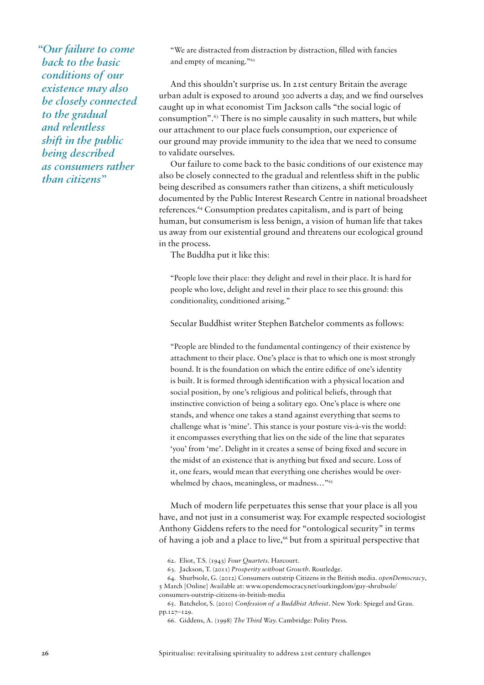*"Our failure to come back to the basic conditions of our existence may also be closely connected to the gradual and relentless shift in the public being described as consumers rather than citizens"*

"We are distracted from distraction by distraction, filled with fancies and empty of meaning."62

And this shouldn't surprise us. In 21st century Britain the average urban adult is exposed to around 300 adverts a day, and we find ourselves caught up in what economist Tim Jackson calls "the social logic of consumption".63 There is no simple causality in such matters, but while our attachment to our place fuels consumption, our experience of our ground may provide immunity to the idea that we need to consume to validate ourselves.

Our failure to come back to the basic conditions of our existence may also be closely connected to the gradual and relentless shift in the public being described as consumers rather than citizens, a shift meticulously documented by the Public Interest Research Centre in national broadsheet references.64 Consumption predates capitalism, and is part of being human, but consumerism is less benign, a vision of human life that takes us away from our existential ground and threatens our ecological ground in the process.

The Buddha put it like this:

"People love their place: they delight and revel in their place. It is hard for people who love, delight and revel in their place to see this ground: this conditionality, conditioned arising."

Secular Buddhist writer Stephen Batchelor comments as follows:

"People are blinded to the fundamental contingency of their existence by attachment to their place. One's place is that to which one is most strongly bound. It is the foundation on which the entire edifice of one's identity is built. It is formed through identification with a physical location and social position, by one's religious and political beliefs, through that instinctive conviction of being a solitary ego. One's place is where one stands, and whence one takes a stand against everything that seems to challenge what is 'mine'. This stance is your posture vis-à-vis the world: it encompasses everything that lies on the side of the line that separates 'you' from 'me'. Delight in it creates a sense of being fixed and secure in the midst of an existence that is anything but fixed and secure. Loss of it, one fears, would mean that everything one cherishes would be overwhelmed by chaos, meaningless, or madness…"65

Much of modern life perpetuates this sense that your place is all you have, and not just in a consumerist way. For example respected sociologist Anthony Giddens refers to the need for "ontological security" in terms of having a job and a place to live,<sup>66</sup> but from a spiritual perspective that

<sup>62.</sup> Eliot, T.S. (1943) *Four Quartets*. Harcourt.

<sup>63.</sup> Jackson, T. (2011) *Prosperity without Growth*. Routledge.

<sup>64.</sup> Shurbsole, G. (2012) Consumers outstrip Citizens in the British media. *openDemocracy*, 5 March [Online] Available at: www.opendemocracy.net/ourkingdom/guy-shrubsole/ consumers-outstrip-citizens-in-british-media

<sup>65.</sup> Batchelor, S. (2010) *Confession of a Buddhist Atheist.* New York: Spiegel and Grau. pp.127–129.

<sup>66.</sup> Giddens, A. (1998) *The Third Way.* Cambridge: Polity Press.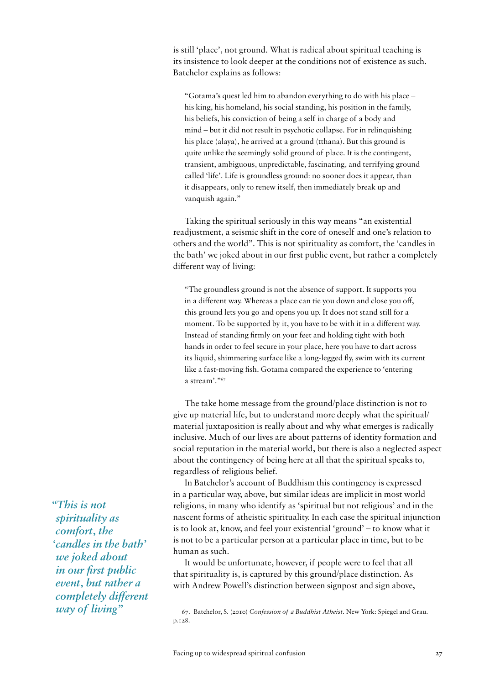is still 'place', not ground. What is radical about spiritual teaching is its insistence to look deeper at the conditions not of existence as such. Batchelor explains as follows:

"Gotama's quest led him to abandon everything to do with his place – his king, his homeland, his social standing, his position in the family, his beliefs, his conviction of being a self in charge of a body and mind – but it did not result in psychotic collapse. For in relinquishing his place (alaya), he arrived at a ground (tthana). But this ground is quite unlike the seemingly solid ground of place. It is the contingent, transient, ambiguous, unpredictable, fascinating, and terrifying ground called 'life'. Life is groundless ground: no sooner does it appear, than it disappears, only to renew itself, then immediately break up and vanquish again."

Taking the spiritual seriously in this way means "an existential readjustment, a seismic shift in the core of oneself and one's relation to others and the world". This is not spirituality as comfort, the 'candles in the bath' we joked about in our first public event, but rather a completely different way of living:

"The groundless ground is not the absence of support. It supports you in a different way. Whereas a place can tie you down and close you off, this ground lets you go and opens you up. It does not stand still for a moment. To be supported by it, you have to be with it in a different way. Instead of standing firmly on your feet and holding tight with both hands in order to feel secure in your place, here you have to dart across its liquid, shimmering surface like a long-legged fly, swim with its current like a fast-moving fish. Gotama compared the experience to 'entering a stream'."67

The take home message from the ground/place distinction is not to give up material life, but to understand more deeply what the spiritual/ material juxtaposition is really about and why what emerges is radically inclusive. Much of our lives are about patterns of identity formation and social reputation in the material world, but there is also a neglected aspect about the contingency of being here at all that the spiritual speaks to, regardless of religious belief.

In Batchelor's account of Buddhism this contingency is expressed in a particular way, above, but similar ideas are implicit in most world religions, in many who identify as 'spiritual but not religious' and in the nascent forms of atheistic spirituality. In each case the spiritual injunction is to look at, know, and feel your existential 'ground' – to know what it is not to be a particular person at a particular place in time, but to be human as such.

It would be unfortunate, however, if people were to feel that all that spirituality is, is captured by this ground/place distinction. As with Andrew Powell's distinction between signpost and sign above,

*"This is not spirituality as comfort, the 'candles in the bath' we joked about in our first public event, but rather a completely different way of living"*

<sup>67.</sup> Batchelor, S. (2010) *Confession of a Buddhist Atheist.* New York: Spiegel and Grau. p.128.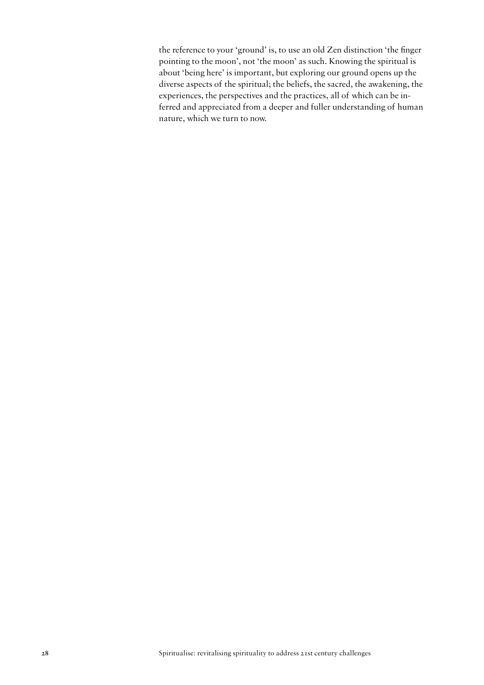the reference to your 'ground' is, to use an old Zen distinction 'the finger pointing to the moon', not 'the moon' as such. Knowing the spiritual is about 'being here' is important, but exploring our ground opens up the diverse aspects of the spiritual; the beliefs, the sacred, the awakening, the experiences, the perspectives and the practices, all of which can be inferred and appreciated from a deeper and fuller understanding of human nature, which we turn to now.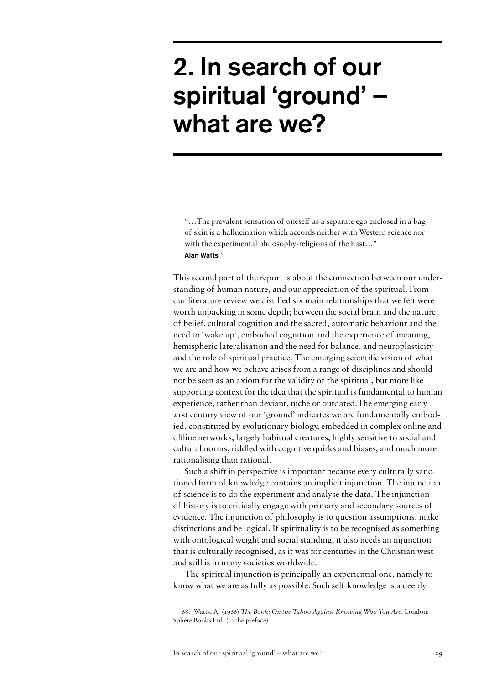## 2. In search of our spiritual 'ground' – what are we?

"…The prevalent sensation of oneself as a separate ego enclosed in a bag of skin is a hallucination which accords neither with Western science nor with the experimental philosophy-religions of the East..." Alan Watts<sup>68</sup>

This second part of the report is about the connection between our understanding of human nature, and our appreciation of the spiritual. From our literature review we distilled six main relationships that we felt were worth unpacking in some depth; between the social brain and the nature of belief, cultural cognition and the sacred, automatic behaviour and the need to 'wake up', embodied cognition and the experience of meaning, hemispheric lateralisation and the need for balance, and neuroplasticity and the role of spiritual practice. The emerging scientific vision of what we are and how we behave arises from a range of disciplines and should not be seen as an axiom for the validity of the spiritual, but more like supporting context for the idea that the spiritual is fundamental to human experience, rather than deviant, niche or outdated.The emerging early 21st century view of our 'ground' indicates we are fundamentally embodied, constituted by evolutionary biology, embedded in complex online and offline networks, largely habitual creatures, highly sensitive to social and cultural norms, riddled with cognitive quirks and biases, and much more rationalising than rational.

Such a shift in perspective is important because every culturally sanctioned form of knowledge contains an implicit injunction. The injunction of science is to do the experiment and analyse the data. The injunction of history is to critically engage with primary and secondary sources of evidence. The injunction of philosophy is to question assumptions, make distinctions and be logical. If spirituality is to be recognised as something with ontological weight and social standing, it also needs an injunction that is culturally recognised, as it was for centuries in the Christian west and still is in many societies worldwide.

The spiritual injunction is principally an experiential one, namely to know what we are as fully as possible. Such self-knowledge is a deeply

68. Watts, A. (1966) *The Book: On the Taboo Against Knowing Who You Are*. London: Sphere Books Ltd. (in the preface).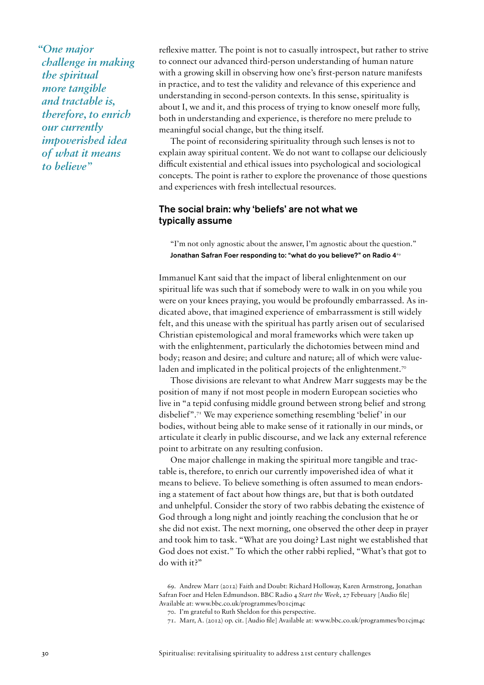*"One major challenge in making the spiritual more tangible and tractable is, therefore, to enrich our currently impoverished idea of what it means to believe"*

reflexive matter. The point is not to casually introspect, but rather to strive to connect our advanced third-person understanding of human nature with a growing skill in observing how one's first-person nature manifests in practice, and to test the validity and relevance of this experience and understanding in second-person contexts. In this sense, spirituality is about I, we and it, and this process of trying to know oneself more fully, both in understanding and experience, is therefore no mere prelude to meaningful social change, but the thing itself.

The point of reconsidering spirituality through such lenses is not to explain away spiritual content. We do not want to collapse our deliciously difficult existential and ethical issues into psychological and sociological concepts. The point is rather to explore the provenance of those questions and experiences with fresh intellectual resources.

#### The social brain: why 'beliefs' are not what we typically assume

"I'm not only agnostic about the answer, I'm agnostic about the question." Jonathan Safran Foer responding to: "what do you believe?" on Radio 469

Immanuel Kant said that the impact of liberal enlightenment on our spiritual life was such that if somebody were to walk in on you while you were on your knees praying, you would be profoundly embarrassed. As indicated above, that imagined experience of embarrassment is still widely felt, and this unease with the spiritual has partly arisen out of secularised Christian epistemological and moral frameworks which were taken up with the enlightenment, particularly the dichotomies between mind and body; reason and desire; and culture and nature; all of which were valueladen and implicated in the political projects of the enlightenment.<sup>70</sup>

Those divisions are relevant to what Andrew Marr suggests may be the position of many if not most people in modern European societies who live in "a tepid confusing middle ground between strong belief and strong disbelief".71 We may experience something resembling 'belief' in our bodies, without being able to make sense of it rationally in our minds, or articulate it clearly in public discourse, and we lack any external reference point to arbitrate on any resulting confusion.

One major challenge in making the spiritual more tangible and tractable is, therefore, to enrich our currently impoverished idea of what it means to believe. To believe something is often assumed to mean endorsing a statement of fact about how things are, but that is both outdated and unhelpful. Consider the story of two rabbis debating the existence of God through a long night and jointly reaching the conclusion that he or she did not exist. The next morning, one observed the other deep in prayer and took him to task. "What are you doing? Last night we established that God does not exist." To which the other rabbi replied, "What's that got to do with it?"

<sup>69.</sup> Andrew Marr (2012) Faith and Doubt: Richard Holloway, Karen Armstrong, Jonathan Safran Foer and Helen Edmundson. BBC Radio 4 *Start the Week*, 27 February [Audio file] Available at: www.bbc.co.uk/programmes/b01cjm4c

<sup>70.</sup> I'm grateful to Ruth Sheldon for this perspective.

<sup>71.</sup> Marr, A. (2012) op. cit. [Audio file] Available at: www.bbc.co.uk/programmes/b01cjm4c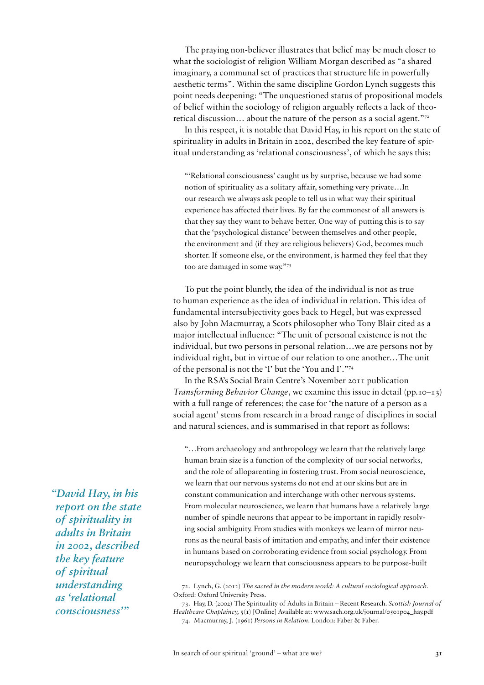The praying non-believer illustrates that belief may be much closer to what the sociologist of religion William Morgan described as "a shared imaginary, a communal set of practices that structure life in powerfully aesthetic terms". Within the same discipline Gordon Lynch suggests this point needs deepening: "The unquestioned status of propositional models of belief within the sociology of religion arguably reflects a lack of theoretical discussion… about the nature of the person as a social agent."72

In this respect, it is notable that David Hay, in his report on the state of spirituality in adults in Britain in 2002, described the key feature of spiritual understanding as 'relational consciousness', of which he says this:

"'Relational consciousness' caught us by surprise, because we had some notion of spirituality as a solitary affair, something very private…In our research we always ask people to tell us in what way their spiritual experience has affected their lives. By far the commonest of all answers is that they say they want to behave better. One way of putting this is to say that the 'psychological distance' between themselves and other people, the environment and (if they are religious believers) God, becomes much shorter. If someone else, or the environment, is harmed they feel that they too are damaged in some way."73

To put the point bluntly, the idea of the individual is not as true to human experience as the idea of individual in relation. This idea of fundamental intersubjectivity goes back to Hegel, but was expressed also by John Macmurray, a Scots philosopher who Tony Blair cited as a major intellectual influence: "The unit of personal existence is not the individual, but two persons in personal relation…we are persons not by individual right, but in virtue of our relation to one another…The unit of the personal is not the 'I' but the 'You and I'."74

In the RSA's Social Brain Centre's November 2011 publication *Transforming Behavior Change*, we examine this issue in detail (pp.10–13) with a full range of references; the case for 'the nature of a person as a social agent' stems from research in a broad range of disciplines in social and natural sciences, and is summarised in that report as follows:

"…From archaeology and anthropology we learn that the relatively large human brain size is a function of the complexity of our social networks, and the role of alloparenting in fostering trust. From social neuroscience, we learn that our nervous systems do not end at our skins but are in constant communication and interchange with other nervous systems. From molecular neuroscience, we learn that humans have a relatively large number of spindle neurons that appear to be important in rapidly resolving social ambiguity. From studies with monkeys we learn of mirror neurons as the neural basis of imitation and empathy, and infer their existence in humans based on corroborating evidence from social psychology. From neuropsychology we learn that consciousness appears to be purpose-built

72. Lynch, G. (2012) *The sacred in the modern world: A cultural sociological approach.*  Oxford: Oxford University Press.

73. Hay, D. (2002) The Spirituality of Adults in Britain *–* Recent Research. *Scottish Journal of Healthcare Chaplaincy,*  $\zeta(\tau)$  [Online] Available at: www.sach.org.uk/journal/0501p04\_hay.pdf 74. Macmurray, J. (1961) *Persons in Relation.* London: Faber & Faber.

*"David Hay, in his report on the state of spirituality in adults in Britain in 2002, described the key feature of spiritual understanding as 'relational consciousness'"*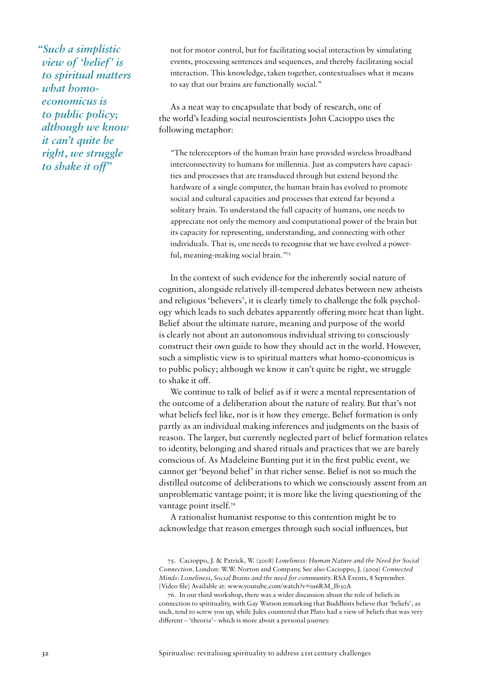*"Such a simplistic view of 'belief' is to spiritual matters what homoeconomicus is to public policy; although we know it can't quite be right, we struggle to shake it off"* 

not for motor control, but for facilitating social interaction by simulating events, processing sentences and sequences, and thereby facilitating social interaction. This knowledge, taken together, contextualises what it means to say that our brains are functionally social."

As a neat way to encapsulate that body of research, one of the world's leading social neuroscientists John Cacioppo uses the following metaphor:

*"*The telereceptors of the human brain have provided wireless broadband interconnectivity to humans for millennia. Just as computers have capacities and processes that are transduced through but extend beyond the hardware of a single computer, the human brain has evolved to promote social and cultural capacities and processes that extend far beyond a solitary brain. To understand the full capacity of humans, one needs to appreciate not only the memory and computational power of the brain but its capacity for representing, understanding, and connecting with other individuals. That is, one needs to recognise that we have evolved a powerful, meaning-making social brain.*"*<sup>75</sup>

In the context of such evidence for the inherently social nature of cognition, alongside relatively ill-tempered debates between new atheists and religious 'believers', it is clearly timely to challenge the folk psychology which leads to such debates apparently offering more heat than light. Belief about the ultimate nature, meaning and purpose of the world is clearly not about an autonomous individual striving to consciously construct their own guide to how they should act in the world. However, such a simplistic view is to spiritual matters what homo-economicus is to public policy; although we know it can't quite be right, we struggle to shake it off.

We continue to talk of belief as if it were a mental representation of the outcome of a deliberation about the nature of reality. But that's not what beliefs feel like, nor is it how they emerge. Belief formation is only partly as an individual making inferences and judgments on the basis of reason. The larger, but currently neglected part of belief formation relates to identity, belonging and shared rituals and practices that we are barely conscious of. As Madeleine Bunting put it in the first public event, we cannot get 'beyond belief' in that richer sense. Belief is not so much the distilled outcome of deliberations to which we consciously assent from an unproblematic vantage point; it is more like the living questioning of the vantage point itself.<sup>76</sup>

A rationalist humanist response to this contention might be to acknowledge that reason emerges through such social influences, but

<sup>75.</sup> Cacioppo, J. & Patrick, W. (2008) *Loneliness: Human Nature and the Need for Social Connection.* London: W.W. Norton and Company. See also Cacioppo, J. (2009) *Connected Minds: Loneliness, Social Brains and the need for community.* RSA Events, 8 September. [Video file] Available at: www.youtube.com/watch?v=iu6RM\_Ib30A

<sup>76.</sup> In our third workshop, there was a wider discussion about the role of beliefs in connection to spirituality, with Gay Watson remarking that Buddhists believe that 'beliefs', as such, tend to screw you up, while Jules countered that Plato had a view of beliefs that was very different – 'theoria'– which is more about a personal journey.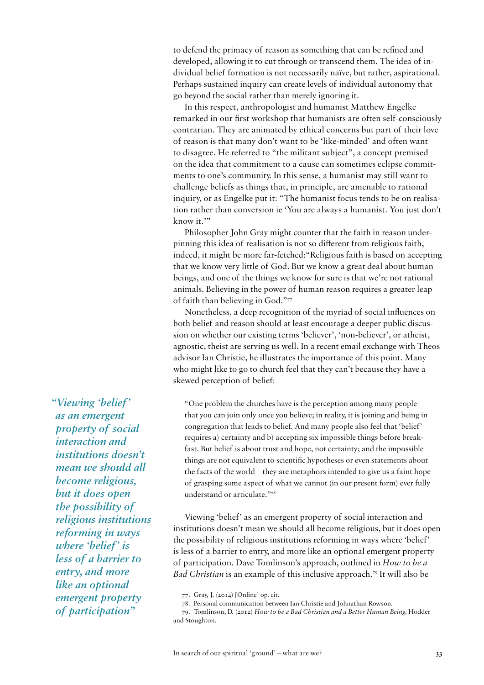to defend the primacy of reason as something that can be refined and developed, allowing it to cut through or transcend them. The idea of individual belief formation is not necessarily naïve, but rather, aspirational. Perhaps sustained inquiry can create levels of individual autonomy that go beyond the social rather than merely ignoring it.

In this respect, anthropologist and humanist Matthew Engelke remarked in our first workshop that humanists are often self-consciously contrarian. They are animated by ethical concerns but part of their love of reason is that many don't want to be 'like-minded' and often want to disagree. He referred to "the militant subject", a concept premised on the idea that commitment to a cause can sometimes eclipse commitments to one's community. In this sense, a humanist may still want to challenge beliefs as things that, in principle, are amenable to rational inquiry, or as Engelke put it: "The humanist focus tends to be on realisation rather than conversion ie 'You are always a humanist. You just don't know it."

Philosopher John Gray might counter that the faith in reason underpinning this idea of realisation is not so different from religious faith, indeed, it might be more far-fetched:"Religious faith is based on accepting that we know very little of God. But we know a great deal about human beings, and one of the things we know for sure is that we're not rational animals. Believing in the power of human reason requires a greater leap of faith than believing in God."77

Nonetheless, a deep recognition of the myriad of social influences on both belief and reason should at least encourage a deeper public discussion on whether our existing terms 'believer', 'non-believer', or atheist, agnostic, theist are serving us well. In a recent email exchange with Theos advisor Ian Christie, he illustrates the importance of this point. Many who might like to go to church feel that they can't because they have a skewed perception of belief:

"One problem the churches have is the perception among many people that you can join only once you believe; in reality, it is joining and being in congregation that leads to belief. And many people also feel that 'belief' requires a) certainty and b) accepting six impossible things before breakfast. But belief is about trust and hope, not certainty; and the impossible things are not equivalent to scientific hypotheses or even statements about the facts of the world – they are metaphors intended to give us a faint hope of grasping some aspect of what we cannot (in our present form) ever fully understand or articulate."78

Viewing 'belief' as an emergent property of social interaction and institutions doesn't mean we should all become religious, but it does open the possibility of religious institutions reforming in ways where 'belief' is less of a barrier to entry, and more like an optional emergent property of participation. Dave Tomlinson's approach, outlined in *How to be a Bad Christian* is an example of this inclusive approach.<sup>79</sup> It will also be

77. Gray, J. (2014) [Online] op. cit.

*"Viewing 'belief' as an emergent property of social interaction and institutions doesn't mean we should all become religious, but it does open the possibility of religious institutions reforming in ways where 'belief' is less of a barrier to entry, and more like an optional emergent property of participation"*

<sup>78.</sup> Personal communication between Ian Christie and Johnathan Rowson.

<sup>79.</sup> Tomlinson, D. (2012) *How to be a Bad Christian and a Better Human Being.* Hodder and Stoughton.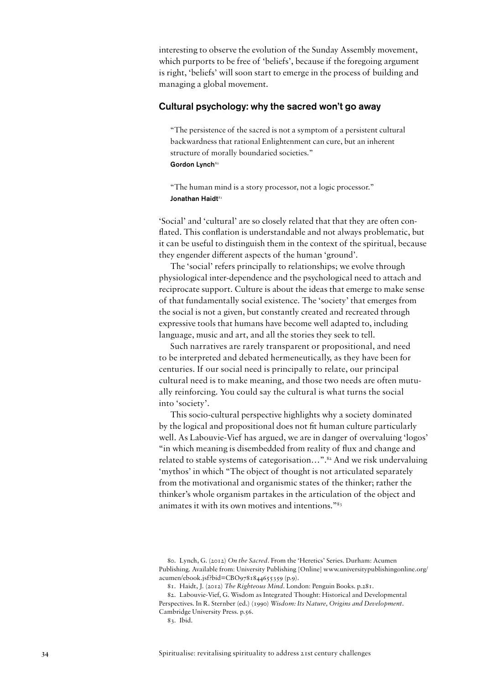interesting to observe the evolution of the Sunday Assembly movement, which purports to be free of 'beliefs', because if the foregoing argument is right, 'beliefs' will soon start to emerge in the process of building and managing a global movement.

#### Cultural psychology: why the sacred won't go away

"The persistence of the sacred is not a symptom of a persistent cultural backwardness that rational Enlightenment can cure, but an inherent structure of morally boundaried societies." Gordon Lynch<sup>80</sup>

"The human mind is a story processor, not a logic processor." Jonathan Haidt<sup>81</sup>

'Social' and 'cultural' are so closely related that that they are often conflated. This conflation is understandable and not always problematic, but it can be useful to distinguish them in the context of the spiritual, because they engender different aspects of the human 'ground'.

The 'social' refers principally to relationships; we evolve through physiological inter-dependence and the psychological need to attach and reciprocate support. Culture is about the ideas that emerge to make sense of that fundamentally social existence. The 'society' that emerges from the social is not a given, but constantly created and recreated through expressive tools that humans have become well adapted to, including language, music and art, and all the stories they seek to tell.

Such narratives are rarely transparent or propositional, and need to be interpreted and debated hermeneutically, as they have been for centuries. If our social need is principally to relate, our principal cultural need is to make meaning, and those two needs are often mutually reinforcing. You could say the cultural is what turns the social into 'society'.

This socio-cultural perspective highlights why a society dominated by the logical and propositional does not fit human culture particularly well. As Labouvie-Vief has argued, we are in danger of overvaluing 'logos' "in which meaning is disembedded from reality of flux and change and related to stable systems of categorisation...".<sup>82</sup> And we risk undervaluing 'mythos' in which "The object of thought is not articulated separately from the motivational and organismic states of the thinker; rather the thinker's whole organism partakes in the articulation of the object and animates it with its own motives and intentions."83

83. Ibid.

<sup>80.</sup> Lynch, G. (2012) *On the Sacred.* From the 'Heretics' Series. Durham: Acumen Publishing. Available from: University Publishing [Online] www.universitypublishingonline.org/ acumen/ebook.jsf?bid=CBO9781844655359 (p.9).

<sup>81.</sup> Haidt, J. (2012) *The Righteous Mind*. London: Penguin Books. p.281.

<sup>82.</sup> Labouvie-Vief, G. Wisdom as Integrated Thought: Historical and Developmental Perspectives. In R. Sternber (ed.) (1990) *Wisdom: Its Nature, Origins and Development*. Cambridge University Press. p.56.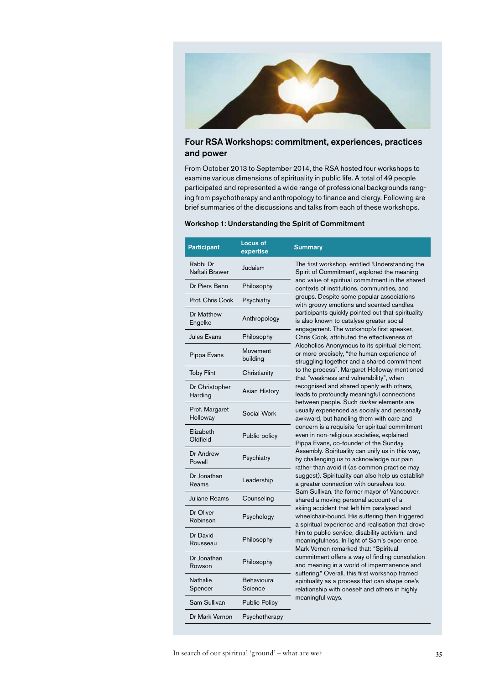

#### Four RSA Workshops: commitment, experiences, practices and power

From October 2013 to September 2014, the RSA hosted four workshops to examine various dimensions of spirituality in public life. A total of 49 people participated and represented a wide range of professional backgrounds ranging from psychotherapy and anthropology to finance and clergy. Following are brief summaries of the discussions and talks from each of these workshops.

#### Workshop 1: Understanding the Spirit of Commitment

| Participant                | Locus of<br>expertise         | <b>Summary</b>                                                 |
|----------------------------|-------------------------------|----------------------------------------------------------------|
| Rabbi Dr<br>Naftali Brawer | Judaism                       | The first v<br>Spirit of C                                     |
| Dr Piers Benn              | Philosophy                    | and value<br>contexts o                                        |
| Prof. Chris Cook           | Psychiatry                    | groups. D<br>with groo                                         |
| Dr Matthew<br>Engelke      | Anthropology                  | participan<br>is also kn<br>engagem                            |
| <b>Jules Evans</b>         | Philosophy                    | Chris Coo                                                      |
| Pippa Evans                | Movement<br>building          | Alcoholic:<br>or more p<br>struggling                          |
| <b>Toby Flint</b>          | Christianity                  | to the pro<br>that "wea                                        |
| Dr Christopher<br>Harding  | <b>Asian History</b>          | recognise<br>leads to p                                        |
| Prof. Margaret<br>Holloway | Social Work                   | between<br>usually ex<br>awkward,                              |
| Elizabeth<br>Oldfield      | Public policy                 | concern is<br>even in no<br>Pippa Eva                          |
| Dr Andrew<br>Powell        | Psychiatry                    | Assembly<br>by challer<br>rather tha                           |
| Dr Jonathan<br>Reams       | Leadership                    | suggest).<br>a greater                                         |
| Juliane Reams              | Counseling                    | Sam Sulli<br>shared a<br>skiing acc<br>wheelcha<br>a spiritual |
| Dr Oliver<br>Robinson      | Psychology                    |                                                                |
| Dr David<br>Rousseau       | Philosophy                    | him to pul<br>meaningfu<br><b>Mark Verr</b>                    |
| Dr Jonathan<br>Rowson      | Philosophy                    | commitme<br>and mean                                           |
| Nathalie<br>Spencer        | <b>Behavioural</b><br>Science | suffering."<br>spirituality<br>relationsh                      |
| Sam Sullivan               | <b>Public Policy</b>          | meaningfu                                                      |
| Dr Mark Vernon             | Psychotherapy                 |                                                                |

Naftali Brawer Judaism The first workshop, entitled 'Understanding the Spirit of Commitment', explored the meaning value of spiritual commitment in the shared texts of institutions, communities, and ps. Despite some popular associations groovy emotions and scented candles, icipants quickly pointed out that spirituality so known to catalyse greater social agement. The workshop's first speaker, s Cook, attributed the effectiveness of holics Anonymous to its spiritual element, ore precisely, "the human experience of ggling together and a shared commitment e process". Margaret Holloway mentioned "weakness and vulnerability", when gnised and shared openly with others, s to profoundly meaningful connections veen people. Such *darker* elements are ally experienced as socially and personally ward, but handling them with care and cern is a requisite for spiritual commitment in non-religious societies, explained a Evans, co-founder of the Sunday embly. Spirituality can unify us in this way, hallenging us to acknowledge our pain er than avoid it (as common practice may gest). Spirituality can also help us establish eater connection with ourselves too. Sullivan, the former mayor of Vancouver, ed a moving personal account of a g accident that left him paralysed and elchair-bound. His suffering then triggered iritual experience and realisation that drove to public service, disability activism, and ningfulness. In light of Sam's experience, Wernon remarked that: "Spiritual mitment offers a way of finding consolation meaning in a world of impermanence and ering." Overall, this first workshop framed tuality as a process that can shape one's ionship with oneself and others in highly ningful ways.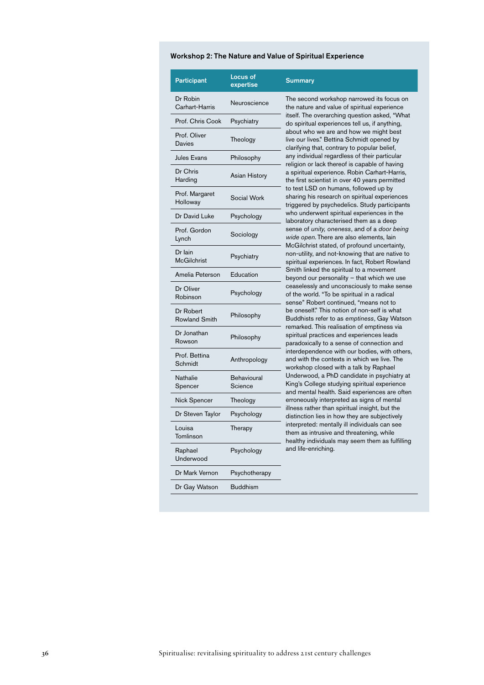## Workshop 2: The Nature and Value of Spiritual Experience

| <b>Participant</b>                | <b>Locus of</b><br>expertise | <b>Summary</b>                                                                                                                                                                                                                                                                                                                                                                                                                                                                                                                                                                                                                                                                                                                                                                                                                                                                                                                                                                                                                                                                                                                                                                                                                                                                                                                                                                                                                                                                                                                                                                                                                                                                                                                                                                                                                                                                                                                                                                                                                                                                                                              |
|-----------------------------------|------------------------------|-----------------------------------------------------------------------------------------------------------------------------------------------------------------------------------------------------------------------------------------------------------------------------------------------------------------------------------------------------------------------------------------------------------------------------------------------------------------------------------------------------------------------------------------------------------------------------------------------------------------------------------------------------------------------------------------------------------------------------------------------------------------------------------------------------------------------------------------------------------------------------------------------------------------------------------------------------------------------------------------------------------------------------------------------------------------------------------------------------------------------------------------------------------------------------------------------------------------------------------------------------------------------------------------------------------------------------------------------------------------------------------------------------------------------------------------------------------------------------------------------------------------------------------------------------------------------------------------------------------------------------------------------------------------------------------------------------------------------------------------------------------------------------------------------------------------------------------------------------------------------------------------------------------------------------------------------------------------------------------------------------------------------------------------------------------------------------------------------------------------------------|
| Dr Robin<br>Carhart-Harris        | Neuroscience                 | The second workshop narrowed its focus on<br>the nature and value of spiritual experience<br>itself. The overarching question asked, "What<br>do spiritual experiences tell us, if anything,<br>about who we are and how we might best<br>live our lives." Bettina Schmidt opened by<br>clarifying that, contrary to popular belief,<br>any individual regardless of their particular<br>religion or lack thereof is capable of having<br>a spiritual experience. Robin Carhart-Harris,<br>the first scientist in over 40 years permitted<br>to test LSD on humans, followed up by<br>sharing his research on spiritual experiences<br>triggered by psychedelics. Study participants<br>who underwent spiritual experiences in the<br>laboratory characterised them as a deep<br>sense of unity, oneness, and of a door being<br>wide open. There are also elements, lain<br>McGilchrist stated, of profound uncertainty,<br>non-utility, and not-knowing that are native to<br>spiritual experiences. In fact, Robert Rowland<br>Smith linked the spiritual to a movement<br>beyond our personality - that which we use<br>ceaselessly and unconsciously to make sense<br>of the world. "To be spiritual in a radical<br>sense" Robert continued, "means not to<br>be oneself." This notion of non-self is what<br>Buddhists refer to as emptiness, Gay Watson<br>remarked. This realisation of emptiness via<br>spiritual practices and experiences leads<br>paradoxically to a sense of connection and<br>interdependence with our bodies, with others,<br>and with the contexts in which we live. The<br>workshop closed with a talk by Raphael<br>Underwood, a PhD candidate in psychiatry at<br>King's College studying spiritual experience<br>and mental health. Said experiences are often<br>erroneously interpreted as signs of mental<br>illness rather than spiritual insight, but the<br>distinction lies in how they are subjectively<br>interpreted: mentally ill individuals can see<br>them as intrusive and threatening, while<br>healthy individuals may seem them as fulfilling<br>and life-enriching. |
| Prof. Chris Cook                  | Psychiatry                   |                                                                                                                                                                                                                                                                                                                                                                                                                                                                                                                                                                                                                                                                                                                                                                                                                                                                                                                                                                                                                                                                                                                                                                                                                                                                                                                                                                                                                                                                                                                                                                                                                                                                                                                                                                                                                                                                                                                                                                                                                                                                                                                             |
| Prof. Oliver<br><b>Davies</b>     | Theology                     |                                                                                                                                                                                                                                                                                                                                                                                                                                                                                                                                                                                                                                                                                                                                                                                                                                                                                                                                                                                                                                                                                                                                                                                                                                                                                                                                                                                                                                                                                                                                                                                                                                                                                                                                                                                                                                                                                                                                                                                                                                                                                                                             |
| <b>Jules Evans</b>                | Philosophy                   |                                                                                                                                                                                                                                                                                                                                                                                                                                                                                                                                                                                                                                                                                                                                                                                                                                                                                                                                                                                                                                                                                                                                                                                                                                                                                                                                                                                                                                                                                                                                                                                                                                                                                                                                                                                                                                                                                                                                                                                                                                                                                                                             |
| Dr Chris<br>Harding               | <b>Asian History</b>         |                                                                                                                                                                                                                                                                                                                                                                                                                                                                                                                                                                                                                                                                                                                                                                                                                                                                                                                                                                                                                                                                                                                                                                                                                                                                                                                                                                                                                                                                                                                                                                                                                                                                                                                                                                                                                                                                                                                                                                                                                                                                                                                             |
| Prof. Margaret<br>Holloway        | Social Work                  |                                                                                                                                                                                                                                                                                                                                                                                                                                                                                                                                                                                                                                                                                                                                                                                                                                                                                                                                                                                                                                                                                                                                                                                                                                                                                                                                                                                                                                                                                                                                                                                                                                                                                                                                                                                                                                                                                                                                                                                                                                                                                                                             |
| Dr David Luke                     | Psychology                   |                                                                                                                                                                                                                                                                                                                                                                                                                                                                                                                                                                                                                                                                                                                                                                                                                                                                                                                                                                                                                                                                                                                                                                                                                                                                                                                                                                                                                                                                                                                                                                                                                                                                                                                                                                                                                                                                                                                                                                                                                                                                                                                             |
| Prof. Gordon<br>Lynch             | Sociology                    |                                                                                                                                                                                                                                                                                                                                                                                                                                                                                                                                                                                                                                                                                                                                                                                                                                                                                                                                                                                                                                                                                                                                                                                                                                                                                                                                                                                                                                                                                                                                                                                                                                                                                                                                                                                                                                                                                                                                                                                                                                                                                                                             |
| Dr Iain<br><b>McGilchrist</b>     | Psychiatry                   |                                                                                                                                                                                                                                                                                                                                                                                                                                                                                                                                                                                                                                                                                                                                                                                                                                                                                                                                                                                                                                                                                                                                                                                                                                                                                                                                                                                                                                                                                                                                                                                                                                                                                                                                                                                                                                                                                                                                                                                                                                                                                                                             |
| Amelia Peterson                   | Education                    |                                                                                                                                                                                                                                                                                                                                                                                                                                                                                                                                                                                                                                                                                                                                                                                                                                                                                                                                                                                                                                                                                                                                                                                                                                                                                                                                                                                                                                                                                                                                                                                                                                                                                                                                                                                                                                                                                                                                                                                                                                                                                                                             |
| Dr Oliver<br>Robinson             | Psychology                   |                                                                                                                                                                                                                                                                                                                                                                                                                                                                                                                                                                                                                                                                                                                                                                                                                                                                                                                                                                                                                                                                                                                                                                                                                                                                                                                                                                                                                                                                                                                                                                                                                                                                                                                                                                                                                                                                                                                                                                                                                                                                                                                             |
| Dr Robert<br><b>Rowland Smith</b> | Philosophy                   |                                                                                                                                                                                                                                                                                                                                                                                                                                                                                                                                                                                                                                                                                                                                                                                                                                                                                                                                                                                                                                                                                                                                                                                                                                                                                                                                                                                                                                                                                                                                                                                                                                                                                                                                                                                                                                                                                                                                                                                                                                                                                                                             |
| Dr Jonathan<br>Rowson             | Philosophy                   |                                                                                                                                                                                                                                                                                                                                                                                                                                                                                                                                                                                                                                                                                                                                                                                                                                                                                                                                                                                                                                                                                                                                                                                                                                                                                                                                                                                                                                                                                                                                                                                                                                                                                                                                                                                                                                                                                                                                                                                                                                                                                                                             |
| Prof. Bettina<br>Schmidt          | Anthropology                 |                                                                                                                                                                                                                                                                                                                                                                                                                                                                                                                                                                                                                                                                                                                                                                                                                                                                                                                                                                                                                                                                                                                                                                                                                                                                                                                                                                                                                                                                                                                                                                                                                                                                                                                                                                                                                                                                                                                                                                                                                                                                                                                             |
| Nathalie<br>Spencer               | Behavioural<br>Science       |                                                                                                                                                                                                                                                                                                                                                                                                                                                                                                                                                                                                                                                                                                                                                                                                                                                                                                                                                                                                                                                                                                                                                                                                                                                                                                                                                                                                                                                                                                                                                                                                                                                                                                                                                                                                                                                                                                                                                                                                                                                                                                                             |
| Nick Spencer                      | Theology                     |                                                                                                                                                                                                                                                                                                                                                                                                                                                                                                                                                                                                                                                                                                                                                                                                                                                                                                                                                                                                                                                                                                                                                                                                                                                                                                                                                                                                                                                                                                                                                                                                                                                                                                                                                                                                                                                                                                                                                                                                                                                                                                                             |
| Dr Steven Taylor                  | Psychology                   |                                                                                                                                                                                                                                                                                                                                                                                                                                                                                                                                                                                                                                                                                                                                                                                                                                                                                                                                                                                                                                                                                                                                                                                                                                                                                                                                                                                                                                                                                                                                                                                                                                                                                                                                                                                                                                                                                                                                                                                                                                                                                                                             |
| Louisa<br>Tomlinson               | Therapy                      |                                                                                                                                                                                                                                                                                                                                                                                                                                                                                                                                                                                                                                                                                                                                                                                                                                                                                                                                                                                                                                                                                                                                                                                                                                                                                                                                                                                                                                                                                                                                                                                                                                                                                                                                                                                                                                                                                                                                                                                                                                                                                                                             |
| Raphael<br>Underwood              | Psychology                   |                                                                                                                                                                                                                                                                                                                                                                                                                                                                                                                                                                                                                                                                                                                                                                                                                                                                                                                                                                                                                                                                                                                                                                                                                                                                                                                                                                                                                                                                                                                                                                                                                                                                                                                                                                                                                                                                                                                                                                                                                                                                                                                             |
| Dr Mark Vernon                    | Psychotherapy                |                                                                                                                                                                                                                                                                                                                                                                                                                                                                                                                                                                                                                                                                                                                                                                                                                                                                                                                                                                                                                                                                                                                                                                                                                                                                                                                                                                                                                                                                                                                                                                                                                                                                                                                                                                                                                                                                                                                                                                                                                                                                                                                             |
| Dr Gay Watson                     | <b>Buddhism</b>              |                                                                                                                                                                                                                                                                                                                                                                                                                                                                                                                                                                                                                                                                                                                                                                                                                                                                                                                                                                                                                                                                                                                                                                                                                                                                                                                                                                                                                                                                                                                                                                                                                                                                                                                                                                                                                                                                                                                                                                                                                                                                                                                             |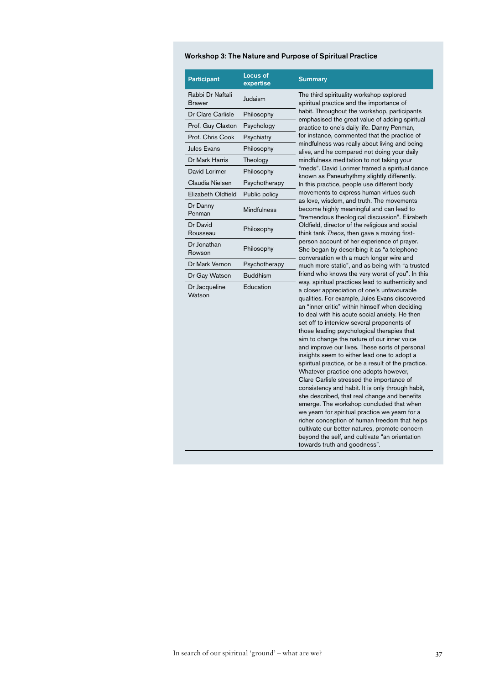## Workshop 3: The Nature and Purpose of Spiritual Practice

| <b>Participant</b>         | Locus of<br>expertise | <b>Summary</b>                                                                                                                                                                                                                                                                                                                                                                                                                                                                                                                                                                                                                                                                                                                                                                                                                                                                                                                                                                                                                                                                                                                                                                                                                                                                                                                                                                                                                                                                                                                                                                       |
|----------------------------|-----------------------|--------------------------------------------------------------------------------------------------------------------------------------------------------------------------------------------------------------------------------------------------------------------------------------------------------------------------------------------------------------------------------------------------------------------------------------------------------------------------------------------------------------------------------------------------------------------------------------------------------------------------------------------------------------------------------------------------------------------------------------------------------------------------------------------------------------------------------------------------------------------------------------------------------------------------------------------------------------------------------------------------------------------------------------------------------------------------------------------------------------------------------------------------------------------------------------------------------------------------------------------------------------------------------------------------------------------------------------------------------------------------------------------------------------------------------------------------------------------------------------------------------------------------------------------------------------------------------------|
| Rabbi Dr Naftali<br>Brawer | Judaism               | The third spirituality workshop explored<br>spiritual practice and the importance of<br>habit. Throughout the workshop, participants                                                                                                                                                                                                                                                                                                                                                                                                                                                                                                                                                                                                                                                                                                                                                                                                                                                                                                                                                                                                                                                                                                                                                                                                                                                                                                                                                                                                                                                 |
| Dr Clare Carlisle          | Philosophy            |                                                                                                                                                                                                                                                                                                                                                                                                                                                                                                                                                                                                                                                                                                                                                                                                                                                                                                                                                                                                                                                                                                                                                                                                                                                                                                                                                                                                                                                                                                                                                                                      |
| Prof. Guy Claxton          | Psychology            | emphasised the great value of adding spiritual<br>practice to one's daily life. Danny Penman,                                                                                                                                                                                                                                                                                                                                                                                                                                                                                                                                                                                                                                                                                                                                                                                                                                                                                                                                                                                                                                                                                                                                                                                                                                                                                                                                                                                                                                                                                        |
| Prof. Chris Cook           | Psychiatry            | for instance, commented that the practice of                                                                                                                                                                                                                                                                                                                                                                                                                                                                                                                                                                                                                                                                                                                                                                                                                                                                                                                                                                                                                                                                                                                                                                                                                                                                                                                                                                                                                                                                                                                                         |
| <b>Jules Evans</b>         | Philosophy            | mindfulness was really about living and being<br>alive, and he compared not doing your daily                                                                                                                                                                                                                                                                                                                                                                                                                                                                                                                                                                                                                                                                                                                                                                                                                                                                                                                                                                                                                                                                                                                                                                                                                                                                                                                                                                                                                                                                                         |
| Dr Mark Harris             | Theology              | mindfulness meditation to not taking your                                                                                                                                                                                                                                                                                                                                                                                                                                                                                                                                                                                                                                                                                                                                                                                                                                                                                                                                                                                                                                                                                                                                                                                                                                                                                                                                                                                                                                                                                                                                            |
| David Lorimer              | Philosophy            | "meds". David Lorimer framed a spiritual dance                                                                                                                                                                                                                                                                                                                                                                                                                                                                                                                                                                                                                                                                                                                                                                                                                                                                                                                                                                                                                                                                                                                                                                                                                                                                                                                                                                                                                                                                                                                                       |
| Claudia Nielsen            | Psychotherapy         | known as Paneurhythmy slightly differently.<br>In this practice, people use different body                                                                                                                                                                                                                                                                                                                                                                                                                                                                                                                                                                                                                                                                                                                                                                                                                                                                                                                                                                                                                                                                                                                                                                                                                                                                                                                                                                                                                                                                                           |
| Elizabeth Oldfield         | Public policy         | movements to express human virtues such<br>as love, wisdom, and truth. The movements<br>become highly meaningful and can lead to<br>"tremendous theological discussion". Elizabeth<br>Oldfield, director of the religious and social<br>think tank <i>Theos</i> , then gave a moving first-<br>person account of her experience of prayer.<br>She began by describing it as "a telephone<br>conversation with a much longer wire and<br>much more static", and as being with "a trusted<br>friend who knows the very worst of you". In this<br>way, spiritual practices lead to authenticity and<br>a closer appreciation of one's unfavourable<br>qualities. For example, Jules Evans discovered<br>an "inner critic" within himself when deciding<br>to deal with his acute social anxiety. He then<br>set off to interview several proponents of<br>those leading psychological therapies that<br>aim to change the nature of our inner voice<br>and improve our lives. These sorts of personal<br>insights seem to either lead one to adopt a<br>spiritual practice, or be a result of the practice.<br>Whatever practice one adopts however,<br>Clare Carlisle stressed the importance of<br>consistency and habit. It is only through habit,<br>she described, that real change and benefits<br>emerge. The workshop concluded that when<br>we yearn for spiritual practice we yearn for a<br>richer conception of human freedom that helps<br>cultivate our better natures, promote concern<br>beyond the self, and cultivate "an orientation<br>towards truth and goodness". |
| Dr Danny<br>Penman         | <b>Mindfulness</b>    |                                                                                                                                                                                                                                                                                                                                                                                                                                                                                                                                                                                                                                                                                                                                                                                                                                                                                                                                                                                                                                                                                                                                                                                                                                                                                                                                                                                                                                                                                                                                                                                      |
| Dr David<br>Rousseau       | Philosophy            |                                                                                                                                                                                                                                                                                                                                                                                                                                                                                                                                                                                                                                                                                                                                                                                                                                                                                                                                                                                                                                                                                                                                                                                                                                                                                                                                                                                                                                                                                                                                                                                      |
| Dr Jonathan<br>Rowson      | Philosophy            |                                                                                                                                                                                                                                                                                                                                                                                                                                                                                                                                                                                                                                                                                                                                                                                                                                                                                                                                                                                                                                                                                                                                                                                                                                                                                                                                                                                                                                                                                                                                                                                      |
| Dr Mark Vernon             | Psychotherapy         |                                                                                                                                                                                                                                                                                                                                                                                                                                                                                                                                                                                                                                                                                                                                                                                                                                                                                                                                                                                                                                                                                                                                                                                                                                                                                                                                                                                                                                                                                                                                                                                      |
| Dr Gay Watson              | <b>Buddhism</b>       |                                                                                                                                                                                                                                                                                                                                                                                                                                                                                                                                                                                                                                                                                                                                                                                                                                                                                                                                                                                                                                                                                                                                                                                                                                                                                                                                                                                                                                                                                                                                                                                      |
| Dr Jacqueline<br>Watson    | Education             |                                                                                                                                                                                                                                                                                                                                                                                                                                                                                                                                                                                                                                                                                                                                                                                                                                                                                                                                                                                                                                                                                                                                                                                                                                                                                                                                                                                                                                                                                                                                                                                      |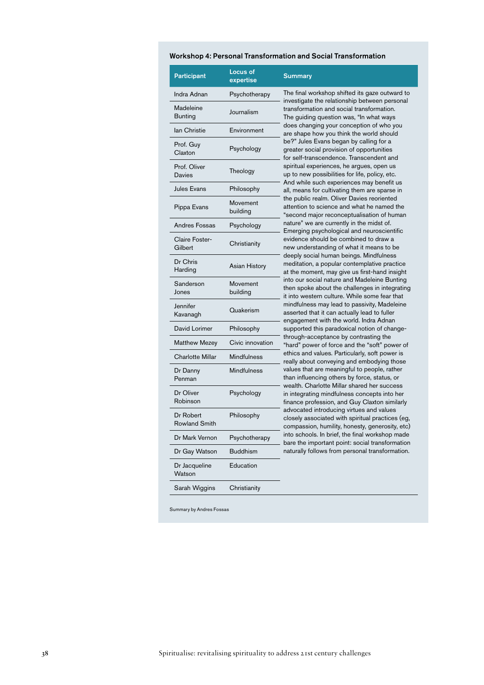#### Workshop 4: Personal Transformation and Social Transformation

| Participant                       | Locus of<br>expertise | <b>Summary</b>                                                                                                                                                                                                                                                                                                                                                                                                                                                                                                                                                                                                                                                                                                                                                                                                                                                                                                                                                                                                                                                                                                                                                                                                                                                                                                                            |
|-----------------------------------|-----------------------|-------------------------------------------------------------------------------------------------------------------------------------------------------------------------------------------------------------------------------------------------------------------------------------------------------------------------------------------------------------------------------------------------------------------------------------------------------------------------------------------------------------------------------------------------------------------------------------------------------------------------------------------------------------------------------------------------------------------------------------------------------------------------------------------------------------------------------------------------------------------------------------------------------------------------------------------------------------------------------------------------------------------------------------------------------------------------------------------------------------------------------------------------------------------------------------------------------------------------------------------------------------------------------------------------------------------------------------------|
| Indra Adnan                       | Psychotherapy         | The final workshop shifted its gaze outward to<br>investigate the relationship between personal<br>transformation and social transformation.<br>The quiding question was, "In what ways<br>does changing your conception of who you<br>are shape how you think the world should<br>be?" Jules Evans began by calling for a<br>greater social provision of opportunities<br>for self-transcendence. Transcendent and<br>spiritual experiences, he argues, open us<br>up to new possibilities for life, policy, etc.<br>And while such experiences may benefit us<br>all, means for cultivating them are sparse in<br>the public realm. Oliver Davies reoriented<br>attention to science and what he named the<br>"second major reconceptualisation of human<br>nature" we are currently in the midst of.<br>Emerging psychological and neuroscientific<br>evidence should be combined to draw a<br>new understanding of what it means to be<br>deeply social human beings. Mindfulness<br>meditation, a popular contemplative practice<br>at the moment, may give us first-hand insight<br>into our social nature and Madeleine Bunting<br>then spoke about the challenges in integrating<br>it into western culture. While some fear that<br>mindfulness may lead to passivity, Madeleine<br>asserted that it can actually lead to fuller |
| Madeleine<br><b>Bunting</b>       | Journalism            |                                                                                                                                                                                                                                                                                                                                                                                                                                                                                                                                                                                                                                                                                                                                                                                                                                                                                                                                                                                                                                                                                                                                                                                                                                                                                                                                           |
| lan Christie                      | Environment           |                                                                                                                                                                                                                                                                                                                                                                                                                                                                                                                                                                                                                                                                                                                                                                                                                                                                                                                                                                                                                                                                                                                                                                                                                                                                                                                                           |
| Prof. Guy<br>Claxton              | Psychology            |                                                                                                                                                                                                                                                                                                                                                                                                                                                                                                                                                                                                                                                                                                                                                                                                                                                                                                                                                                                                                                                                                                                                                                                                                                                                                                                                           |
| Prof. Oliver<br>Davies            | Theology              |                                                                                                                                                                                                                                                                                                                                                                                                                                                                                                                                                                                                                                                                                                                                                                                                                                                                                                                                                                                                                                                                                                                                                                                                                                                                                                                                           |
| Jules Evans                       | Philosophy            |                                                                                                                                                                                                                                                                                                                                                                                                                                                                                                                                                                                                                                                                                                                                                                                                                                                                                                                                                                                                                                                                                                                                                                                                                                                                                                                                           |
| Pippa Evans                       | Movement<br>building  |                                                                                                                                                                                                                                                                                                                                                                                                                                                                                                                                                                                                                                                                                                                                                                                                                                                                                                                                                                                                                                                                                                                                                                                                                                                                                                                                           |
| Andres Fossas                     | Psychology            |                                                                                                                                                                                                                                                                                                                                                                                                                                                                                                                                                                                                                                                                                                                                                                                                                                                                                                                                                                                                                                                                                                                                                                                                                                                                                                                                           |
| Claire Foster-<br>Gilbert         | Christianity          |                                                                                                                                                                                                                                                                                                                                                                                                                                                                                                                                                                                                                                                                                                                                                                                                                                                                                                                                                                                                                                                                                                                                                                                                                                                                                                                                           |
| Dr Chris<br>Harding               | <b>Asian History</b>  |                                                                                                                                                                                                                                                                                                                                                                                                                                                                                                                                                                                                                                                                                                                                                                                                                                                                                                                                                                                                                                                                                                                                                                                                                                                                                                                                           |
| Sanderson<br>Jones                | Movement<br>building  |                                                                                                                                                                                                                                                                                                                                                                                                                                                                                                                                                                                                                                                                                                                                                                                                                                                                                                                                                                                                                                                                                                                                                                                                                                                                                                                                           |
| Jennifer<br>Kavanagh              | Quakerism             |                                                                                                                                                                                                                                                                                                                                                                                                                                                                                                                                                                                                                                                                                                                                                                                                                                                                                                                                                                                                                                                                                                                                                                                                                                                                                                                                           |
| David Lorimer                     | Philosophy            | engagement with the world. Indra Adnan<br>supported this paradoxical notion of change-                                                                                                                                                                                                                                                                                                                                                                                                                                                                                                                                                                                                                                                                                                                                                                                                                                                                                                                                                                                                                                                                                                                                                                                                                                                    |
| <b>Matthew Mezey</b>              | Civic innovation      | through-acceptance by contrasting the<br>"hard" power of force and the "soft" power of<br>ethics and values. Particularly, soft power is<br>really about conveying and embodying those<br>values that are meaningful to people, rather<br>than influencing others by force, status, or<br>wealth. Charlotte Millar shared her success<br>in integrating mindfulness concepts into her<br>finance profession, and Guy Claxton similarly<br>advocated introducing virtues and values<br>closely associated with spiritual practices (eg,<br>compassion, humility, honesty, generosity, etc)<br>into schools. In brief, the final workshop made<br>bare the important point: social transformation<br>naturally follows from personal transformation.                                                                                                                                                                                                                                                                                                                                                                                                                                                                                                                                                                                        |
| <b>Charlotte Millar</b>           | <b>Mindfulness</b>    |                                                                                                                                                                                                                                                                                                                                                                                                                                                                                                                                                                                                                                                                                                                                                                                                                                                                                                                                                                                                                                                                                                                                                                                                                                                                                                                                           |
| Dr Danny<br>Penman                | <b>Mindfulness</b>    |                                                                                                                                                                                                                                                                                                                                                                                                                                                                                                                                                                                                                                                                                                                                                                                                                                                                                                                                                                                                                                                                                                                                                                                                                                                                                                                                           |
| Dr Oliver<br>Robinson             | Psychology            |                                                                                                                                                                                                                                                                                                                                                                                                                                                                                                                                                                                                                                                                                                                                                                                                                                                                                                                                                                                                                                                                                                                                                                                                                                                                                                                                           |
| Dr Robert<br><b>Rowland Smith</b> | Philosophy            |                                                                                                                                                                                                                                                                                                                                                                                                                                                                                                                                                                                                                                                                                                                                                                                                                                                                                                                                                                                                                                                                                                                                                                                                                                                                                                                                           |
| Dr Mark Vernon                    | Psychotherapy         |                                                                                                                                                                                                                                                                                                                                                                                                                                                                                                                                                                                                                                                                                                                                                                                                                                                                                                                                                                                                                                                                                                                                                                                                                                                                                                                                           |
| Dr Gay Watson                     | <b>Buddhism</b>       |                                                                                                                                                                                                                                                                                                                                                                                                                                                                                                                                                                                                                                                                                                                                                                                                                                                                                                                                                                                                                                                                                                                                                                                                                                                                                                                                           |
| Dr Jacqueline<br>Watson           | Education             |                                                                                                                                                                                                                                                                                                                                                                                                                                                                                                                                                                                                                                                                                                                                                                                                                                                                                                                                                                                                                                                                                                                                                                                                                                                                                                                                           |
| Sarah Wiggins                     | Christianity          |                                                                                                                                                                                                                                                                                                                                                                                                                                                                                                                                                                                                                                                                                                                                                                                                                                                                                                                                                                                                                                                                                                                                                                                                                                                                                                                                           |

Summary by Andres Fossas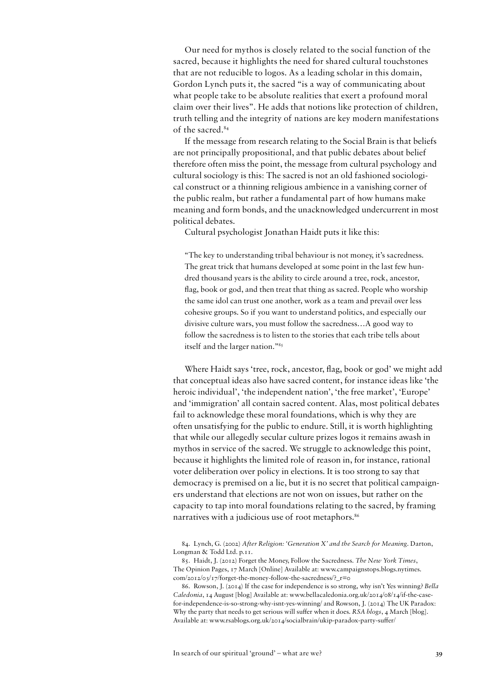Our need for mythos is closely related to the social function of the sacred, because it highlights the need for shared cultural touchstones that are not reducible to logos. As a leading scholar in this domain, Gordon Lynch puts it, the sacred "is a way of communicating about what people take to be absolute realities that exert a profound moral claim over their lives". He adds that notions like protection of children, truth telling and the integrity of nations are key modern manifestations of the sacred.<sup>84</sup>

If the message from research relating to the Social Brain is that beliefs are not principally propositional, and that public debates about belief therefore often miss the point, the message from cultural psychology and cultural sociology is this: The sacred is not an old fashioned sociological construct or a thinning religious ambience in a vanishing corner of the public realm, but rather a fundamental part of how humans make meaning and form bonds, and the unacknowledged undercurrent in most political debates.

Cultural psychologist Jonathan Haidt puts it like this:

"The key to understanding tribal behaviour is not money, it's sacredness. The great trick that humans developed at some point in the last few hundred thousand years is the ability to circle around a tree, rock, ancestor, flag, book or god, and then treat that thing as sacred. People who worship the same idol can trust one another, work as a team and prevail over less cohesive groups. So if you want to understand politics, and especially our divisive culture wars, you must follow the sacredness…A good way to follow the sacredness is to listen to the stories that each tribe tells about itself and the larger nation."85

Where Haidt says 'tree, rock, ancestor, flag, book or god' we might add that conceptual ideas also have sacred content, for instance ideas like 'the heroic individual', 'the independent nation', 'the free market', 'Europe' and 'immigration' all contain sacred content. Alas, most political debates fail to acknowledge these moral foundations, which is why they are often unsatisfying for the public to endure. Still, it is worth highlighting that while our allegedly secular culture prizes logos it remains awash in mythos in service of the sacred. We struggle to acknowledge this point, because it highlights the limited role of reason in, for instance, rational voter deliberation over policy in elections. It is too strong to say that democracy is premised on a lie, but it is no secret that political campaigners understand that elections are not won on issues, but rather on the capacity to tap into moral foundations relating to the sacred, by framing narratives with a judicious use of root metaphors.<sup>86</sup>

84. Lynch, G. (2002) *After Religion: 'Generation X' and the Search for Meaning*. Darton, Longman & Todd Ltd. p.11.

85. Haidt, J. (2012) Forget the Money, Follow the Sacredness. *The New York Times*, The Opinion Pages, 17 March [Online] Available at: www.campaignstops.blogs.nytimes.  $com/2012/03/17/$ forget-the-money-follow-the-sacredness/?  $r=0$ 

<sup>86.</sup> Rowson, J. (2014) If the case for independence is so strong, why isn't Yes winning? *Bella Caledonia*, 14 August [blog] Available at: www.bellacaledonia.org.uk/2014/08/14/if-the-casefor-independence-is-so-strong-why-isnt-yes-winning/ and Rowson, J. (2014) The UK Paradox: Why the party that needs to get serious will suffer when it does. *RSA blogs*, 4 March [blog]. Available at: www.rsablogs.org.uk/2014/socialbrain/ukip-paradox-party-suffer/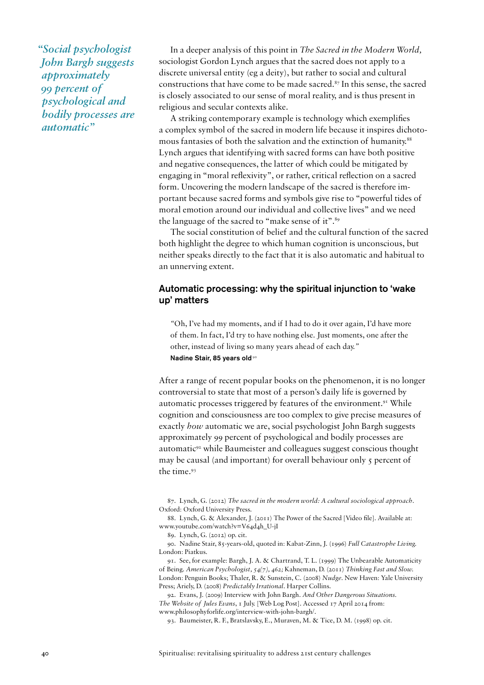*"Social psychologist John Bargh suggests approximately 99 percent of psychological and bodily processes are automatic"*

In a deeper analysis of this point in *The Sacred in the Modern World,* sociologist Gordon Lynch argues that the sacred does not apply to a discrete universal entity (eg a deity), but rather to social and cultural constructions that have come to be made sacred.<sup>87</sup> In this sense, the sacred is closely associated to our sense of moral reality, and is thus present in religious and secular contexts alike.

A striking contemporary example is technology which exemplifies a complex symbol of the sacred in modern life because it inspires dichotomous fantasies of both the salvation and the extinction of humanity.<sup>88</sup> Lynch argues that identifying with sacred forms can have both positive and negative consequences, the latter of which could be mitigated by engaging in "moral reflexivity", or rather, critical reflection on a sacred form. Uncovering the modern landscape of the sacred is therefore important because sacred forms and symbols give rise to "powerful tides of moral emotion around our individual and collective lives" and we need the language of the sacred to "make sense of it".<sup>89</sup>

The social constitution of belief and the cultural function of the sacred both highlight the degree to which human cognition is unconscious, but neither speaks directly to the fact that it is also automatic and habitual to an unnerving extent.

# Automatic processing: why the spiritual injunction to 'wake up' matters

*"*Oh, I've had my moments, and if I had to do it over again, I'd have more of them. In fact, I'd try to have nothing else. Just moments, one after the other, instead of living so many years ahead of each day.*"* Nadine Stair, 85 years old<sup>90</sup>

After a range of recent popular books on the phenomenon, it is no longer controversial to state that most of a person's daily life is governed by automatic processes triggered by features of the environment.<sup>91</sup> While cognition and consciousness are too complex to give precise measures of exactly *how* automatic we are, social psychologist John Bargh suggests approximately 99 percent of psychological and bodily processes are automatic<sup>92</sup> while Baumeister and colleagues suggest conscious thought may be causal (and important) for overall behaviour only 5 percent of the time.93

91. See, for example: Bargh, J. A. & Chartrand, T. L. (1999) The Unbearable Automaticity of Being. *American Psychologist, 54(7), 462;* Kahneman, D. (2011) *Thinking Fast and Slow.*  London: Penguin Books; Thaler, R. & Sunstein, C. (2008) *Nudge.* New Haven: Yale University Press; Ariely, D. (2008) *Predictably Irrational.* Harper Collins.

92. Evans, J. (2009) Interview with John Bargh. *And Other Dangerous Situations. The Website of Jules Evans*, 1 July. [Web Log Post]*.* Accessed 17 April 2014 from: www.philosophyforlife.org/interview-with-john-bargh/.

93. Baumeister, R. F., Bratslavsky, E., Muraven, M. & Tice, D. M. (1998) op. cit.

<sup>87.</sup> Lynch, G. (2012) *The sacred in the modern world: A cultural sociological approach.*  Oxford: Oxford University Press.

<sup>88.</sup> Lynch, G. & Alexander, J. (2011) The Power of the Sacred [Video file]. Available at: www.youtube.com/watch?v=V64d4h\_U-jI

<sup>89.</sup> Lynch, G. (2012) op. cit.

<sup>90.</sup> Nadine Stair, 85-years-old, quoted in: Kabat-Zinn, J. (1996) *Full Catastrophe Living.*  London: Piatkus.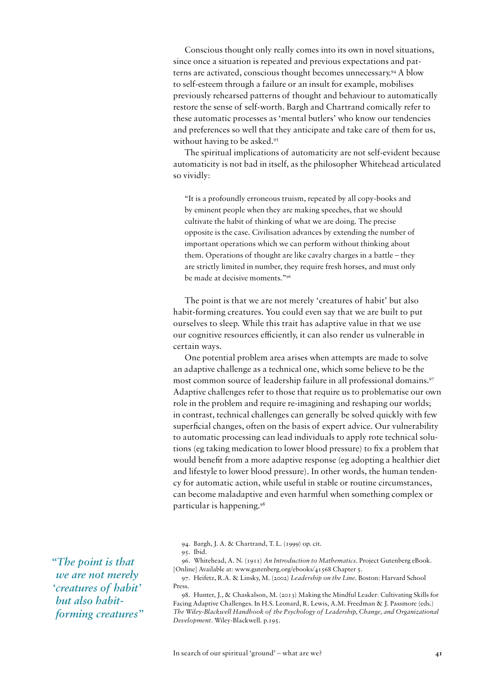Conscious thought only really comes into its own in novel situations, since once a situation is repeated and previous expectations and patterns are activated, conscious thought becomes unnecessary.94 A blow to self-esteem through a failure or an insult for example, mobilises previously rehearsed patterns of thought and behaviour to automatically restore the sense of self-worth. Bargh and Chartrand comically refer to these automatic processes as 'mental butlers' who know our tendencies and preferences so well that they anticipate and take care of them for us, without having to be asked.<sup>95</sup>

The spiritual implications of automaticity are not self-evident because automaticity is not bad in itself, as the philosopher Whitehead articulated so vividly:

"It is a profoundly erroneous truism, repeated by all copy-books and by eminent people when they are making speeches, that we should cultivate the habit of thinking of what we are doing. The precise opposite is the case. Civilisation advances by extending the number of important operations which we can perform without thinking about them. Operations of thought are like cavalry charges in a battle – they are strictly limited in number, they require fresh horses, and must only be made at decisive moments."96

The point is that we are not merely 'creatures of habit' but also habit-forming creatures. You could even say that we are built to put ourselves to sleep. While this trait has adaptive value in that we use our cognitive resources efficiently, it can also render us vulnerable in certain ways.

One potential problem area arises when attempts are made to solve an adaptive challenge as a technical one, which some believe to be the most common source of leadership failure in all professional domains.<sup>97</sup> Adaptive challenges refer to those that require us to problematise our own role in the problem and require re-imagining and reshaping our worlds; in contrast, technical challenges can generally be solved quickly with few superficial changes, often on the basis of expert advice. Our vulnerability to automatic processing can lead individuals to apply rote technical solutions (eg taking medication to lower blood pressure) to fix a problem that would benefit from a more adaptive response (eg adopting a healthier diet and lifestyle to lower blood pressure). In other words, the human tendency for automatic action, while useful in stable or routine circumstances, can become maladaptive and even harmful when something complex or particular is happening.98

96. Whitehead, A. N. (1911) *An Introduction to Mathematics*. Project Gutenberg eBook. [Online] Available at: www.gutenberg.org/ebooks/41568 Chapter 5.

98. Hunter, J., & Chaskalson, M. (2013) Making the Mindful Leader: Cultivating Skills for Facing Adaptive Challenges. In H.S. Leonard, R. Lewis, A.M. Freedman & J. Passmore (eds.) *The Wiley-Blackwell Handbook of the Psychology of Leadership, Change, and Organizational Development.* Wiley-Blackwell. p.195.

*"The point is that we are not merely 'creatures of habit' but also habitforming creatures"*

<sup>94.</sup> Bargh, J. A. & Chartrand, T. L. (1999) op. cit.

<sup>95.</sup> Ibid.

<sup>97.</sup> Heifetz, R.A. & Linsky, M. (2002) *Leadership on the Line*. Boston: Harvard School Press.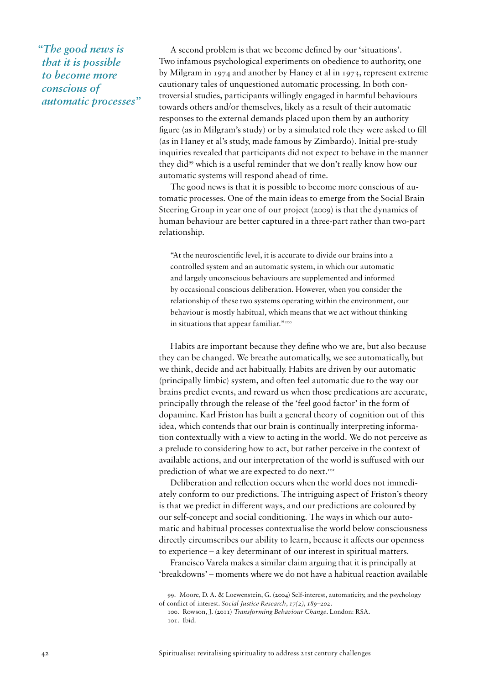*"The good news is that it is possible to become more conscious of automatic processes"* 

A second problem is that we become defined by our 'situations'. Two infamous psychological experiments on obedience to authority, one by Milgram in 1974 and another by Haney et al in 1973, represent extreme cautionary tales of unquestioned automatic processing. In both controversial studies, participants willingly engaged in harmful behaviours towards others and/or themselves, likely as a result of their automatic responses to the external demands placed upon them by an authority figure (as in Milgram's study) or by a simulated role they were asked to fill (as in Haney et al's study, made famous by Zimbardo). Initial pre-study inquiries revealed that participants did not expect to behave in the manner they did99 which is a useful reminder that we don't really know how our automatic systems will respond ahead of time.

The good news is that it is possible to become more conscious of automatic processes. One of the main ideas to emerge from the Social Brain Steering Group in year one of our project (2009) is that the dynamics of human behaviour are better captured in a three-part rather than two-part relationship.

"At the neuroscientific level, it is accurate to divide our brains into a controlled system and an automatic system, in which our automatic and largely unconscious behaviours are supplemented and informed by occasional conscious deliberation. However, when you consider the relationship of these two systems operating within the environment, our behaviour is mostly habitual, which means that we act without thinking in situations that appear familiar."<sup>100</sup>

Habits are important because they define who we are, but also because they can be changed. We breathe automatically, we see automatically, but we think, decide and act habitually. Habits are driven by our automatic (principally limbic) system, and often feel automatic due to the way our brains predict events, and reward us when those predications are accurate, principally through the release of the 'feel good factor' in the form of dopamine. Karl Friston has built a general theory of cognition out of this idea, which contends that our brain is continually interpreting information contextually with a view to acting in the world. We do not perceive as a prelude to considering how to act, but rather perceive in the context of available actions, and our interpretation of the world is suffused with our prediction of what we are expected to do next.<sup>101</sup>

Deliberation and reflection occurs when the world does not immediately conform to our predictions. The intriguing aspect of Friston's theory is that we predict in different ways, and our predictions are coloured by our self-concept and social conditioning. The ways in which our automatic and habitual processes contextualise the world below consciousness directly circumscribes our ability to learn, because it affects our openness to experience – a key determinant of our interest in spiritual matters.

Francisco Varela makes a similar claim arguing that it is principally at 'breakdowns' – moments where we do not have a habitual reaction available

<sup>99.</sup> Moore, D. A. & Loewenstein, G. (2004) Self-interest, automaticity, and the psychology of conflict of interest. *Social Justice Research, 17(2), 189–202.*

<sup>100.</sup> Rowson, J. (2011) *Transforming Behaviour Change*. London: RSA. 101. Ibid.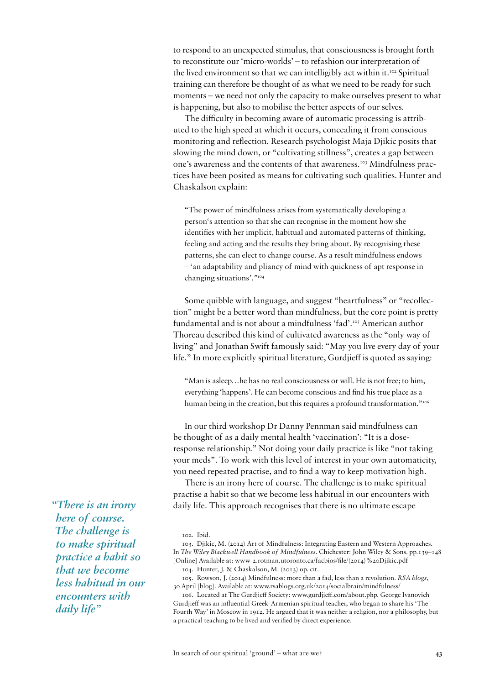to respond to an unexpected stimulus, that consciousness is brought forth to reconstitute our 'micro-worlds' – to refashion our interpretation of the lived environment so that we can intelligibly act within it.<sup>102</sup> Spiritual training can therefore be thought of as what we need to be ready for such moments – we need not only the capacity to make ourselves present to what is happening, but also to mobilise the better aspects of our selves.

The difficulty in becoming aware of automatic processing is attributed to the high speed at which it occurs, concealing it from conscious monitoring and reflection. Research psychologist Maja Djikic posits that slowing the mind down, or "cultivating stillness", creates a gap between one's awareness and the contents of that awareness.<sup>103</sup> Mindfulness practices have been posited as means for cultivating such qualities. Hunter and Chaskalson explain:

"The power of mindfulness arises from systematically developing a person's attention so that she can recognise in the moment how she identifies with her implicit, habitual and automated patterns of thinking, feeling and acting and the results they bring about. By recognising these patterns, she can elect to change course. As a result mindfulness endows – 'an adaptability and pliancy of mind with quickness of apt response in changing situations*'."*<sup>104</sup>

Some quibble with language, and suggest "heartfulness" or "recollection" might be a better word than mindfulness, but the core point is pretty fundamental and is not about a mindfulness 'fad'.<sup>105</sup> American author Thoreau described this kind of cultivated awareness as the "only way of living" and Jonathan Swift famously said: "May you live every day of your life." In more explicitly spiritual literature, Gurdjieff is quoted as saying:

"Man is asleep…he has no real consciousness or will. He is not free; to him, everything 'happens'. He can become conscious and find his true place as a human being in the creation, but this requires a profound transformation."<sup>106</sup>

In our third workshop Dr Danny Pennman said mindfulness can be thought of as a daily mental health 'vaccination': "It is a doseresponse relationship." Not doing your daily practice is like "not taking your meds". To work with this level of interest in your own automaticity, you need repeated practise, and to find a way to keep motivation high.

There is an irony here of course. The challenge is to make spiritual practise a habit so that we become less habitual in our encounters with daily life. This approach recognises that there is no ultimate escape

104. Hunter, J. & Chaskalson, M. (2013) op. cit.

*"There is an irony here of course. The challenge is to make spiritual practice a habit so that we become less habitual in our encounters with daily life"* 

<sup>102.</sup> Ibid.

<sup>103.</sup> Djikic, M. (2014) Art of Mindfulness: Integrating Eastern and Western Approaches. In *The Wiley Blackwell Handbook of Mindfulness*. Chichester: John Wiley & Sons. pp.139–148 [Online] Available at: www-2.rotman.utoronto.ca/facbios/file/(2014)%20Djikic.pdf

<sup>105.</sup> Rowson, J. (2014) Mindfulness: more than a fad, less than a revolution. *RSA blogs*, 30 April [blog]. Available at: www.rsablogs.org.uk/2014/socialbrain/mindfulness/

<sup>106.</sup> Located at The Gurdjieff Society: www.gurdjieff.com/about.php. George Ivanovich Gurdjieff was an influential Greek-Armenian spiritual teacher, who began to share his 'The Fourth Way' in Moscow in 1912. He argued that it was neither a religion, nor a philosophy, but a practical teaching to be lived and verified by direct experience.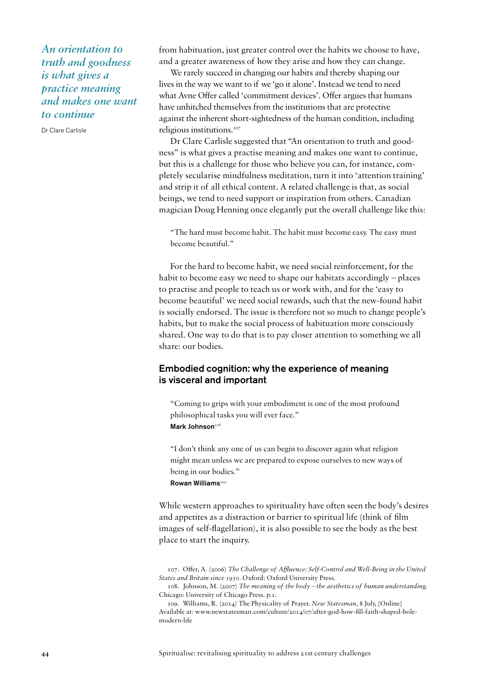*An orientation to truth and goodness is what gives a practice meaning and makes one want to continue*

Dr Clare Carlisle

from habituation, just greater control over the habits we choose to have, and a greater awareness of how they arise and how they can change.

We rarely succeed in changing our habits and thereby shaping our lives in the way we want to if we 'go it alone'. Instead we tend to need what Avne Offer called 'commitment devices'. Offer argues that humans have unhitched themselves from the institutions that are protective against the inherent short-sightedness of the human condition, including religious institutions.107

Dr Clare Carlisle suggested that "An orientation to truth and goodness" is what gives a practise meaning and makes one want to continue, but this is a challenge for those who believe you can, for instance, completely secularise mindfulness meditation, turn it into 'attention training' and strip it of all ethical content. A related challenge is that, as social beings, we tend to need support or inspiration from others. Canadian magician Doug Henning once elegantly put the overall challenge like this:

"The hard must become habit. The habit must become easy. The easy must become beautiful."

For the hard to become habit, we need social reinforcement, for the habit to become easy we need to shape our habitats accordingly – places to practise and people to teach us or work with, and for the 'easy to become beautiful' we need social rewards, such that the new-found habit is socially endorsed. The issue is therefore not so much to change people's habits, but to make the social process of habituation more consciously shared. One way to do that is to pay closer attention to something we all share: our bodies.

# Embodied cognition: why the experience of meaning is visceral and important

"Coming to grips with your embodiment is one of the most profound philosophical tasks you will ever face." Mark Johnson108

"I don't think any one of us can begin to discover again what religion might mean unless we are prepared to expose ourselves to new ways of being in our bodies." Rowan Williams<sup>109</sup>

While western approaches to spirituality have often seen the body's desires and appetites as a distraction or barrier to spiritual life (think of film images of self-flagellation), it is also possible to see the body as the best place to start the inquiry.

107. Offer, A. (2006) *The Challenge of Affluence: Self-Control and Well-Being in the United States and Britain since 1950.* Oxford: Oxford University Press.

108. Johnson, M. (2007) *The meaning of the body – the aesthetics of human understanding.* Chicago: University of Chicago Press. p.1.

109. Williams, R. (2014) The Physicality of Prayer. *New Statesman*, 8 July, [Online] Available at: www.newstatesman.com/culture/2014/07/after-god-how-fill-faith-shaped-holemodern-life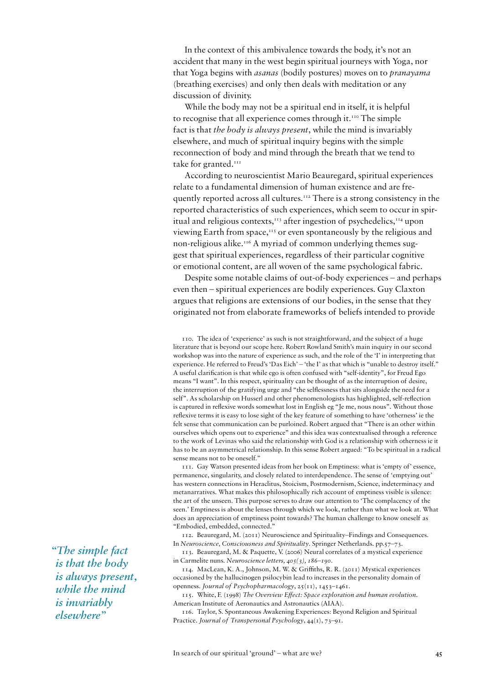In the context of this ambivalence towards the body, it's not an accident that many in the west begin spiritual journeys with Yoga, nor that Yoga begins with *asanas* (bodily postures) moves on to *pranayama* (breathing exercises) and only then deals with meditation or any discussion of divinity.

While the body may not be a spiritual end in itself, it is helpful to recognise that all experience comes through it.<sup>110</sup> The simple fact is that *the body is always present*, while the mind is invariably elsewhere, and much of spiritual inquiry begins with the simple reconnection of body and mind through the breath that we tend to take for granted.<sup>111</sup>

According to neuroscientist Mario Beauregard, spiritual experiences relate to a fundamental dimension of human existence and are frequently reported across all cultures.112 There is a strong consistency in the reported characteristics of such experiences, which seem to occur in spiritual and religious contexts, $113$  after ingestion of psychedelics, $114$  upon viewing Earth from space,<sup> $115$ </sup> or even spontaneously by the religious and non-religious alike.116 A myriad of common underlying themes suggest that spiritual experiences, regardless of their particular cognitive or emotional content, are all woven of the same psychological fabric.

Despite some notable claims of out-of-body experiences – and perhaps even then – spiritual experiences are bodily experiences. Guy Claxton argues that religions are extensions of our bodies, in the sense that they originated not from elaborate frameworks of beliefs intended to provide

110. The idea of 'experience' as such is not straightforward, and the subject of a huge literature that is beyond our scope here. Robert Rowland Smith's main inquiry in our second workshop was into the nature of experience as such, and the role of the 'I' in interpreting that experience. He referred to Freud's 'Das Eich' – 'the I' as that which is "unable to destroy itself." A useful clarification is that while ego is often confused with "self-identity", for Freud Ego means "I want". In this respect, spirituality can be thought of as the interruption of desire, the interruption of the gratifying urge and "the selflessness that sits alongside the need for a self". As scholarship on Husserl and other phenomenologists has highlighted, self-reflection is captured in reflexive words somewhat lost in English eg "Je me, nous nous". Without those reflexive terms it is easy to lose sight of the key feature of something to have 'otherness' ie the felt sense that communication can be purloined. Robert argued that "There is an other within ourselves which opens out to experience" and this idea was contextualised through a reference to the work of Levinas who said the relationship with God is a relationship with otherness ie it has to be an asymmetrical relationship. In this sense Robert argued: "To be spiritual in a radical sense means not to be oneself."

111. Gay Watson presented ideas from her book on Emptiness: what is 'empty of' essence, permanence, singularity, and closely related to interdependence. The sense of 'emptying out' has western connections in Heraclitus, Stoicism, Postmodernism, Science, indeterminacy and metanarratives. What makes this philosophically rich account of emptiness visible is silence: the art of the unseen. This purpose serves to draw our attention to 'The complacency of the seen.' Emptiness is about the lenses through which we look, rather than what we look at. What does an appreciation of emptiness point towards? The human challenge to know oneself as "Embodied, embedded, connected."

112. Beauregard, M. (2011) Neuroscience and Spirituality–Findings and Consequences. In *Neuroscience, Consciousness and Spirituality*. Springer Netherlands. pp.57–73.

113. Beauregard, M. & Paquette, V. (2006) Neural correlates of a mystical experience in Carmelite nuns. *Neuroscience letters, 405(3), 186–190.*

114. MacLean, K. A., Johnson, M. W. & Griffiths, R. R. (2011) Mystical experiences occasioned by the hallucinogen psilocybin lead to increases in the personality domain of openness. *Journal of Psychopharmacology*, 25(11), 1453–1461.

115. White, F. (1998) *The Overview Effect: Space exploration and human evolution*. American Institute of Aeronautics and Astronautics (AIAA).

116. Taylor, S. Spontaneous Awakening Experiences: Beyond Religion and Spiritual Practice. *Journal of Transpersonal Psychology*, 44(1), 73–91.

*"The simple fact is that the body is always present, while the mind is invariably elsewhere"*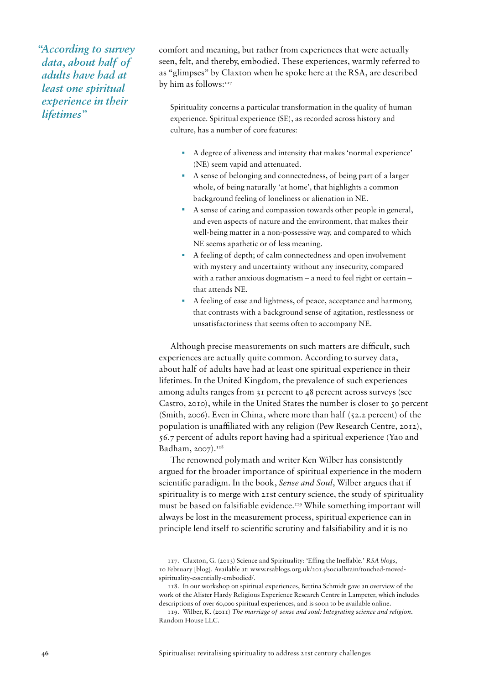*"According to survey data, about half of adults have had at least one spiritual experience in their lifetimes"*

comfort and meaning, but rather from experiences that were actually seen, felt, and thereby, embodied. These experiences, warmly referred to as "glimpses" by Claxton when he spoke here at the RSA, are described by him as follows:<sup>117</sup>

Spirituality concerns a particular transformation in the quality of human experience. Spiritual experience (SE), as recorded across history and culture, has a number of core features:

- A degree of aliveness and intensity that makes 'normal experience' (NE) seem vapid and attenuated.
- A sense of belonging and connectedness, of being part of a larger whole, of being naturally 'at home', that highlights a common background feeling of loneliness or alienation in NE.
- A sense of caring and compassion towards other people in general, and even aspects of nature and the environment, that makes their well-being matter in a non-possessive way, and compared to which NE seems apathetic or of less meaning.
- A feeling of depth; of calm connectedness and open involvement with mystery and uncertainty without any insecurity, compared with a rather anxious dogmatism – a need to feel right or certain – that attends NE.
- A feeling of ease and lightness, of peace, acceptance and harmony, that contrasts with a background sense of agitation, restlessness or unsatisfactoriness that seems often to accompany NE.

Although precise measurements on such matters are difficult, such experiences are actually quite common. According to survey data, about half of adults have had at least one spiritual experience in their lifetimes. In the United Kingdom, the prevalence of such experiences among adults ranges from 31 percent to 48 percent across surveys (see Castro, 2010), while in the United States the number is closer to 50 percent (Smith, 2006). Even in China, where more than half (52.2 percent) of the population is unaffiliated with any religion (Pew Research Centre, 2012), 56.7 percent of adults report having had a spiritual experience (Yao and Badham, 2007).<sup>118</sup>

The renowned polymath and writer Ken Wilber has consistently argued for the broader importance of spiritual experience in the modern scientific paradigm. In the book, *Sense and Soul*, Wilber argues that if spirituality is to merge with 21st century science, the study of spirituality must be based on falsifiable evidence.<sup>119</sup> While something important will always be lost in the measurement process, spiritual experience can in principle lend itself to scientific scrutiny and falsifiability and it is no

<sup>117.</sup> Claxton, G. (2013) Science and Spirituality: 'Effing the Ineffable.' *RSA blogs*, 10 February [blog]. Available at: www.rsablogs.org.uk/2014/socialbrain/touched-movedspirituality-essentially-embodied/.

<sup>118.</sup> In our workshop on spiritual experiences, Bettina Schmidt gave an overview of the work of the Alister Hardy Religious Experience Research Centre in Lampeter, which includes descriptions of over 60,000 spiritual experiences, and is soon to be available online.

<sup>119.</sup> Wilber, K. (2011) *The marriage of sense and soul: Integrating science and religion*. Random House LLC.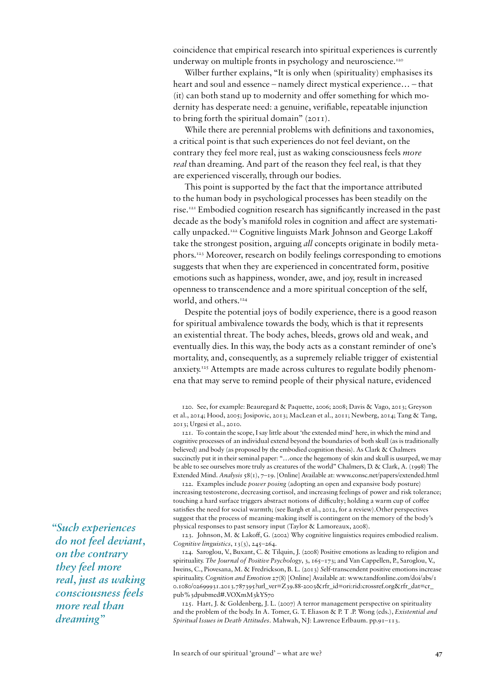coincidence that empirical research into spiritual experiences is currently underway on multiple fronts in psychology and neuroscience.<sup>120</sup>

Wilber further explains, "It is only when (spirituality) emphasises its heart and soul and essence – namely direct mystical experience… – that (it) can both stand up to modernity and offer something for which modernity has desperate need: a genuine, verifiable, repeatable injunction to bring forth the spiritual domain" (2011).

While there are perennial problems with definitions and taxonomies, a critical point is that such experiences do not feel deviant, on the contrary they feel more real, just as waking consciousness feels *more real* than dreaming. And part of the reason they feel real, is that they are experienced viscerally, through our bodies.

This point is supported by the fact that the importance attributed to the human body in psychological processes has been steadily on the rise.121 Embodied cognition research has significantly increased in the past decade as the body's manifold roles in cognition and affect are systematically unpacked.122 Cognitive linguists Mark Johnson and George Lakoff take the strongest position, arguing *all* concepts originate in bodily metaphors.123 Moreover, research on bodily feelings corresponding to emotions suggests that when they are experienced in concentrated form, positive emotions such as happiness, wonder, awe, and joy, result in increased openness to transcendence and a more spiritual conception of the self, world, and others.<sup>124</sup>

Despite the potential joys of bodily experience, there is a good reason for spiritual ambivalence towards the body, which is that it represents an existential threat. The body aches, bleeds, grows old and weak, and eventually dies. In this way, the body acts as a constant reminder of one's mortality, and, consequently, as a supremely reliable trigger of existential anxiety.<sup>125</sup> Attempts are made across cultures to regulate bodily phenomena that may serve to remind people of their physical nature, evidenced

121. To contain the scope, I say little about 'the extended mind' here, in which the mind and cognitive processes of an individual extend beyond the boundaries of both skull (as is traditionally believed) and body (as proposed by the embodied cognition thesis). As Clark & Chalmers succinctly put it in their seminal paper: "…once the hegemony of skin and skull is usurped, we may be able to see ourselves more truly as creatures of the world" Chalmers, D. & Clark, A. (1998) The Extended Mind. *Analysis* 58(1), 7–19. [Online] Available at: www.consc.net/papers/extended.html

122. Examples include *power posing* (adopting an open and expansive body posture) increasing testosterone, decreasing cortisol, and increasing feelings of power and risk tolerance; touching a hard surface triggers abstract notions of difficulty; holding a warm cup of coffee satisfies the need for social warmth; (see Bargh et al., 2012, for a review).Other perspectives suggest that the process of meaning-making itself is contingent on the memory of the body's physical responses to past sensory input (Taylor & Lamoreaux, 2008).

123. Johnson, M. & Lakoff, G. (2002) Why cognitive linguistics requires embodied realism. *Cognitive linguistics*, 13(3), 245–264.

124. Saroglou, V., Buxant, C. & Tilquin, J. (2008) Positive emotions as leading to religion and spirituality. *The Journal of Positive Psychology*, 3, 165–173; and Van Cappellen, P., Saroglou, V., Iweins, C., Piovesana, M. & Fredrickson, B. L. (2013) *S*elf-transcendent positive emotions increase spirituality. *Cognition and Emotion* 27(8) [Online] Available at: www.tandfonline.com/doi/abs/1 0.1080/02699931.2013.787395?url\_ver=Z39.88-2003&rfr\_id=ori:rid:crossref.org&rfr\_dat=cr\_ pub%3dpubmed#.VOXmM3kYS70

125. Hart, J. & Goldenberg, J. L. (2007) A terror management perspective on spirituality and the problem of the body. In A. Tomer, G. T. Eliason & P. T .P. Wong (eds.), *Existential and Spiritual Issues in Death Attitudes*. Mahwah, NJ: Lawrence Erlbaum. pp.91–113*.*

*"Such experiences do not feel deviant, on the contrary they feel more real, just as waking consciousness feels more real than dreaming"*

<sup>120.</sup> See, for example: Beauregard & Paquette, 2006; 2008; Davis & Vago, 2013; Greyson et al., 2014; Hood, 2005; Josipovic, 2013; MacLean et al., 2011; Newberg, 2014; Tang & Tang, 2013; Urgesi et al., 2010.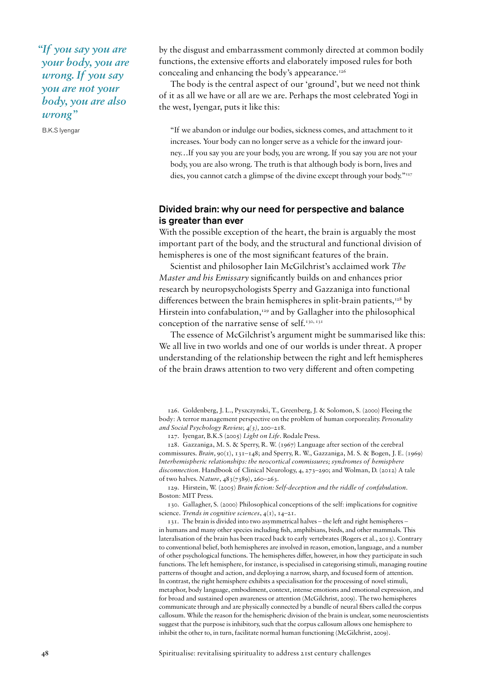*"If you say you are your body, you are wrong. If you say you are not your body, you are also wrong"* 

B.K.S Iyengar

by the disgust and embarrassment commonly directed at common bodily functions, the extensive efforts and elaborately imposed rules for both concealing and enhancing the body's appearance.<sup>126</sup>

The body is the central aspect of our 'ground', but we need not think of it as all we have or all are we are. Perhaps the most celebrated Yogi in the west, Iyengar, puts it like this:

"If we abandon or indulge our bodies, sickness comes, and attachment to it increases. Your body can no longer serve as a vehicle for the inward journey…If you say you are your body, you are wrong. If you say you are not your body, you are also wrong. The truth is that although body is born, lives and dies, you cannot catch a glimpse of the divine except through your body."<sup>127</sup>

## Divided brain: why our need for perspective and balance is greater than ever

With the possible exception of the heart, the brain is arguably the most important part of the body, and the structural and functional division of hemispheres is one of the most significant features of the brain.

Scientist and philosopher Iain McGilchrist's acclaimed work *The Master and his Emissary* significantly builds on and enhances prior research by neuropsychologists Sperry and Gazzaniga into functional differences between the brain hemispheres in split-brain patients, $128$  by Hirstein into confabulation,<sup>129</sup> and by Gallagher into the philosophical conception of the narrative sense of self.<sup>130, 131</sup>

The essence of McGilchrist's argument might be summarised like this: We all live in two worlds and one of our worlds is under threat. A proper understanding of the relationship between the right and left hemispheres of the brain draws attention to two very different and often competing

126. Goldenberg, J. L., Pyszczynski, T., Greenberg, J. & Solomon, S. (2000) Fleeing the body: A terror management perspective on the problem of human corporeality. *Personality and Social Psychology Review, 4(3),* 200–218*.*

127. Iyengar, B.K.S (2005) *Light on Life*. Rodale Press.

128. Gazzaniga, M. S. & Sperry, R. W. (1967) Language after section of the cerebral commissures. *Brain,* 90(1), 131–148; and Sperry, R. W., Gazzaniga, M. S. & Bogen, J. E. (1969) *Interhemispheric relationships: the neocortical commissures; syndromes of hemisphere disconnection.* Handbook of Clinical Neurology, 4, 273–290; and Wolman, D. (2012) A tale of two halves. *Nature*, 483(7389), 260–263.

129. Hirstein, W. (2005) *Brain fiction: Self-deception and the riddle of confabulation.*  Boston: MIT Press.

130. Gallagher, S. (2000) Philosophical conceptions of the self: implications for cognitive science. *Trends in cognitive sciences*, 4(1), 14–21.

131. The brain is divided into two asymmetrical halves – the left and right hemispheres – in humans and many other species including fish, amphibians, birds, and other mammals. This lateralisation of the brain has been traced back to early vertebrates (Rogers et al., 2013). Contrary to conventional belief, both hemispheres are involved in reason, emotion, language, and a number of other psychological functions. The hemispheres differ, however, in how they participate in such functions. The left hemisphere, for instance, is specialised in categorising stimuli, managing routine patterns of thought and action, and deploying a narrow, sharp, and focused form of attention. In contrast, the right hemisphere exhibits a specialisation for the processing of novel stimuli, metaphor, body language, embodiment, context, intense emotions and emotional expression, and for broad and sustained open awareness or attention (McGilchrist, 2009). The two hemispheres communicate through and are physically connected by a bundle of neural fibers called the corpus callosum. While the reason for the hemispheric division of the brain is unclear, some neuroscientists suggest that the purpose is inhibitory, such that the corpus callosum allows one hemisphere to inhibit the other to, in turn, facilitate normal human functioning (McGilchrist, 2009).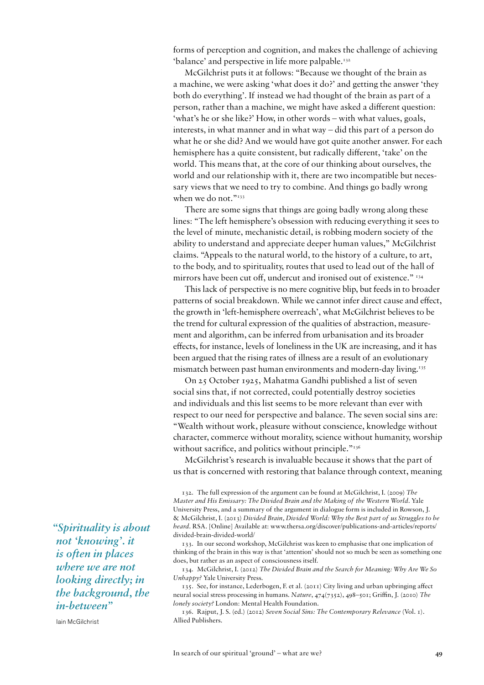forms of perception and cognition, and makes the challenge of achieving 'balance' and perspective in life more palpable.<sup>132</sup>

McGilchrist puts it at follows: "Because we thought of the brain as a machine, we were asking 'what does it do?' and getting the answer 'they both do everything'. If instead we had thought of the brain as part of a person, rather than a machine, we might have asked a different question: 'what's he or she like?' How, in other words – with what values, goals, interests, in what manner and in what way – did this part of a person do what he or she did? And we would have got quite another answer. For each hemisphere has a quite consistent, but radically different, 'take' on the world. This means that, at the core of our thinking about ourselves, the world and our relationship with it, there are two incompatible but necessary views that we need to try to combine. And things go badly wrong when we do not."<sup>133</sup>

There are some signs that things are going badly wrong along these lines: "The left hemisphere's obsession with reducing everything it sees to the level of minute, mechanistic detail, is robbing modern society of the ability to understand and appreciate deeper human values," McGilchrist claims. "Appeals to the natural world, to the history of a culture, to art, to the body, and to spirituality, routes that used to lead out of the hall of mirrors have been cut off, undercut and ironised out of existence." 134

This lack of perspective is no mere cognitive blip, but feeds in to broader patterns of social breakdown. While we cannot infer direct cause and effect, the growth in 'left-hemisphere overreach', what McGilchrist believes to be the trend for cultural expression of the qualities of abstraction, measurement and algorithm, can be inferred from urbanisation and its broader effects, for instance, levels of loneliness in the UK are increasing, and it has been argued that the rising rates of illness are a result of an evolutionary mismatch between past human environments and modern-day living.<sup>135</sup>

On 25 October 1925, Mahatma Gandhi published a list of seven social sins that, if not corrected, could potentially destroy societies and individuals and this list seems to be more relevant than ever with respect to our need for perspective and balance. The seven social sins are: "Wealth without work, pleasure without conscience, knowledge without character, commerce without morality, science without humanity, worship without sacrifice, and politics without principle."<sup>136</sup>

McGilchrist's research is invaluable because it shows that the part of us that is concerned with restoring that balance through context, meaning

132. The full expression of the argument can be found at McGilchrist, I. (2009) *The Master and His Emissary: The Divided Brain and the Making of the Western World*. Yale University Press, and a summary of the argument in dialogue form is included in Rowson, J. & McGilchrist, I. (2013) *Divided Brain, Divided World: Why the Best part of us Struggles to be heard*. RSA. [Online] Available at: www.thersa.org/discover/publications-and-articles/reports/ divided-brain-divided-world/

133. In our second workshop, McGilchrist was keen to emphasise that one implication of thinking of the brain in this way is that 'attention' should not so much be seen as something one does, but rather as an aspect of consciousness itself.

134. McGilchrist, I. (2012) *The Divided Brain and the Search for Meaning: Why Are We So Unhappy?* Yale University Press.

135. See, for instance, Lederbogen, F. et al. (2011) City living and urban upbringing affect neural social stress processing in humans. *Nature*, 474(7352), 498–501; Griffin, J. (2010) *The lonely society?* London: Mental Health Foundation.

136. Rajput, J. S. (ed.) (2012) *Seven Social Sins: The Contemporary Relevance* (Vol. 1). Allied Publishers.

*"Spirituality is about not 'knowing'. it is often in places where we are not looking directly; in the background, the in-between"* 

Iain McGilchrist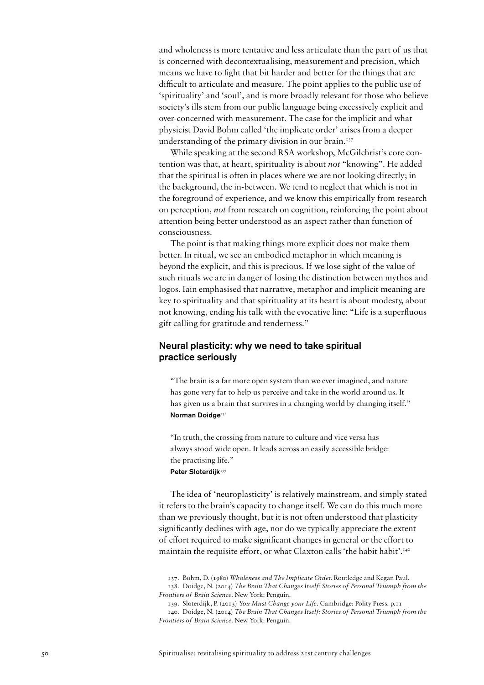and wholeness is more tentative and less articulate than the part of us that is concerned with decontextualising, measurement and precision, which means we have to fight that bit harder and better for the things that are difficult to articulate and measure. The point applies to the public use of 'spirituality' and 'soul', and is more broadly relevant for those who believe society's ills stem from our public language being excessively explicit and over-concerned with measurement. The case for the implicit and what physicist David Bohm called 'the implicate order' arises from a deeper understanding of the primary division in our brain. $137$ 

While speaking at the second RSA workshop, McGilchrist's core contention was that, at heart, spirituality is about *not* "knowing". He added that the spiritual is often in places where we are not looking directly; in the background, the in-between. We tend to neglect that which is not in the foreground of experience, and we know this empirically from research on perception, *not* from research on cognition, reinforcing the point about attention being better understood as an aspect rather than function of consciousness.

The point is that making things more explicit does not make them better. In ritual, we see an embodied metaphor in which meaning is beyond the explicit, and this is precious. If we lose sight of the value of such rituals we are in danger of losing the distinction between mythos and logos. Iain emphasised that narrative, metaphor and implicit meaning are key to spirituality and that spirituality at its heart is about modesty, about not knowing, ending his talk with the evocative line: "Life is a superfluous gift calling for gratitude and tenderness."

# Neural plasticity: why we need to take spiritual practice seriously

"The brain is a far more open system than we ever imagined, and nature has gone very far to help us perceive and take in the world around us. It has given us a brain that survives in a changing world by changing itself." Norman Doidge<sup>138</sup>

"In truth, the crossing from nature to culture and vice versa has always stood wide open. It leads across an easily accessible bridge: the practising life." Peter Sloterdijk<sup>139</sup>

The idea of 'neuroplasticity' is relatively mainstream, and simply stated it refers to the brain's capacity to change itself. We can do this much more than we previously thought, but it is not often understood that plasticity significantly declines with age, nor do we typically appreciate the extent of effort required to make significant changes in general or the effort to maintain the requisite effort, or what Claxton calls 'the habit habit'.140

<sup>137.</sup> Bohm, D. (1980) *Wholeness and The Implicate Order.* Routledge and Kegan Paul.

<sup>138.</sup> Doidge, N. (2014) *The Brain That Changes Itself: Stories of Personal Triumph from the Frontiers of Brain Science.* New York: Penguin.

<sup>139.</sup> Sloterdijk, P. (2013) *You Must Change your Life*. Cambridge: Polity Press. p.11

<sup>140.</sup> Doidge, N. (2014) *The Brain That Changes Itself: Stories of Personal Triumph from the Frontiers of Brain Science.* New York: Penguin.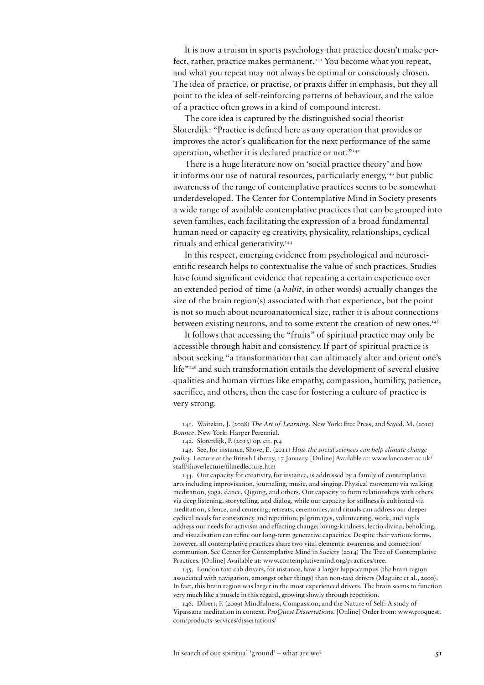It is now a truism in sports psychology that practice doesn't make perfect, rather, practice makes permanent.<sup>141</sup> You become what you repeat, and what you repeat may not always be optimal or consciously chosen. The idea of practice, or practise, or praxis differ in emphasis, but they all point to the idea of self-reinforcing patterns of behaviour, and the value of a practice often grows in a kind of compound interest.

The core idea is captured by the distinguished social theorist Sloterdijk: "Practice is defined here as any operation that provides or improves the actor's qualification for the next performance of the same operation, whether it is declared practice or not."142

There is a huge literature now on 'social practice theory' and how it informs our use of natural resources, particularly energy,<sup>143</sup> but public awareness of the range of contemplative practices seems to be somewhat underdeveloped. The Center for Contemplative Mind in Society presents a wide range of available contemplative practices that can be grouped into seven families, each facilitating the expression of a broad fundamental human need or capacity eg creativity, physicality, relationships, cyclical rituals and ethical generativity.<sup>144</sup>

In this respect, emerging evidence from psychological and neuroscientific research helps to contextualise the value of such practices. Studies have found significant evidence that repeating a certain experience over an extended period of time (a *habit*, in other words) actually changes the size of the brain region(s) associated with that experience, but the point is not so much about neuroanatomical size, rather it is about connections between existing neurons, and to some extent the creation of new ones.<sup>145</sup>

It follows that accessing the "fruits" of spiritual practice may only be accessible through habit and consistency. If part of spiritual practice is about seeking "a transformation that can ultimately alter and orient one's life"146 and such transformation entails the development of several elusive qualities and human virtues like empathy, compassion, humility, patience, sacrifice, and others, then the case for fostering a culture of practice is very strong.

141. Waitzkin, J. (2008) *The Art of Learning*. New York: Free Press; and Sayed, M. (2010) *Bounce*. New York: Harper Perennial.

142. Sloterdijk, P. (2013) op. cit. p.4

143. See, for instance, Shove, E. (2011) *How the social sciences can help climate change policy.* Lecture at the British Library, 17 January. [Online] Available at: www.lancaster.ac.uk/ staff/shove/lecture/filmedlecture.htm

144. Our capacity for creativity, for instance, is addressed by a family of contemplative arts including improvisation, journaling, music, and singing. Physical movement via walking meditation, yoga, dance, Qigong, and others. Our capacity to form relationships with others via deep listening, storytelling, and dialog, while our capacity for stillness is cultivated via meditation, silence, and centering; retreats, ceremonies, and rituals can address our deeper cyclical needs for consistency and repetition; pilgrimages, volunteering, work, and vigils address our needs for activism and effecting change; loving-kindness, lectio divina, beholding, and visualisation can refine our long-term generative capacities. Despite their various forms, however, all contemplative practices share two vital elements: awareness and connection/ communion. See Center for Contemplative Mind in Society (2014) The Tree of Contemplative Practices. [Online] Available at: www.contemplativemind.org/practices/tree.

145. London taxi cab drivers, for instance, have a larger hippocampus (the brain region associated with navigation, amongst other things) than non-taxi drivers (Maguire et al., 2000). In fact, this brain region was larger in the most experienced drivers. The brain seems to function very much like a muscle in this regard, growing slowly through repetition.

146. Dibert, F. (2009) Mindfulness, Compassion, and the Nature of Self: A study of Vipassana meditation in context. *ProQuest Dissertations*. [Online] Order from: www.proquest. com/products-services/dissertations/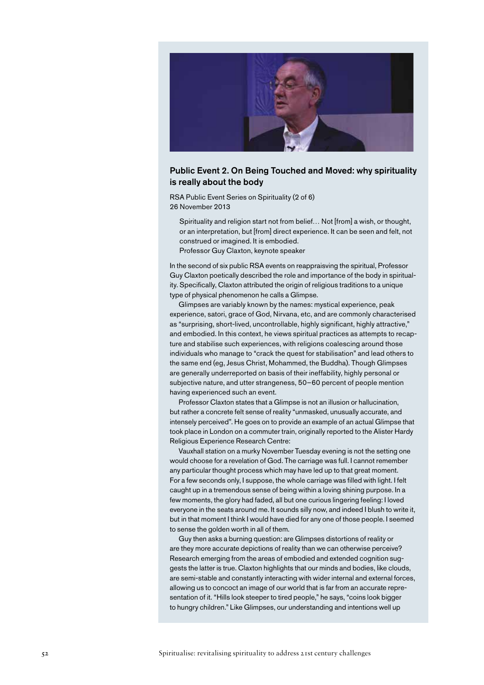

## Public Event 2. On Being Touched and Moved: why spirituality is really about the body

RSA Public Event Series on Spirituality (2 of 6) 26 November 2013

Spirituality and religion start not from belief... Not [from] a wish, or thought, or an interpretation, but [from] direct experience. It can be seen and felt, not construed or imagined. It is embodied. Professor Guy Claxton, keynote speaker

In the second of six public RSA events on reappraisving the spiritual, Professor Guy Claxton poetically described the role and importance of the body in spirituality. Specifically, Claxton attributed the origin of religious traditions to a unique type of physical phenomenon he calls a Glimpse.

Glimpses are variably known by the names: mystical experience, peak experience, satori, grace of God, Nirvana, etc, and are commonly characterised as "surprising, short-lived, uncontrollable, highly significant, highly attractive," and embodied. In this context, he views spiritual practices as attempts to recapture and stabilise such experiences, with religions coalescing around those individuals who manage to "crack the quest for stabilisation" and lead others to the same end (eg, Jesus Christ, Mohammed, the Buddha). Though Glimpses are generally underreported on basis of their ineffability, highly personal or subjective nature, and utter strangeness, 50–60 percent of people mention having experienced such an event.

Professor Claxton states that a Glimpse is not an illusion or hallucination, but rather a concrete felt sense of reality "unmasked, unusually accurate, and intensely perceived". He goes on to provide an example of an actual Glimpse that took place in London on a commuter train, originally reported to the Alister Hardy Religious Experience Research Centre:

Vauxhall station on a murky November Tuesday evening is not the setting one would choose for a revelation of God. The carriage was full. I cannot remember any particular thought process which may have led up to that great moment. For a few seconds only, I suppose, the whole carriage was filled with light. I felt caught up in a tremendous sense of being within a loving shining purpose. In a few moments, the glory had faded, all but one curious lingering feeling: I loved everyone in the seats around me. It sounds silly now, and indeed I blush to write it, but in that moment I think I would have died for any one of those people. I seemed to sense the golden worth in all of them.

Guy then asks a burning question: are Glimpses distortions of reality or are they more accurate depictions of reality than we can otherwise perceive? Research emerging from the areas of embodied and extended cognition suggests the latter is true. Claxton highlights that our minds and bodies, like clouds, are semi-stable and constantly interacting with wider internal and external forces, allowing us to concoct an image of our world that is far from an accurate representation of it. "Hills look steeper to tired people," he says, "coins look bigger to hungry children." Like Glimpses, our understanding and intentions well up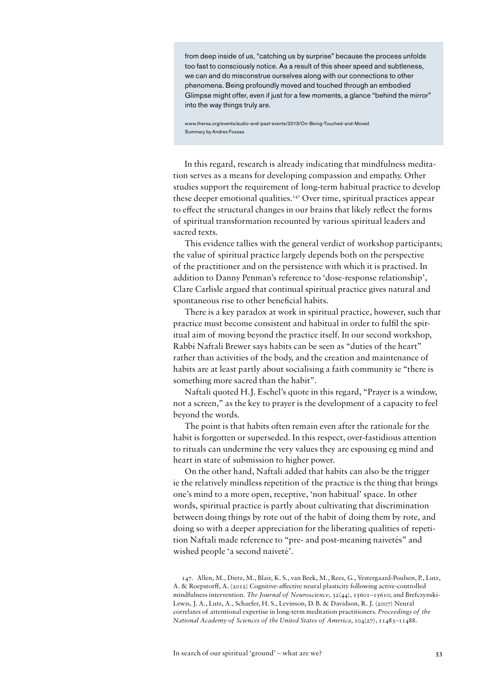from deep inside of us, "catching us by surprise" because the process unfolds too fast to consciously notice. As a result of this sheer speed and subtleness, we can and do misconstrue ourselves along with our connections to other phenomena. Being profoundly moved and touched through an embodied Glimpse might offer, even if just for a few moments, a glance "behind the mirror" into the way things truly are.

www.thersa.org/events/audio-and-past-events/2013/On-Being-Touched-and-Moved Summary by Andres Fossas

In this regard, research is already indicating that mindfulness meditation serves as a means for developing compassion and empathy. Other studies support the requirement of long-term habitual practice to develop these deeper emotional qualities.147 Over time, spiritual practices appear to effect the structural changes in our brains that likely reflect the forms of spiritual transformation recounted by various spiritual leaders and sacred texts.

This evidence tallies with the general verdict of workshop participants; the value of spiritual practice largely depends both on the perspective of the practitioner and on the persistence with which it is practised. In addition to Danny Penman's reference to 'dose-response relationship', Clare Carlisle argued that continual spiritual practice gives natural and spontaneous rise to other beneficial habits.

There is a key paradox at work in spiritual practice, however, such that practice must become consistent and habitual in order to fulfil the spiritual aim of moving beyond the practice itself. In our second workshop, Rabbi Naftali Brewer says habits can be seen as "duties of the heart" rather than activities of the body, and the creation and maintenance of habits are at least partly about socialising a faith community ie "there is something more sacred than the habit".

Naftali quoted H.J. Eschel's quote in this regard, "Prayer is a window, not a screen," as the key to prayer is the development of a capacity to feel beyond the words.

The point is that habits often remain even after the rationale for the habit is forgotten or superseded. In this respect, over-fastidious attention to rituals can undermine the very values they are espousing eg mind and heart in state of submission to higher power.

On the other hand, Naftali added that habits can also be the trigger ie the relatively mindless repetition of the practice is the thing that brings one's mind to a more open, receptive, 'non habitual' space. In other words, spiritual practice is partly about cultivating that discrimination between doing things by rote out of the habit of doing them by rote, and doing so with a deeper appreciation for the liberating qualities of repetition Naftali made reference to "pre- and post-meaning naivetés" and wished people 'a second naiveté'.

147. Allen, M., Dietz, M., Blair, K. S., van Beek, M., Rees, G., Vestergaard-Poulsen, P., Lutz, A. & Roepstorff, A. (2012) Cognitive-affective neural plasticity following active-controlled mindfulness intervention. *The Journal of Neuroscience*, 32(44), 15601–15610; and Brefczynski-Lewis, J. A., Lutz, A., Schaefer, H. S., Levinson, D. B. & Davidson, R. J. (2007) Neural correlates of attentional expertise in long-term meditation practitioners. *Proceedings of the National Academy of Sciences of the United States of America*, 104(27), 11483–11488.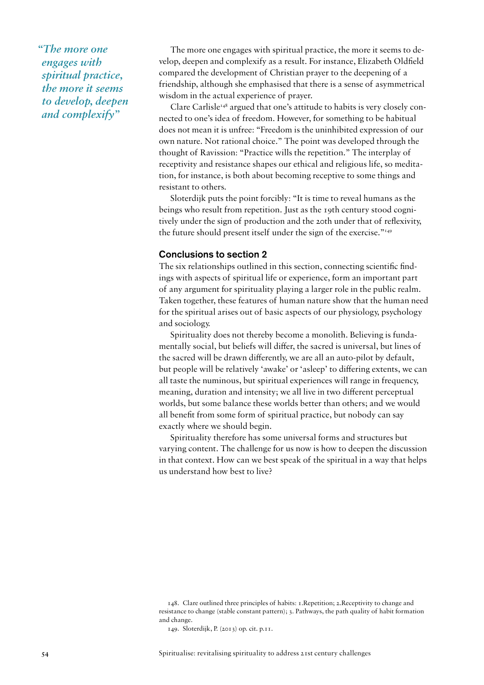*"The more one engages with spiritual practice, the more it seems to develop, deepen and complexify"*

The more one engages with spiritual practice, the more it seems to develop, deepen and complexify as a result. For instance, Elizabeth Oldfield compared the development of Christian prayer to the deepening of a friendship, although she emphasised that there is a sense of asymmetrical wisdom in the actual experience of prayer.

Clare Carlisle<sup> $148$ </sup> argued that one's attitude to habits is very closely connected to one's idea of freedom. However, for something to be habitual does not mean it is unfree: "Freedom is the uninhibited expression of our own nature. Not rational choice." The point was developed through the thought of Ravission: "Practice wills the repetition." The interplay of receptivity and resistance shapes our ethical and religious life, so meditation, for instance, is both about becoming receptive to some things and resistant to others.

Sloterdijk puts the point forcibly: "It is time to reveal humans as the beings who result from repetition. Just as the 19th century stood cognitively under the sign of production and the 20th under that of reflexivity, the future should present itself under the sign of the exercise."<sup>149</sup>

## Conclusions to section 2

The six relationships outlined in this section, connecting scientific findings with aspects of spiritual life or experience, form an important part of any argument for spirituality playing a larger role in the public realm. Taken together, these features of human nature show that the human need for the spiritual arises out of basic aspects of our physiology, psychology and sociology.

Spirituality does not thereby become a monolith. Believing is fundamentally social, but beliefs will differ, the sacred is universal, but lines of the sacred will be drawn differently, we are all an auto-pilot by default, but people will be relatively 'awake' or 'asleep' to differing extents, we can all taste the numinous, but spiritual experiences will range in frequency, meaning, duration and intensity; we all live in two different perceptual worlds, but some balance these worlds better than others; and we would all benefit from some form of spiritual practice, but nobody can say exactly where we should begin.

Spirituality therefore has some universal forms and structures but varying content. The challenge for us now is how to deepen the discussion in that context. How can we best speak of the spiritual in a way that helps us understand how best to live?

<sup>148.</sup> Clare outlined three principles of habits: 1.Repetition; 2.Receptivity to change and resistance to change (stable constant pattern); 3. Pathways, the path quality of habit formation and change.

<sup>149.</sup> Sloterdijk, P. (2013) op. cit. p.11.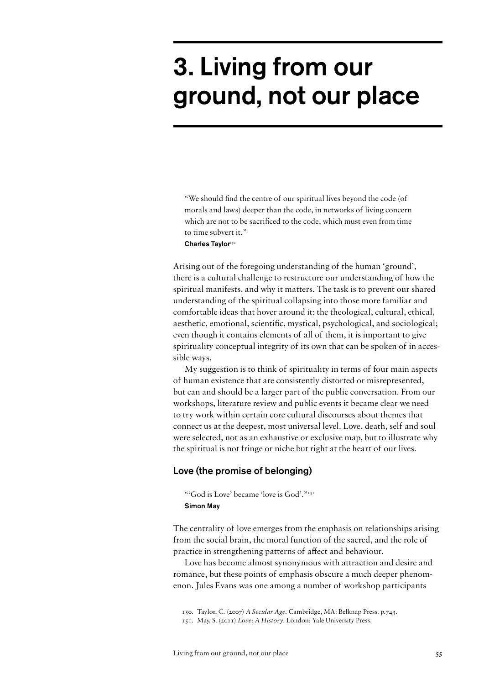# 3. Living from our ground, not our place

"We should find the centre of our spiritual lives beyond the code (of morals and laws) deeper than the code, in networks of living concern which are not to be sacrificed to the code, which must even from time to time subvert it." Charles Taylor<sup>150</sup>

Arising out of the foregoing understanding of the human 'ground', there is a cultural challenge to restructure our understanding of how the spiritual manifests, and why it matters. The task is to prevent our shared understanding of the spiritual collapsing into those more familiar and comfortable ideas that hover around it: the theological, cultural, ethical, aesthetic, emotional, scientific, mystical, psychological, and sociological; even though it contains elements of all of them, it is important to give spirituality conceptual integrity of its own that can be spoken of in accessible ways.

My suggestion is to think of spirituality in terms of four main aspects of human existence that are consistently distorted or misrepresented, but can and should be a larger part of the public conversation. From our workshops, literature review and public events it became clear we need to try work within certain core cultural discourses about themes that connect us at the deepest, most universal level. Love, death, self and soul were selected, not as an exhaustive or exclusive map, but to illustrate why the spiritual is not fringe or niche but right at the heart of our lives.

### Love (the promise of belonging)

"'God is Love' became 'love is God'."<sup>151</sup> Simon May

The centrality of love emerges from the emphasis on relationships arising from the social brain, the moral function of the sacred, and the role of practice in strengthening patterns of affect and behaviour.

Love has become almost synonymous with attraction and desire and romance, but these points of emphasis obscure a much deeper phenomenon. Jules Evans was one among a number of workshop participants

<sup>150.</sup> Taylor, C. (2007) *A Secular Age*. Cambridge, MA: Belknap Press. p.743.

<sup>151.</sup> May, S. (2011) *Love: A History*. London: Yale University Press.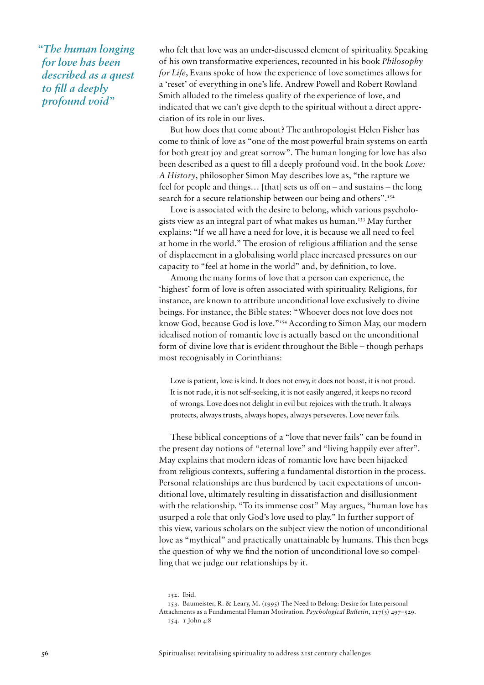*"The human longing for love has been described as a quest to fill a deeply profound void"*

who felt that love was an under-discussed element of spirituality. Speaking of his own transformative experiences, recounted in his book *Philosophy for Life*, Evans spoke of how the experience of love sometimes allows for a 'reset' of everything in one's life. Andrew Powell and Robert Rowland Smith alluded to the timeless quality of the experience of love, and indicated that we can't give depth to the spiritual without a direct appreciation of its role in our lives.

But how does that come about? The anthropologist Helen Fisher has come to think of love as "one of the most powerful brain systems on earth for both great joy and great sorrow". The human longing for love has also been described as a quest to fill a deeply profound void. In the book *Love: A History*, philosopher Simon May describes love as, "the rapture we feel for people and things… [that] sets us off on – and sustains – the long search for a secure relationship between our being and others".<sup>152</sup>

Love is associated with the desire to belong, which various psychologists view as an integral part of what makes us human.153 May further explains: "If we all have a need for love, it is because we all need to feel at home in the world." The erosion of religious affiliation and the sense of displacement in a globalising world place increased pressures on our capacity to "feel at home in the world" and, by definition, to love.

Among the many forms of love that a person can experience, the 'highest' form of love is often associated with spirituality. Religions, for instance, are known to attribute unconditional love exclusively to divine beings. For instance, the Bible states: "Whoever does not love does not know God, because God is love."154 According to Simon May, our modern idealised notion of romantic love is actually based on the unconditional form of divine love that is evident throughout the Bible – though perhaps most recognisably in Corinthians:

Love is patient, love is kind. It does not envy, it does not boast, it is not proud. It is not rude, it is not self-seeking, it is not easily angered, it keeps no record of wrongs. Love does not delight in evil but rejoices with the truth. It always protects, always trusts, always hopes, always perseveres. Love never fails.

These biblical conceptions of a "love that never fails" can be found in the present day notions of "eternal love" and "living happily ever after". May explains that modern ideas of romantic love have been hijacked from religious contexts, suffering a fundamental distortion in the process. Personal relationships are thus burdened by tacit expectations of unconditional love, ultimately resulting in dissatisfaction and disillusionment with the relationship. "To its immense cost" May argues, "human love has usurped a role that only God's love used to play." In further support of this view, various scholars on the subject view the notion of unconditional love as "mythical" and practically unattainable by humans. This then begs the question of why we find the notion of unconditional love so compelling that we judge our relationships by it.

<sup>152.</sup> Ibid.

<sup>153.</sup> Baumeister, R. & Leary, M. (1995) The Need to Belong: Desire for Interpersonal Attachments as a Fundamental Human Motivation. *Psychological Bulletin*, 117(3) 497–529*.* 154. 1 John 4:8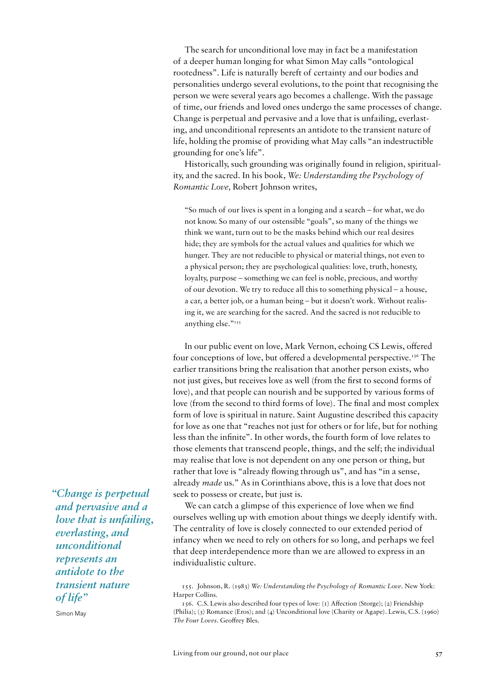The search for unconditional love may in fact be a manifestation of a deeper human longing for what Simon May calls "ontological rootedness". Life is naturally bereft of certainty and our bodies and personalities undergo several evolutions, to the point that recognising the person we were several years ago becomes a challenge. With the passage of time, our friends and loved ones undergo the same processes of change. Change is perpetual and pervasive and a love that is unfailing, everlasting, and unconditional represents an antidote to the transient nature of life, holding the promise of providing what May calls "an indestructible grounding for one's life".

Historically, such grounding was originally found in religion, spirituality, and the sacred. In his book, *We: Understanding the Psychology of Romantic Love,* Robert Johnson writes,

"So much of our lives is spent in a longing and a search – for what, we do not know. So many of our ostensible "goals", so many of the things we think we want, turn out to be the masks behind which our real desires hide; they are symbols for the actual values and qualities for which we hunger. They are not reducible to physical or material things, not even to a physical person; they are psychological qualities: love, truth, honesty, loyalty, purpose – something we can feel is noble, precious, and worthy of our devotion. We try to reduce all this to something physical – a house, a car, a better job, or a human being – but it doesn't work. Without realising it, we are searching for the sacred. And the sacred is not reducible to anything else."155

In our public event on love, Mark Vernon, echoing CS Lewis, offered four conceptions of love, but offered a developmental perspective.<sup>156</sup> The earlier transitions bring the realisation that another person exists, who not just gives, but receives love as well (from the first to second forms of love), and that people can nourish and be supported by various forms of love (from the second to third forms of love). The final and most complex form of love is spiritual in nature. Saint Augustine described this capacity for love as one that "reaches not just for others or for life, but for nothing less than the infinite". In other words, the fourth form of love relates to those elements that transcend people, things, and the self; the individual may realise that love is not dependent on any one person or thing, but rather that love is "already flowing through us", and has "in a sense, already *made* us." As in Corinthians above, this is a love that does not seek to possess or create, but just is.

We can catch a glimpse of this experience of love when we find ourselves welling up with emotion about things we deeply identify with. The centrality of love is closely connected to our extended period of infancy when we need to rely on others for so long, and perhaps we feel that deep interdependence more than we are allowed to express in an individualistic culture.

*"Change is perpetual and pervasive and a love that is unfailing, everlasting, and unconditional represents an antidote to the transient nature of life"* 

Simon May

<sup>155.</sup> Johnson, R. (1983) *We: Understanding the Psychology of Romantic Love*. New York: Harper Collins.

<sup>156.</sup> C.S. Lewis also described four types of love: (1) Affection (Storge); (2) Friendship (Philia); (3) Romance (Eros); and (4) Unconditional love (Charity or Agape). Lewis, C.S. (1960) *The Four Loves*. Geoffrey Bles.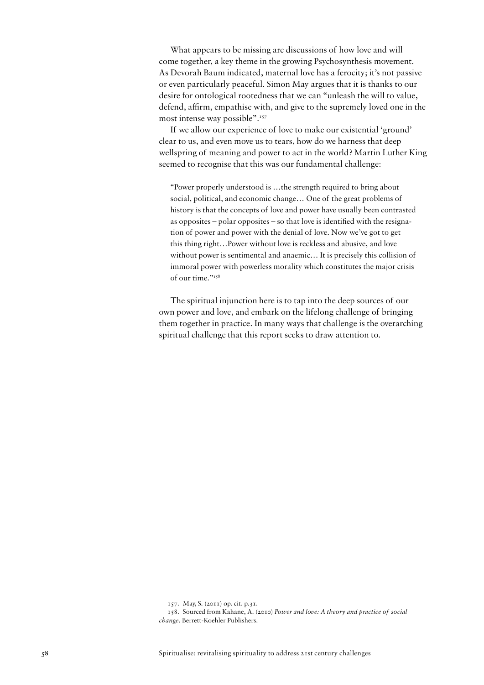What appears to be missing are discussions of how love and will come together, a key theme in the growing Psychosynthesis movement. As Devorah Baum indicated, maternal love has a ferocity; it's not passive or even particularly peaceful. Simon May argues that it is thanks to our desire for ontological rootedness that we can "unleash the will to value, defend, affirm, empathise with, and give to the supremely loved one in the most intense way possible".<sup>157</sup>

If we allow our experience of love to make our existential 'ground' clear to us, and even move us to tears, how do we harness that deep wellspring of meaning and power to act in the world? Martin Luther King seemed to recognise that this was our fundamental challenge:

"Power properly understood is …the strength required to bring about social, political, and economic change… One of the great problems of history is that the concepts of love and power have usually been contrasted as opposites – polar opposites – so that love is identified with the resignation of power and power with the denial of love. Now we've got to get this thing right…Power without love is reckless and abusive, and love without power is sentimental and anaemic… It is precisely this collision of immoral power with powerless morality which constitutes the major crisis of our time."<sup>158</sup>

The spiritual injunction here is to tap into the deep sources of our own power and love, and embark on the lifelong challenge of bringing them together in practice. In many ways that challenge is the overarching spiritual challenge that this report seeks to draw attention to.

<sup>157.</sup> May, S. (2011) op. cit. p.31.

<sup>158.</sup> Sourced from Kahane, A. (2010) *Power and love: A theory and practice of social change*. Berrett-Koehler Publishers.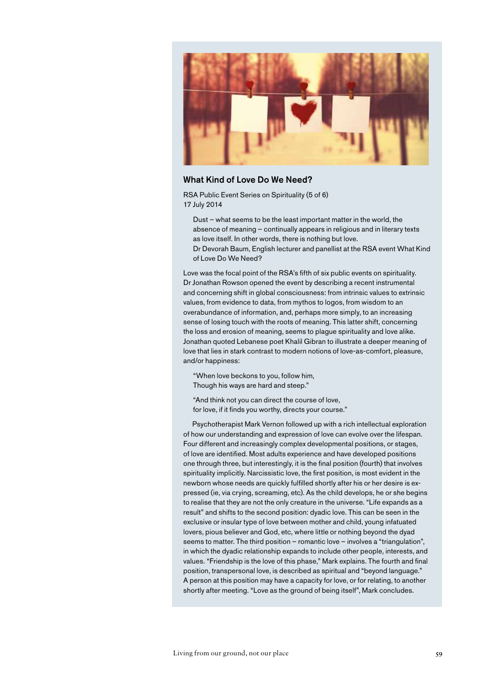

#### What Kind of Love Do We Need?

RSA Public Event Series on Spirituality (5 of 6) 17 July 2014

- Dust what seems to be the least important matter in the world, the absence of meaning – continually appears in religious and in literary texts as love itself. In other words, there is nothing but love.
- Dr Devorah Baum, English lecturer and panellist at the RSA event What Kind of Love Do We Need?

Love was the focal point of the RSA's fifth of six public events on spirituality. Dr Jonathan Rowson opened the event by describing a recent instrumental and concerning shift in global consciousness: from intrinsic values to extrinsic values, from evidence to data, from mythos to logos, from wisdom to an overabundance of information, and, perhaps more simply, to an increasing sense of losing touch with the roots of meaning. This latter shift, concerning the loss and erosion of meaning, seems to plague spirituality and love alike. Jonathan quoted Lebanese poet Khalil Gibran to illustrate a deeper meaning of love that lies in stark contrast to modern notions of love-as-comfort, pleasure, and/or happiness:

"When love beckons to you, follow him, Though his ways are hard and steep."

"And think not you can direct the course of love, for love, if it finds you worthy, directs your course."

Psychotherapist Mark Vernon followed up with a rich intellectual exploration of how our understanding and expression of love can evolve over the lifespan. Four different and increasingly complex developmental positions, or stages, of love are identified. Most adults experience and have developed positions one through three, but interestingly, it is the final position (fourth) that involves spirituality implicitly. Narcissistic love, the first position, is most evident in the newborn whose needs are quickly fulfilled shortly after his or her desire is expressed (ie, via crying, screaming, etc). As the child develops, he or she begins to realise that they are not the only creature in the universe. "Life expands as a result" and shifts to the second position: dyadic love. This can be seen in the exclusive or insular type of love between mother and child, young infatuated lovers, pious believer and God, etc, where little or nothing beyond the dyad seems to matter. The third position – romantic love – involves a "triangulation", in which the dyadic relationship expands to include other people, interests, and values. "Friendship is the love of this phase," Mark explains. The fourth and final position, transpersonal love, is described as spiritual and "beyond language." A person at this position may have a capacity for love, or for relating, to another shortly after meeting. "Love as the ground of being itself", Mark concludes.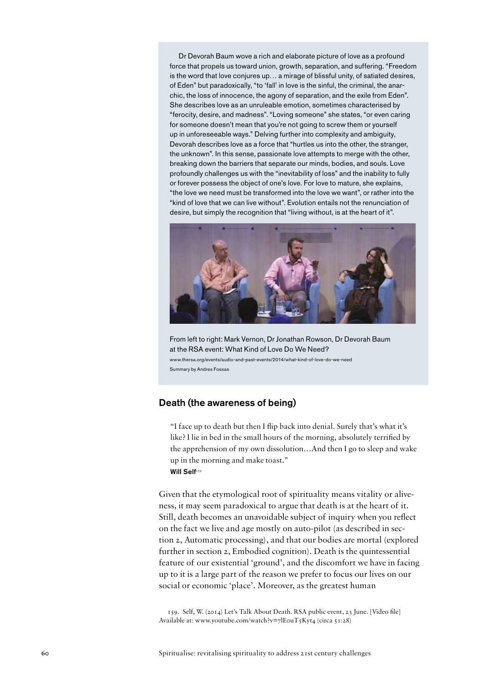Dr Devorah Baum wove a rich and elaborate picture of love as a profound force that propels us toward union, growth, separation, and suffering. "Freedom is the word that love conjures up… a mirage of blissful unity, of satiated desires, of Eden" but paradoxically, "to 'fall' in love is the sinful, the criminal, the anarchic, the loss of innocence, the agony of separation, and the exile from Eden". She describes love as an unruleable emotion, sometimes characterised by "ferocity, desire, and madness". "Loving someone" she states, "or even caring for someone doesn't mean that you're not going to screw them or yourself up in unforeseeable ways." Delving further into complexity and ambiguity, Devorah describes love as a force that "hurtles us into the other, the stranger, the unknown". In this sense, passionate love attempts to merge with the other, breaking down the barriers that separate our minds, bodies, and souls. Love profoundly challenges us with the "inevitability of loss" and the inability to fully or forever possess the object of one's love. For love to mature, she explains, "the love we need must be transformed into the love we want", or rather into the "kind of love that we can live without". Evolution entails not the renunciation of desire, but simply the recognition that "living without, is at the heart of it".



From left to right: Mark Vernon, Dr Jonathan Rowson, Dr Devorah Baum at the RSA event: What Kind of Love Do We Need? www.thersa.org/events/audio-and-past-events/2014/what-kind-of-love-do-we-need Summary by Andres Fossas

## Death (the awareness of being)

"I face up to death but then I flip back into denial. Surely that's what it's like? I lie in bed in the small hours of the morning, absolutely terrified by the apprehension of my own dissolution…And then I go to sleep and wake up in the morning and make toast." Will Self159

Given that the etymological root of spirituality means vitality or aliveness, it may seem paradoxical to argue that death is at the heart of it. Still, death becomes an unavoidable subject of inquiry when you reflect on the fact we live and age mostly on auto-pilot (as described in section 2, Automatic processing), and that our bodies are mortal (explored further in section 2, Embodied cognition). Death is the quintessential feature of our existential 'ground', and the discomfort we have in facing up to it is a large part of the reason we prefer to focus our lives on our social or economic 'place'. Moreover, as the greatest human

159. Self, W. (2014) Let's Talk About Death. RSA public event, 23 June. [Video file] Available at: www.youtube.com/watch?v=7lE0uT5Kyt4 (circa 51:28)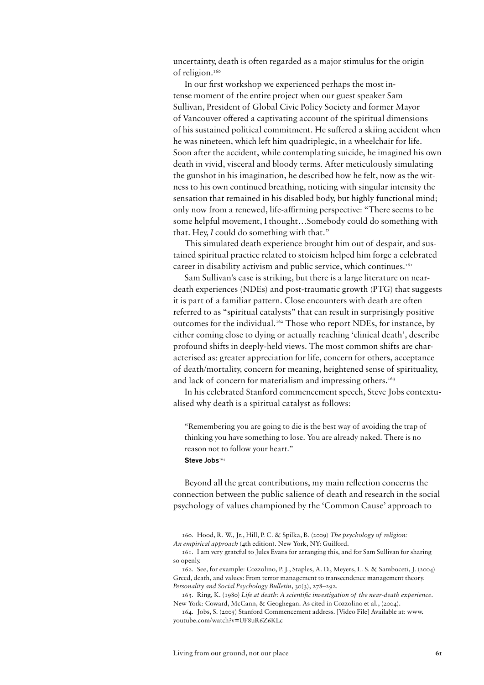uncertainty, death is often regarded as a major stimulus for the origin of religion.<sup>160</sup>

In our first workshop we experienced perhaps the most intense moment of the entire project when our guest speaker Sam Sullivan, President of Global Civic Policy Society and former Mayor of Vancouver offered a captivating account of the spiritual dimensions of his sustained political commitment. He suffered a skiing accident when he was nineteen, which left him quadriplegic, in a wheelchair for life. Soon after the accident, while contemplating suicide, he imagined his own death in vivid, visceral and bloody terms. After meticulously simulating the gunshot in his imagination, he described how he felt, now as the witness to his own continued breathing, noticing with singular intensity the sensation that remained in his disabled body, but highly functional mind; only now from a renewed, life-affirming perspective: "There seems to be some helpful movement, I thought…Somebody could do something with that. Hey, *I* could do something with that."

This simulated death experience brought him out of despair, and sustained spiritual practice related to stoicism helped him forge a celebrated career in disability activism and public service, which continues.<sup>161</sup>

Sam Sullivan's case is striking, but there is a large literature on neardeath experiences (NDEs) and post-traumatic growth (PTG) that suggests it is part of a familiar pattern. Close encounters with death are often referred to as "spiritual catalysts" that can result in surprisingly positive outcomes for the individual.162 Those who report NDEs, for instance, by either coming close to dying or actually reaching 'clinical death', describe profound shifts in deeply-held views. The most common shifts are characterised as: greater appreciation for life, concern for others, acceptance of death/mortality, concern for meaning, heightened sense of spirituality, and lack of concern for materialism and impressing others.<sup>163</sup>

In his celebrated Stanford commencement speech, Steve Jobs contextualised why death is a spiritual catalyst as follows:

"Remembering you are going to die is the best way of avoiding the trap of thinking you have something to lose. You are already naked. There is no reason not to follow your heart." Steve Jobs164

Beyond all the great contributions, my main reflection concerns the connection between the public salience of death and research in the social psychology of values championed by the 'Common Cause' approach to

<sup>160.</sup> Hood, R. W., Jr., Hill, P. C. & Spilka, B. (2009) *The psychology of religion: An empirical approach* (4th edition). New York, NY: Guilford.

<sup>161.</sup> I am very grateful to Jules Evans for arranging this, and for Sam Sullivan for sharing so openly.

<sup>162.</sup> See, for example: Cozzolino, P. J., Staples, A. D., Meyers, L. S. & Samboceti, J. (2004) Greed, death, and values: From terror management to transcendence management theory. *Personality and Social Psychology Bulletin*, 30(3), 278–292.

<sup>163.</sup> Ring, K. (1980) *Life at death: A scientific investigation of the near-death experience*. New York: Coward, McCann, & Geoghegan. As cited in Cozzolino et al., (2004).

<sup>164.</sup> Jobs, S. (2005) Stanford Commencement address. [Video File] Available at: www. youtube.com/watch?v=UF8uR6Z6KLc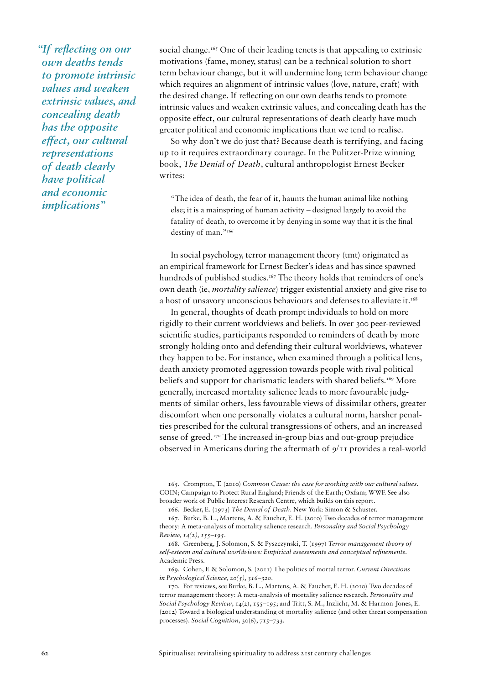*"If reflecting on our own deaths tends to promote intrinsic values and weaken extrinsic values, and concealing death has the opposite effect, our cultural representations of death clearly have political and economic implications"*

social change.<sup>165</sup> One of their leading tenets is that appealing to extrinsic motivations (fame, money, status) can be a technical solution to short term behaviour change, but it will undermine long term behaviour change which requires an alignment of intrinsic values (love, nature, craft) with the desired change. If reflecting on our own deaths tends to promote intrinsic values and weaken extrinsic values, and concealing death has the opposite effect, our cultural representations of death clearly have much greater political and economic implications than we tend to realise.

So why don't we do just that? Because death is terrifying, and facing up to it requires extraordinary courage. In the Pulitzer-Prize winning book, *The Denial of Death*, cultural anthropologist Ernest Becker writes:

"The idea of death, the fear of it, haunts the human animal like nothing else; it is a mainspring of human activity – designed largely to avoid the fatality of death, to overcome it by denying in some way that it is the final destiny of man."166

In social psychology, terror management theory (tmt) originated as an empirical framework for Ernest Becker's ideas and has since spawned hundreds of published studies.<sup>167</sup> The theory holds that reminders of one's own death (ie, *mortality salience*) trigger existential anxiety and give rise to a host of unsavory unconscious behaviours and defenses to alleviate it.<sup>168</sup>

In general, thoughts of death prompt individuals to hold on more rigidly to their current worldviews and beliefs. In over 300 peer-reviewed scientific studies, participants responded to reminders of death by more strongly holding onto and defending their cultural worldviews, whatever they happen to be. For instance, when examined through a political lens, death anxiety promoted aggression towards people with rival political beliefs and support for charismatic leaders with shared beliefs.<sup>169</sup> More generally, increased mortality salience leads to more favourable judgments of similar others, less favourable views of dissimilar others, greater discomfort when one personally violates a cultural norm, harsher penalties prescribed for the cultural transgressions of others, and an increased sense of greed.<sup>170</sup> The increased in-group bias and out-group prejudice observed in Americans during the aftermath of 9/11 provides a real-world

165. Crompton, T. (2010) *Common Cause: the case for working with our cultural values*. COIN; Campaign to Protect Rural England; Friends of the Earth; Oxfam; WWF. See also broader work of Public Interest Research Centre, which builds on this report.

166. Becker, E. (1973) *The Denial of Death.* New York: Simon & Schuster.

167. Burke, B. L., Martens, A. & Faucher, E. H. (2010) Two decades of terror management theory: A meta-analysis of mortality salience research. *Personality and Social Psychology Review, 14(2), 155–195.*

168. Greenberg, J. Solomon, S. & Pyszczynski, T. (1997) *Terror management theory of self-esteem and cultural worldviews: Empirical assessments and conceptual refinements*. Academic Press.

169. Cohen, F. & Solomon, S. (2011) The politics of mortal terror. *Current Directions in Psychological Science, 20(5), 316–320.*

170. For reviews, see Burke, B. L., Martens, A. & Faucher, E. H. (2010) Two decades of terror management theory: A meta-analysis of mortality salience research. *Personality and Social Psychology Review*, 14(2), 155–195; and Tritt, S. M., Inzlicht, M. & Harmon-Jones, E. (2012) Toward a biological understanding of mortality salience (and other threat compensation processes). *Social Cognition*, 30(6), 715–733.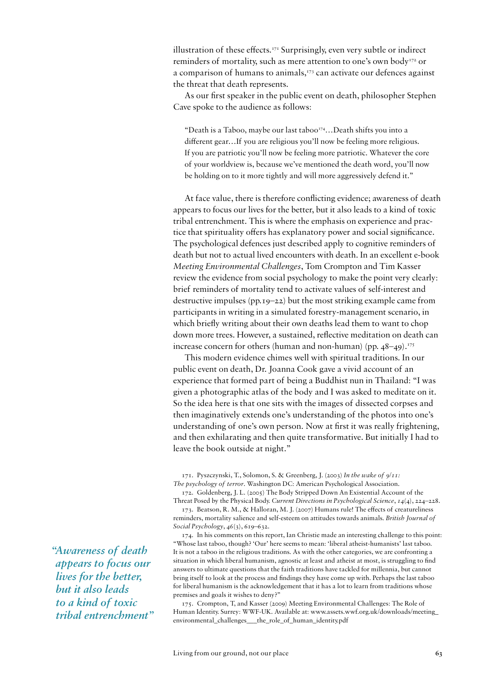illustration of these effects.171 Surprisingly, even very subtle or indirect reminders of mortality, such as mere attention to one's own body<sup>172</sup> or a comparison of humans to animals,<sup>173</sup> can activate our defences against the threat that death represents.

As our first speaker in the public event on death, philosopher Stephen Cave spoke to the audience as follows:

"Death is a Taboo, maybe our last taboo<sup>174</sup>...Death shifts you into a different gear…If you are religious you'll now be feeling more religious. If you are patriotic you'll now be feeling more patriotic. Whatever the core of your worldview is, because we've mentioned the death word, you'll now be holding on to it more tightly and will more aggressively defend it."

At face value, there is therefore conflicting evidence; awareness of death appears to focus our lives for the better, but it also leads to a kind of toxic tribal entrenchment. This is where the emphasis on experience and practice that spirituality offers has explanatory power and social significance. The psychological defences just described apply to cognitive reminders of death but not to actual lived encounters with death. In an excellent e-book *Meeting Environmental Challenges*, Tom Crompton and Tim Kasser review the evidence from social psychology to make the point very clearly: brief reminders of mortality tend to activate values of self-interest and destructive impulses (pp.19–22) but the most striking example came from participants in writing in a simulated forestry-management scenario, in which briefly writing about their own deaths lead them to want to chop down more trees. However, a sustained, reflective meditation on death can increase concern for others (human and non-human) (pp.  $48-49$ ).<sup>175</sup>

This modern evidence chimes well with spiritual traditions. In our public event on death, Dr. Joanna Cook gave a vivid account of an experience that formed part of being a Buddhist nun in Thailand: "I was given a photographic atlas of the body and I was asked to meditate on it. So the idea here is that one sits with the images of dissected corpses and then imaginatively extends one's understanding of the photos into one's understanding of one's own person. Now at first it was really frightening, and then exhilarating and then quite transformative. But initially I had to leave the book outside at night."

172. Goldenberg, J. L. (2005) The Body Stripped Down An Existential Account of the Threat Posed by the Physical Body. *Current Directions in Psychological Science*, *14*(4), 224–228.

174. In his comments on this report, Ian Christie made an interesting challenge to this point: "Whose last taboo, though? 'Our' here seems to mean: 'liberal atheist-humanists' last taboo. It is not a taboo in the religious traditions. As with the other categories, we are confronting a situation in which liberal humanism, agnostic at least and atheist at most, is struggling to find answers to ultimate questions that the faith traditions have tackled for millennia, but cannot bring itself to look at the process and findings they have come up with. Perhaps the last taboo for liberal humanism is the acknowledgement that it has a lot to learn from traditions whose premises and goals it wishes to deny?"

175. Crompton, T, and Kasser (2009) Meeting Environmental Challenges: The Role of Human Identity. Surrey: WWF-UK. Available at: www.assets.wwf.org.uk/downloads/meeting\_ environmental\_challenges\_\_\_the\_role\_of\_human\_identity.pdf

*"Awareness of death appears to focus our lives for the better, but it also leads to a kind of toxic tribal entrenchment"* 

<sup>171.</sup> Pyszczynski, T., Solomon, S. & Greenberg, J. (2003) *In the wake of 9/11: The psychology of terror*. Washington DC: American Psychological Association.

<sup>173.</sup> Beatson, R. M., & Halloran, M. J. (2007) Humans rule! The effects of creatureliness reminders, mortality salience and self-esteem on attitudes towards animals. *British Journal of Social Psychology*, *46*(3), 619–632.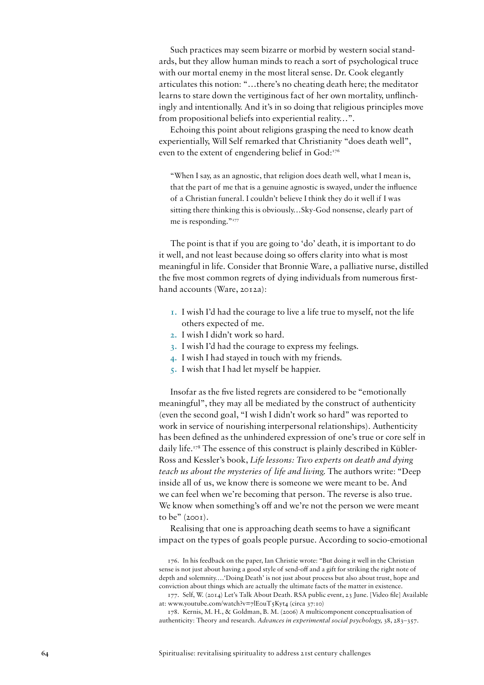Such practices may seem bizarre or morbid by western social standards, but they allow human minds to reach a sort of psychological truce with our mortal enemy in the most literal sense. Dr. Cook elegantly articulates this notion: "…there's no cheating death here; the meditator learns to stare down the vertiginous fact of her own mortality, unflinchingly and intentionally. And it's in so doing that religious principles move from propositional beliefs into experiential reality…".

Echoing this point about religions grasping the need to know death experientially, Will Self remarked that Christianity "does death well", even to the extent of engendering belief in God:<sup>176</sup>

"When I say, as an agnostic, that religion does death well, what I mean is, that the part of me that is a genuine agnostic is swayed, under the influence of a Christian funeral. I couldn't believe I think they do it well if I was sitting there thinking this is obviously…Sky-God nonsense, clearly part of me is responding."177

The point is that if you are going to 'do' death, it is important to do it well, and not least because doing so offers clarity into what is most meaningful in life. Consider that Bronnie Ware, a palliative nurse, distilled the five most common regrets of dying individuals from numerous firsthand accounts (Ware, 2012a):

- **1.** I wish I'd had the courage to live a life true to myself, not the life others expected of me.
- **2.** I wish I didn't work so hard.
- **3.** I wish I'd had the courage to express my feelings.
- **4.** I wish I had stayed in touch with my friends.
- **5.** I wish that I had let myself be happier.

Insofar as the five listed regrets are considered to be "emotionally meaningful", they may all be mediated by the construct of authenticity (even the second goal, "I wish I didn't work so hard" was reported to work in service of nourishing interpersonal relationships). Authenticity has been defined as the unhindered expression of one's true or core self in daily life.<sup>178</sup> The essence of this construct is plainly described in Kübler-Ross and Kessler's book, *Life lessons: Two experts on death and dying teach us about the mysteries of life and living.* The authors write: "Deep inside all of us, we know there is someone we were meant to be. And we can feel when we're becoming that person. The reverse is also true. We know when something's off and we're not the person we were meant to be" (2001).

Realising that one is approaching death seems to have a significant impact on the types of goals people pursue. According to socio-emotional

<sup>176.</sup> In his feedback on the paper, Ian Christie wrote: "But doing it well in the Christian sense is not just about having a good style of send-off and a gift for striking the right note of depth and solemnity….'Doing Death' is not just about process but also about trust, hope and conviction about things which are actually the ultimate facts of the matter in existence.

<sup>177.</sup> Self, W. (2014) Let's Talk About Death. RSA public event, 23 June. [Video file] Available at: www.youtube.com/watch?v=7lE0uT5Kyt4 (circa 37:10)

<sup>178.</sup> Kernis, M. H., & Goldman, B. M. (2006) A multicomponent conceptualisation of authenticity: Theory and research. *Advances in experimental social psychology,* 38, 283–357.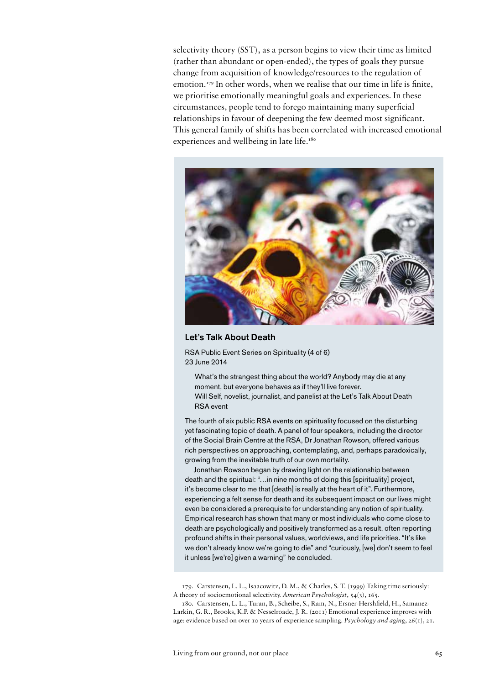selectivity theory (SST), as a person begins to view their time as limited (rather than abundant or open-ended), the types of goals they pursue change from acquisition of knowledge/resources to the regulation of emotion.<sup>179</sup> In other words, when we realise that our time in life is finite, we prioritise emotionally meaningful goals and experiences. In these circumstances, people tend to forego maintaining many superficial relationships in favour of deepening the few deemed most significant. This general family of shifts has been correlated with increased emotional experiences and wellbeing in late life.<sup>180</sup>



#### Let's Talk About Death

RSA Public Event Series on Spirituality (4 of 6) 23 June 2014

What's the strangest thing about the world? Anybody may die at any moment, but everyone behaves as if they'll live forever. Will Self, novelist, journalist, and panelist at the Let's Talk About Death RSA event

The fourth of six public RSA events on spirituality focused on the disturbing yet fascinating topic of death. A panel of four speakers, including the director of the Social Brain Centre at the RSA, Dr Jonathan Rowson, offered various rich perspectives on approaching, contemplating, and, perhaps paradoxically, growing from the inevitable truth of our own mortality.

Jonathan Rowson began by drawing light on the relationship between death and the spiritual: "…in nine months of doing this [spirituality] project, it's become clear to me that [death] is really at the heart of it". Furthermore, experiencing a felt sense for death and its subsequent impact on our lives might even be considered a prerequisite for understanding any notion of spirituality. Empirical research has shown that many or most individuals who come close to death are psychologically and positively transformed as a result, often reporting profound shifts in their personal values, worldviews, and life priorities. "It's like we don't already know we're going to die" and "curiously, [we] don't seem to feel it unless [we're] given a warning" he concluded.

179. Carstensen, L. L., Isaacowitz, D. M., & Charles, S. T. (1999) Taking time seriously: A theory of socioemotional selectivity. *American Psychologist*, 54(3), 165.

180. Carstensen, L. L., Turan, B., Scheibe, S., Ram, N., Ersner-Hershfield, H., Samanez-Larkin, G. R., Brooks, K.P. & Nesselroade, J. R. (2011) Emotional experience improves with age: evidence based on over 10 years of experience sampling. *Psychology and aging*, 26(1), 21.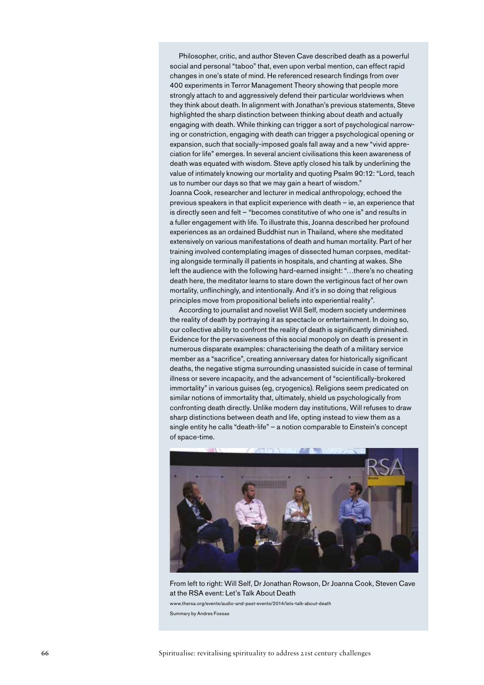Philosopher, critic, and author Steven Cave described death as a powerful social and personal "taboo" that, even upon verbal mention, can effect rapid changes in one's state of mind. He referenced research findings from over 400 experiments in Terror Management Theory showing that people more strongly attach to and aggressively defend their particular worldviews when they think about death. In alignment with Jonathan's previous statements, Steve highlighted the sharp distinction between thinking about death and actually engaging with death. While thinking can trigger a sort of psychological narrowing or constriction, engaging with death can trigger a psychological opening or expansion, such that socially-imposed goals fall away and a new "vivid appreciation for life" emerges. In several ancient civilisations this keen awareness of death was equated with wisdom. Steve aptly closed his talk by underlining the value of intimately knowing our mortality and quoting Psalm 90:12: "Lord, teach us to number our days so that we may gain a heart of wisdom." Joanna Cook, researcher and lecturer in medical anthropology, echoed the previous speakers in that explicit experience with death – ie, an experience that is directly seen and felt – "becomes constitutive of who one is" and results in a fuller engagement with life. To illustrate this, Joanna described her profound experiences as an ordained Buddhist nun in Thailand, where she meditated extensively on various manifestations of death and human mortality. Part of her training involved contemplating images of dissected human corpses, meditating alongside terminally ill patients in hospitals, and chanting at wakes. She left the audience with the following hard-earned insight: "…there's no cheating death here, the meditator learns to stare down the vertiginous fact of her own mortality, unflinchingly, and intentionally. And it's in so doing that religious principles move from propositional beliefs into experiential reality".

According to journalist and novelist Will Self, modern society undermines the reality of death by portraying it as spectacle or entertainment. In doing so, our collective ability to confront the reality of death is significantly diminished. Evidence for the pervasiveness of this social monopoly on death is present in numerous disparate examples: characterising the death of a military service member as a "sacrifice", creating anniversary dates for historically significant deaths, the negative stigma surrounding unassisted suicide in case of terminal illness or severe incapacity, and the advancement of "scientifically-brokered immortality" in various guises (eg, cryogenics). Religions seem predicated on similar notions of immortality that, ultimately, shield us psychologically from confronting death directly. Unlike modern day institutions, Will refuses to draw sharp distinctions between death and life, opting instead to view them as a single entity he calls "death-life" – a notion comparable to Einstein's concept of space-time.



From left to right: Will Self, Dr Jonathan Rowson, Dr Joanna Cook, Steven Cave at the RSA event: Let's Talk About Death www.thersa.org/events/audio-and-past-events/2014/lets-talk-about-death Summary by Andres Fossas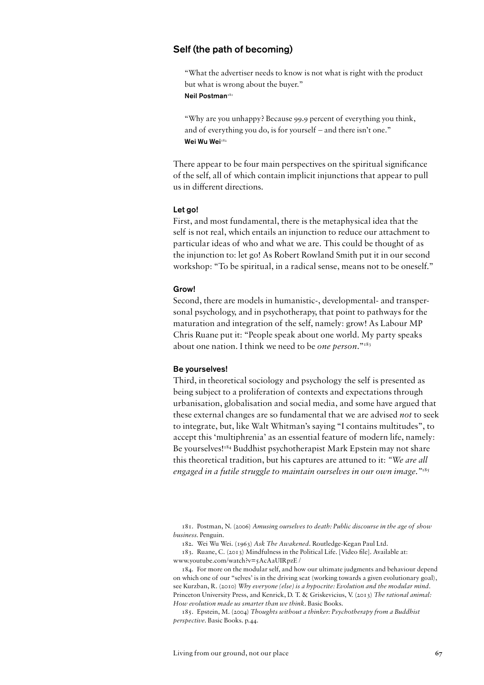## Self (the path of becoming)

"What the advertiser needs to know is not what is right with the product but what is wrong about the buyer." Neil Postman<sup>181</sup>

"Why are you unhappy? Because 99.9 percent of everything you think, and of everything you do, is for yourself – and there isn't one." Wei Wu Wei<sup>182</sup>

There appear to be four main perspectives on the spiritual significance of the self, all of which contain implicit injunctions that appear to pull us in different directions.

#### Let go!

First, and most fundamental, there is the metaphysical idea that the self is not real, which entails an injunction to reduce our attachment to particular ideas of who and what we are. This could be thought of as the injunction to: let go! As Robert Rowland Smith put it in our second workshop: "To be spiritual, in a radical sense, means not to be oneself."

#### Grow!

Second, there are models in humanistic-, developmental- and transpersonal psychology, and in psychotherapy, that point to pathways for the maturation and integration of the self, namely: grow! As Labour MP Chris Ruane put it: "People speak about one world. My party speaks about one nation. I think we need to be *one person*."183

#### Be yourselves!

Third, in theoretical sociology and psychology the self is presented as being subject to a proliferation of contexts and expectations through urbanisation, globalisation and social media, and some have argued that these external changes are so fundamental that we are advised *not* to seek to integrate, but, like Walt Whitman's saying "I contains multitudes", to accept this 'multiphrenia' as an essential feature of modern life, namely: Be yourselves!<sup>184</sup> Buddhist psychotherapist Mark Epstein may not share this theoretical tradition, but his captures are attuned to it: *"We are all engaged in a futile struggle to maintain ourselves in our own image."*<sup>185</sup>

181. Postman, N. (2006) *Amusing ourselves to death: Public discourse in the age of show business.* Penguin.

182. Wei Wu Wei. (1963) *Ask The Awakened*. Routledge-Kegan Paul Ltd.

183. Ruane, C. (2013) Mindfulness in the Political Life. [Video file]. Available at: www.youtube.com/watch?v=5AcAaUIRpzE /

184. For more on the modular self, and how our ultimate judgments and behaviour depend on which one of our "selves' is in the driving seat (working towards a given evolutionary goal), see Kurzban, R. (2010) *Why everyone (else) is a hypocrite: Evolution and the modular mind.*  Princeton University Press, and Kenrick, D. T. & Griskevicius, V. (2013) *The rational animal: How evolution made us smarter than we think.* Basic Books.

185. Epstein, M. (2004) *Thoughts without a thinker: Psychotherapy from a Buddhist perspective.* Basic Books. p.44*.*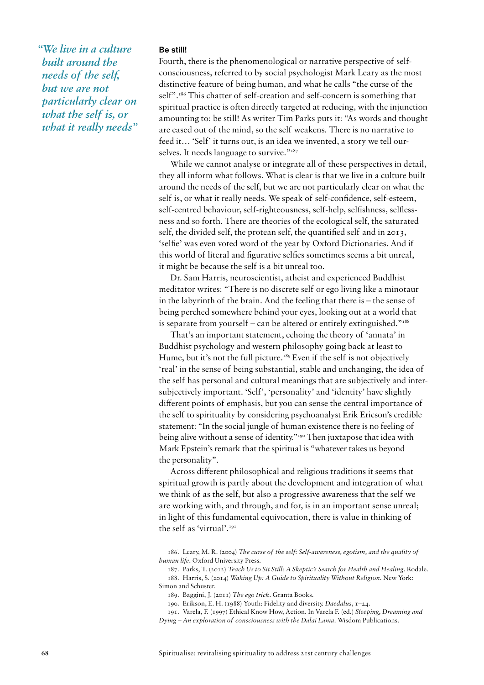*"We live in a culture built around the needs of the self, but we are not particularly clear on what the self is, or what it really needs"* 

#### Be still!

Fourth, there is the phenomenological or narrative perspective of selfconsciousness, referred to by social psychologist Mark Leary as the most distinctive feature of being human, and what he calls "the curse of the self".<sup>186</sup> This chatter of self-creation and self-concern is something that spiritual practice is often directly targeted at reducing, with the injunction amounting to: be still! As writer Tim Parks puts it: "As words and thought are eased out of the mind, so the self weakens. There is no narrative to feed it… 'Self' it turns out, is an idea we invented, a story we tell ourselves. It needs language to survive."<sup>187</sup>

While we cannot analyse or integrate all of these perspectives in detail, they all inform what follows. What is clear is that we live in a culture built around the needs of the self, but we are not particularly clear on what the self is, or what it really needs. We speak of self-confidence, self-esteem, self-centred behaviour, self-righteousness, self-help, selfishness, selflessness and so forth. There are theories of the ecological self, the saturated self, the divided self, the protean self, the quantified self and in 2013, 'selfie' was even voted word of the year by Oxford Dictionaries. And if this world of literal and figurative selfies sometimes seems a bit unreal, it might be because the self is a bit unreal too.

Dr. Sam Harris, neuroscientist, atheist and experienced Buddhist meditator writes: "There is no discrete self or ego living like a minotaur in the labyrinth of the brain. And the feeling that there is – the sense of being perched somewhere behind your eyes, looking out at a world that is separate from yourself – can be altered or entirely extinguished." $1888$ 

That's an important statement, echoing the theory of 'annata' in Buddhist psychology and western philosophy going back at least to Hume, but it's not the full picture.<sup>189</sup> Even if the self is not objectively 'real' in the sense of being substantial, stable and unchanging, the idea of the self has personal and cultural meanings that are subjectively and intersubjectively important. 'Self', 'personality' and 'identity' have slightly different points of emphasis, but you can sense the central importance of the self to spirituality by considering psychoanalyst Erik Ericson's credible statement: "In the social jungle of human existence there is no feeling of being alive without a sense of identity."<sup>190</sup> Then juxtapose that idea with Mark Epstein's remark that the spiritual is "whatever takes us beyond the personality".

Across different philosophical and religious traditions it seems that spiritual growth is partly about the development and integration of what we think of as the self, but also a progressive awareness that the self we are working with, and through, and for, is in an important sense unreal; in light of this fundamental equivocation, there is value in thinking of the self as 'virtual'.191

186. Leary, M. R. (2004) *The curse of the self: Self-awareness, egotism, and the quality of human life*. Oxford University Press.

187. Parks, T. (2012) *Teach Us to Sit Still: A Skeptic's Search for Health and Healing*. Rodale. 188. Harris, S. (2014) *Waking Up: A Guide to Spirituality Without Religion*. New York: Simon and Schuster.

189. Baggini, J. (2011) *The ego trick*. Granta Books.

190. Erikson, E. H. (1988) Youth: Fidelity and diversity. *Daedalus*, 1–24.

191. Varela, F. (1997) Ethical Know How, Action. In Varela F. (ed.) *Sleeping, Dreaming and Dying – An exploration of consciousness with the Dalai Lama*. Wisdom Publications.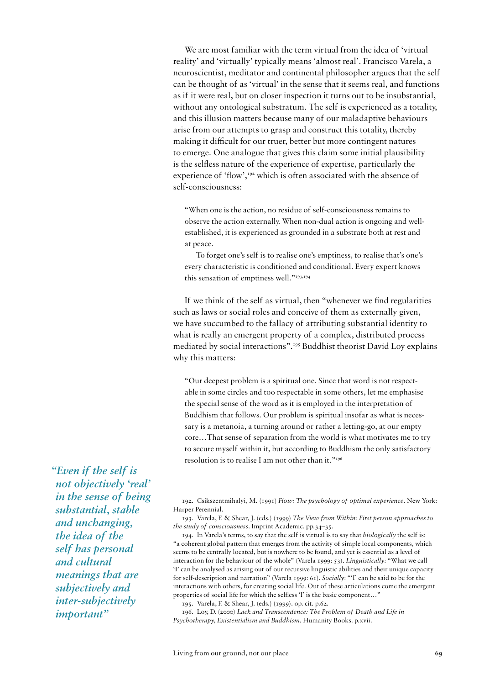We are most familiar with the term virtual from the idea of 'virtual reality' and 'virtually' typically means 'almost real'. Francisco Varela, a neuroscientist, meditator and continental philosopher argues that the self can be thought of as 'virtual' in the sense that it seems real, and functions as if it were real, but on closer inspection it turns out to be insubstantial, without any ontological substratum. The self is experienced as a totality, and this illusion matters because many of our maladaptive behaviours arise from our attempts to grasp and construct this totality, thereby making it difficult for our truer, better but more contingent natures to emerge. One analogue that gives this claim some initial plausibility is the selfless nature of the experience of expertise, particularly the experience of 'flow',<sup>192</sup> which is often associated with the absence of self-consciousness:

"When one is the action, no residue of self-consciousness remains to observe the action externally. When non-dual action is ongoing and wellestablished, it is experienced as grounded in a substrate both at rest and at peace.

To forget one's self is to realise one's emptiness, to realise that's one's every characteristic is conditioned and conditional. Every expert knows this sensation of emptiness well."193,194

If we think of the self as virtual, then "whenever we find regularities such as laws or social roles and conceive of them as externally given, we have succumbed to the fallacy of attributing substantial identity to what is really an emergent property of a complex, distributed process mediated by social interactions".195 Buddhist theorist David Loy explains why this matters:

"Our deepest problem is a spiritual one. Since that word is not respectable in some circles and too respectable in some others, let me emphasise the special sense of the word as it is employed in the interpretation of Buddhism that follows. Our problem is spiritual insofar as what is necessary is a metanoia, a turning around or rather a letting-go, at our empty core…That sense of separation from the world is what motivates me to try to secure myself within it, but according to Buddhism the only satisfactory resolution is to realise I am not other than it."<sup>196</sup>

*"Even if the self is not objectively 'real' in the sense of being substantial, stable and unchanging, the idea of the self has personal and cultural meanings that are subjectively and inter-subjectively important"* 

192. Csikszentmihalyi, M. (1991) *Flow: The psychology of optimal experience*. New York: Harper Perennial.

193. Varela, F. & Shear, J. (eds.) (1999) *The View from Within: First person approaches to the study of consciousness*. Imprint Academic. pp.34–35.

194. In Varela's terms, to say that the self is virtual is to say that *biologically* the self is: "a coherent global pattern that emerges from the activity of simple local components, which seems to be centrally located, but is nowhere to be found, and yet is essential as a level of interaction for the behaviour of the whole" (Varela 1999: 53). *Linguistically*: "What we call 'I' can be analysed as arising out of our recursive linguistic abilities and their unique capacity for self-description and narration" (Varela 1999: 61). *Socially*: "'I' can be said to be for the interactions with others, for creating social life. Out of these articulations come the emergent properties of social life for which the selfless 'I' is the basic component…"

195. Varela, F. & Shear, J. (eds.) (1999). op. cit. p.62.

196. Loy, D. (2000) *Lack and Transcendence: The Problem of Death and Life in Psychotherapy, Existentialism and Buddhism*. Humanity Books. p.xvii.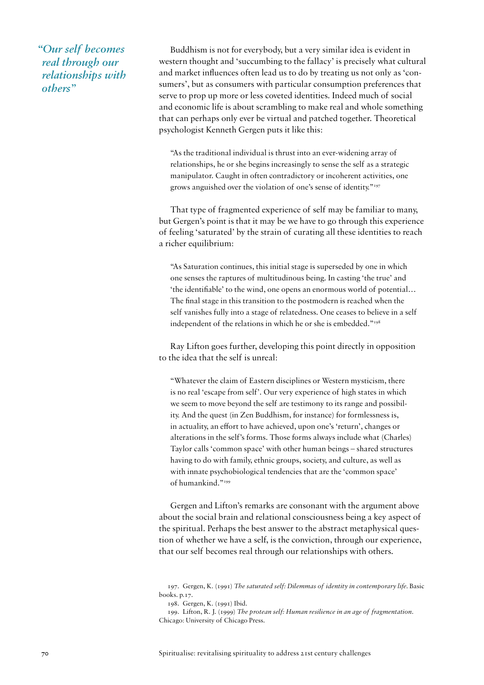*"Our self becomes real through our relationships with others"* 

Buddhism is not for everybody, but a very similar idea is evident in western thought and 'succumbing to the fallacy' is precisely what cultural and market influences often lead us to do by treating us not only as 'consumers', but as consumers with particular consumption preferences that serve to prop up more or less coveted identities. Indeed much of social and economic life is about scrambling to make real and whole something that can perhaps only ever be virtual and patched together. Theoretical psychologist Kenneth Gergen puts it like this:

"As the traditional individual is thrust into an ever-widening array of relationships, he or she begins increasingly to sense the self as a strategic manipulator. Caught in often contradictory or incoherent activities, one grows anguished over the violation of one's sense of identity."197

That type of fragmented experience of self may be familiar to many, but Gergen's point is that it may be we have to go through this experience of feeling 'saturated' by the strain of curating all these identities to reach a richer equilibrium:

"As Saturation continues, this initial stage is superseded by one in which one senses the raptures of multitudinous being. In casting 'the true' and 'the identifiable' to the wind, one opens an enormous world of potential… The final stage in this transition to the postmodern is reached when the self vanishes fully into a stage of relatedness. One ceases to believe in a self independent of the relations in which he or she is embedded."<sup>198</sup>

Ray Lifton goes further, developing this point directly in opposition to the idea that the self is unreal:

"Whatever the claim of Eastern disciplines or Western mysticism, there is no real 'escape from self'. Our very experience of high states in which we seem to move beyond the self are testimony to its range and possibility. And the quest (in Zen Buddhism, for instance) for formlessness is, in actuality, an effort to have achieved, upon one's 'return', changes or alterations in the self's forms. Those forms always include what (Charles) Taylor calls 'common space' with other human beings – shared structures having to do with family, ethnic groups, society, and culture, as well as with innate psychobiological tendencies that are the 'common space' of humankind."199

Gergen and Lifton's remarks are consonant with the argument above about the social brain and relational consciousness being a key aspect of the spiritual. Perhaps the best answer to the abstract metaphysical question of whether we have a self, is the conviction, through our experience, that our self becomes real through our relationships with others.

<sup>197.</sup> Gergen, K. (1991) *The saturated self: Dilemmas of identity in contemporary life.* Basic books. p.17.

<sup>198.</sup> Gergen, K. (1991) Ibid.

<sup>199.</sup> Lifton, R. J. (1999) *The protean self: Human resilience in an age of fragmentation*. Chicago: University of Chicago Press.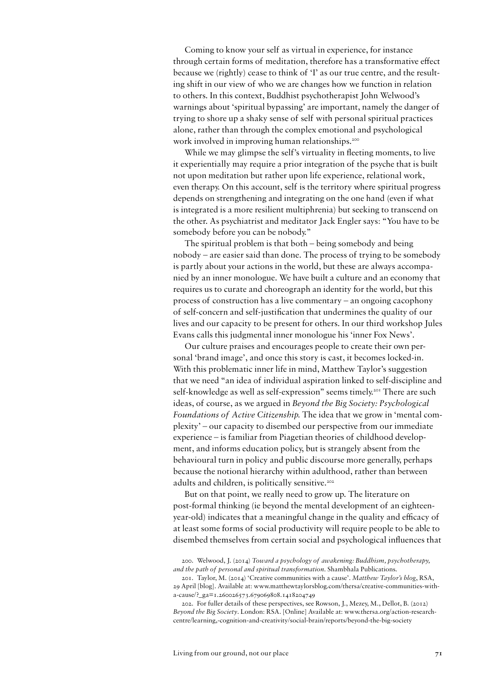Coming to know your self as virtual in experience, for instance through certain forms of meditation, therefore has a transformative effect because we (rightly) cease to think of 'I' as our true centre, and the resulting shift in our view of who we are changes how we function in relation to others. In this context, Buddhist psychotherapist John Welwood's warnings about 'spiritual bypassing' are important, namely the danger of trying to shore up a shaky sense of self with personal spiritual practices alone, rather than through the complex emotional and psychological work involved in improving human relationships.<sup>200</sup>

While we may glimpse the self's virtuality in fleeting moments, to live it experientially may require a prior integration of the psyche that is built not upon meditation but rather upon life experience, relational work, even therapy. On this account, self is the territory where spiritual progress depends on strengthening and integrating on the one hand (even if what is integrated is a more resilient multiphrenia) but seeking to transcend on the other. As psychiatrist and meditator Jack Engler says: "You have to be somebody before you can be nobody."

The spiritual problem is that both – being somebody and being nobody – are easier said than done. The process of trying to be somebody is partly about your actions in the world, but these are always accompanied by an inner monologue. We have built a culture and an economy that requires us to curate and choreograph an identity for the world, but this process of construction has a live commentary – an ongoing cacophony of self-concern and self-justification that undermines the quality of our lives and our capacity to be present for others. In our third workshop Jules Evans calls this judgmental inner monologue his 'inner Fox News'.

Our culture praises and encourages people to create their own personal 'brand image', and once this story is cast, it becomes locked-in. With this problematic inner life in mind, Matthew Taylor's suggestion that we need "an idea of individual aspiration linked to self-discipline and self-knowledge as well as self-expression" seems timely.<sup>201</sup> There are such ideas, of course, as we argued in *Beyond the Big Society: Psychological Foundations of Active Citizenship.* The idea that we grow in 'mental complexity' – our capacity to disembed our perspective from our immediate experience – is familiar from Piagetian theories of childhood development, and informs education policy, but is strangely absent from the behavioural turn in policy and public discourse more generally, perhaps because the notional hierarchy within adulthood, rather than between adults and children, is politically sensitive.<sup>202</sup>

But on that point, we really need to grow up. The literature on post-formal thinking (ie beyond the mental development of an eighteenyear-old) indicates that a meaningful change in the quality and efficacy of at least some forms of social productivity will require people to be able to disembed themselves from certain social and psychological influences that

<sup>200.</sup> Welwood, J. (2014) *Toward a psychology of awakening: Buddhism, psychotherapy, and the path of personal and spiritual transformation*. Shambhala Publications.

<sup>201.</sup> Taylor, M. (2014) 'Creative communities with a cause'. *Matthew Taylor's blog*, RSA, 29 April [blog]. Available at: www.matthewtaylorsblog.com/thersa/creative-communities-witha-cause/?\_ga=1.260026573.679069808.1418204749

<sup>202.</sup> For fuller details of these perspectives, see Rowson, J., Mezey, M., Dellot, B. (2012) *Beyond the Big Society*. London: RSA. [Online] Available at: www.thersa.org/action-researchcentre/learning,-cognition-and-creativity/social-brain/reports/beyond-the-big-society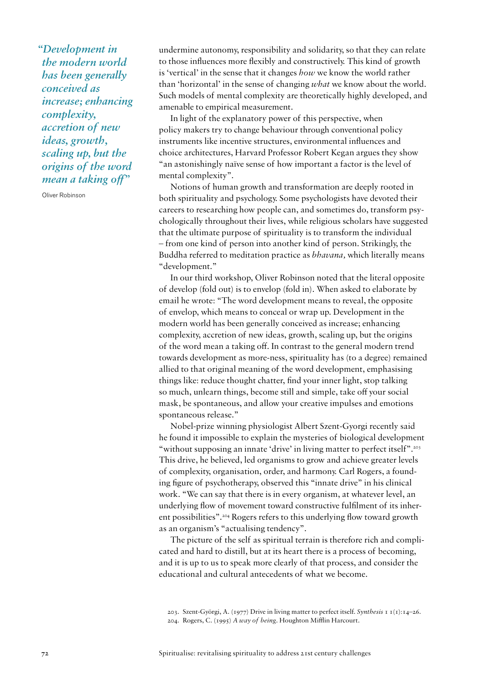*"Development in the modern world has been generally conceived as increase; enhancing complexity, accretion of new ideas, growth, scaling up, but the origins of the word mean a taking off"* 

Oliver Robinson

undermine autonomy, responsibility and solidarity, so that they can relate to those influences more flexibly and constructively. This kind of growth is 'vertical' in the sense that it changes *how* we know the world rather than 'horizontal' in the sense of changing *what* we know about the world. Such models of mental complexity are theoretically highly developed, and amenable to empirical measurement.

In light of the explanatory power of this perspective, when policy makers try to change behaviour through conventional policy instruments like incentive structures, environmental influences and choice architectures, Harvard Professor Robert Kegan argues they show "an astonishingly naïve sense of how important a factor is the level of mental complexity".

Notions of human growth and transformation are deeply rooted in both spirituality and psychology. Some psychologists have devoted their careers to researching how people can, and sometimes do, transform psychologically throughout their lives, while religious scholars have suggested that the ultimate purpose of spirituality is to transform the individual – from one kind of person into another kind of person. Strikingly, the Buddha referred to meditation practice as *bhavana,* which literally means "development."

In our third workshop, Oliver Robinson noted that the literal opposite of develop (fold out) is to envelop (fold in). When asked to elaborate by email he wrote: "The word development means to reveal, the opposite of envelop, which means to conceal or wrap up. Development in the modern world has been generally conceived as increase; enhancing complexity, accretion of new ideas, growth, scaling up, but the origins of the word mean a taking off. In contrast to the general modern trend towards development as more-ness, spirituality has (to a degree) remained allied to that original meaning of the word development, emphasising things like: reduce thought chatter, find your inner light, stop talking so much, unlearn things, become still and simple, take off your social mask, be spontaneous, and allow your creative impulses and emotions spontaneous release."

Nobel-prize winning physiologist Albert Szent-Gyorgi recently said he found it impossible to explain the mysteries of biological development "without supposing an innate 'drive' in living matter to perfect itself".<sup>203</sup> This drive, he believed, led organisms to grow and achieve greater levels of complexity, organisation, order, and harmony. Carl Rogers, a founding figure of psychotherapy, observed this "innate drive" in his clinical work. "We can say that there is in every organism, at whatever level, an underlying flow of movement toward constructive fulfilment of its inherent possibilities".204 Rogers refers to this underlying flow toward growth as an organism's "actualising tendency".

The picture of the self as spiritual terrain is therefore rich and complicated and hard to distill, but at its heart there is a process of becoming, and it is up to us to speak more clearly of that process, and consider the educational and cultural antecedents of what we become.

<sup>203.</sup> Szent-Györgi, A. (1977) Drive in living matter to perfect itself. *Synthesis* 1 1(1):14–26. 204. Rogers, C. (1995) *A way of being*. Houghton Mifflin Harcourt.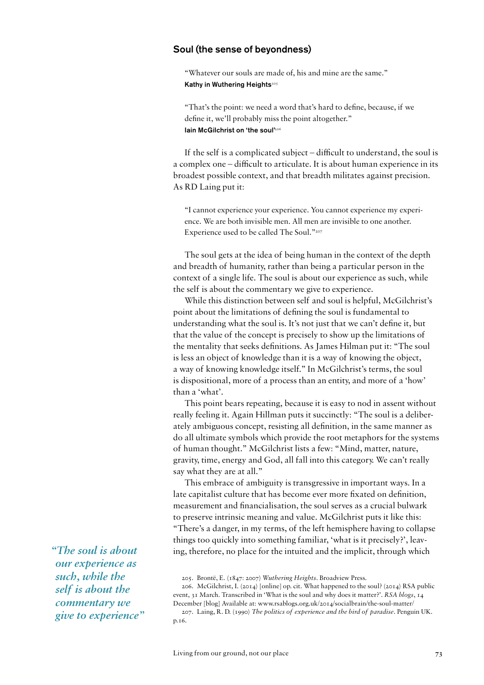#### Soul (the sense of beyondness)

"Whatever our souls are made of, his and mine are the same." Kathy in Wuthering Heights<sup>205</sup>

"That's the point: we need a word that's hard to define, because, if we define it, we'll probably miss the point altogether." Iain McGilchrist on 'the soul'206

If the self is a complicated subject – difficult to understand, the soul is a complex one – difficult to articulate. It is about human experience in its broadest possible context, and that breadth militates against precision. As RD Laing put it:

"I cannot experience your experience. You cannot experience my experience. We are both invisible men. All men are invisible to one another. Experience used to be called The Soul."207

The soul gets at the idea of being human in the context of the depth and breadth of humanity, rather than being a particular person in the context of a single life. The soul is about our experience as such, while the self is about the commentary we give to experience.

While this distinction between self and soul is helpful, McGilchrist's point about the limitations of defining the soul is fundamental to understanding what the soul is. It's not just that we can't define it, but that the value of the concept is precisely to show up the limitations of the mentality that seeks definitions. As James Hilman put it: "The soul is less an object of knowledge than it is a way of knowing the object, a way of knowing knowledge itself." In McGilchrist's terms, the soul is dispositional, more of a process than an entity, and more of a 'how' than a 'what'.

This point bears repeating, because it is easy to nod in assent without really feeling it. Again Hillman puts it succinctly: "The soul is a deliberately ambiguous concept, resisting all definition, in the same manner as do all ultimate symbols which provide the root metaphors for the systems of human thought." McGilchrist lists a few: "Mind, matter, nature, gravity, time, energy and God, all fall into this category. We can't really say what they are at all."

This embrace of ambiguity is transgressive in important ways. In a late capitalist culture that has become ever more fixated on definition, measurement and financialisation, the soul serves as a crucial bulwark to preserve intrinsic meaning and value. McGilchrist puts it like this: "There's a danger, in my terms, of the left hemisphere having to collapse things too quickly into something familiar, 'what is it precisely?', leaving, therefore, no place for the intuited and the implicit, through which

205. Brontë, E. (1847: 2007) *Wuthering Heights*. Broadview Press.

206. McGilchrist, I. (2014) [online] op. cit. What happened to the soul? (2014) RSA public event, 31 March. Transcribed in 'What is the soul and why does it matter?'. *RSA blogs*, 14 December [blog] Available at: www.rsablogs.org.uk/2014/socialbrain/the-soul-matter/

207. Laing, R. D. (1990) *The politics of experience and the bird of paradise*. Penguin UK. p.16.

*"The soul is about our experience as such, while the self is about the commentary we give to experience"*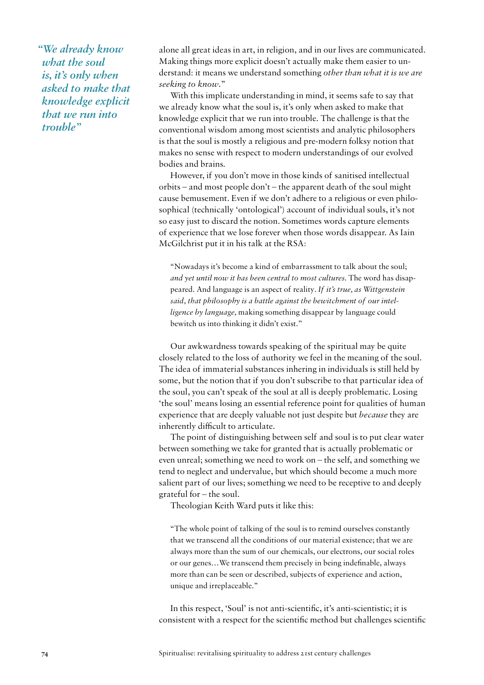*"We already know what the soul is, it's only when asked to make that knowledge explicit that we run into trouble"* 

alone all great ideas in art, in religion, and in our lives are communicated. Making things more explicit doesn't actually make them easier to understand: it means we understand something *other than what it is we are seeking to know*."

With this implicate understanding in mind, it seems safe to say that we already know what the soul is, it's only when asked to make that knowledge explicit that we run into trouble. The challenge is that the conventional wisdom among most scientists and analytic philosophers is that the soul is mostly a religious and pre-modern folksy notion that makes no sense with respect to modern understandings of our evolved bodies and brains.

However, if you don't move in those kinds of sanitised intellectual orbits – and most people don't – the apparent death of the soul might cause bemusement. Even if we don't adhere to a religious or even philosophical (technically 'ontological') account of individual souls, it's not so easy just to discard the notion. Sometimes words capture elements of experience that we lose forever when those words disappear. As Iain McGilchrist put it in his talk at the RSA:

"Nowadays it's become a kind of embarrassment to talk about the soul; *and yet until now it has been central to most cultures.* The word has disappeared. And language is an aspect of reality*. If it's true, as Wittgenstein said, that philosophy is a battle against the bewitchment of our intelligence by language,* making something disappear by language could bewitch us into thinking it didn't exist."

Our awkwardness towards speaking of the spiritual may be quite closely related to the loss of authority we feel in the meaning of the soul. The idea of immaterial substances inhering in individuals is still held by some, but the notion that if you don't subscribe to that particular idea of the soul, you can't speak of the soul at all is deeply problematic. Losing 'the soul' means losing an essential reference point for qualities of human experience that are deeply valuable not just despite but *because* they are inherently difficult to articulate.

The point of distinguishing between self and soul is to put clear water between something we take for granted that is actually problematic or even unreal; something we need to work on – the self, and something we tend to neglect and undervalue, but which should become a much more salient part of our lives; something we need to be receptive to and deeply grateful for – the soul.

Theologian Keith Ward puts it like this:

"The whole point of talking of the soul is to remind ourselves constantly that we transcend all the conditions of our material existence; that we are always more than the sum of our chemicals, our electrons, our social roles or our genes…We transcend them precisely in being indefinable, always more than can be seen or described, subjects of experience and action, unique and irreplaceable."

In this respect, 'Soul' is not anti-scientific, it's anti-scientistic; it is consistent with a respect for the scientific method but challenges scientific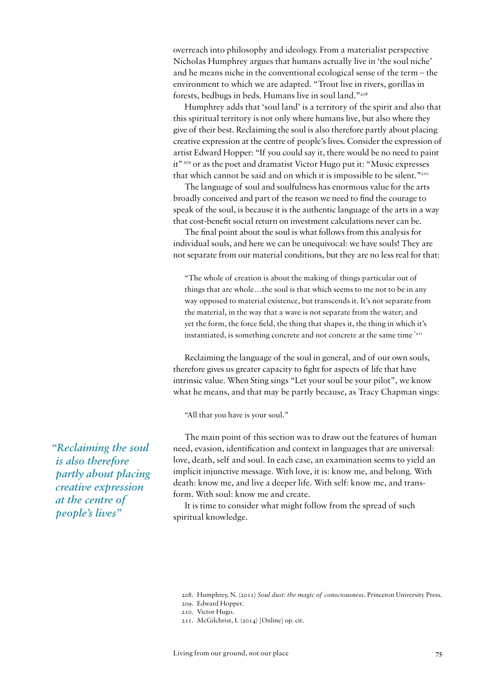overreach into philosophy and ideology. From a materialist perspective Nicholas Humphrey argues that humans actually live in 'the soul niche' and he means niche in the conventional ecological sense of the term – the environment to which we are adapted. "Trout live in rivers, gorillas in forests, bedbugs in beds. Humans live in soul land."208

Humphrey adds that 'soul land' is a territory of the spirit and also that this spiritual territory is not only where humans live, but also where they give of their best. Reclaiming the soul is also therefore partly about placing creative expression at the centre of people's lives. Consider the expression of artist Edward Hopper: "If you could say it, there would be no need to paint it"209 or as the poet and dramatist Victor Hugo put it: "Music expresses that which cannot be said and on which it is impossible to be silent."<sup>210</sup>

The language of soul and soulfulness has enormous value for the arts broadly conceived and part of the reason we need to find the courage to speak of the soul, is because it is the authentic language of the arts in a way that cost-benefit social return on investment calculations never can be.

The final point about the soul is what follows from this analysis for individual souls, and here we can be unequivocal: we have souls! They are not separate from our material conditions, but they are no less real for that:

"The whole of creation is about the making of things particular out of things that are whole…the soul is that which seems to me not to be in any way opposed to material existence, but transcends it. It's not separate from the material, in the way that a wave is not separate from the water; and yet the form, the force field, the thing that shapes it, the thing in which it's instantiated, is something concrete and not concrete at the same time."211

Reclaiming the language of the soul in general, and of our own souls, therefore gives us greater capacity to fight for aspects of life that have intrinsic value. When Sting sings "Let your soul be your pilot", we know what he means, and that may be partly because, as Tracy Chapman sings:

"All that you have is your soul."

The main point of this section was to draw out the features of human need, evasion, identification and context in languages that are universal: love, death, self and soul. In each case, an examination seems to yield an implicit injunctive message. With love, it is: know me, and belong. With death: know me, and live a deeper life. With self: know me, and transform. With soul: know me and create.

It is time to consider what might follow from the spread of such spiritual knowledge.

*"Reclaiming the soul is also therefore partly about placing creative expression at the centre of people's lives"* 

<sup>208.</sup> Humphrey, N. (2011) *Soul dust: the magic of consciousness*. Princeton University Press.

<sup>209.</sup> Edward Hopper.

<sup>210.</sup> Victor Hugo.

<sup>211.</sup> McGilchrist, I. (2014) [Online] op. cit.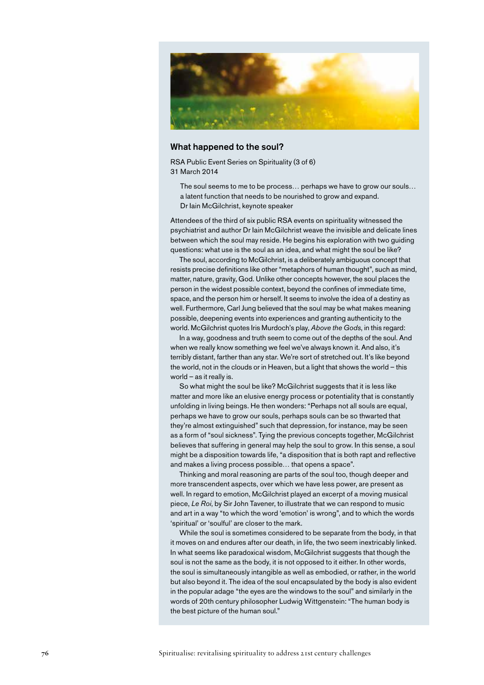

#### What happened to the soul?

RSA Public Event Series on Spirituality (3 of 6) 31 March 2014

The soul seems to me to be process… perhaps we have to grow our souls… a latent function that needs to be nourished to grow and expand. Dr Iain McGilchrist, keynote speaker

Attendees of the third of six public RSA events on spirituality witnessed the psychiatrist and author Dr Iain McGilchrist weave the invisible and delicate lines between which the soul may reside. He begins his exploration with two guiding questions: what use is the soul as an idea, and what might the soul be like?

The soul, according to McGilchrist, is a deliberately ambiguous concept that resists precise definitions like other "metaphors of human thought", such as mind, matter, nature, gravity, God. Unlike other concepts however, the soul places the person in the widest possible context, beyond the confines of immediate time, space, and the person him or herself. It seems to involve the idea of a destiny as well. Furthermore, Carl Jung believed that the soul may be what makes meaning possible, deepening events into experiences and granting authenticity to the world. McGilchrist quotes Iris Murdoch's play, *Above the Gods*, in this regard:

In a way, goodness and truth seem to come out of the depths of the soul. And when we really know something we feel we've always known it. And also, it's terribly distant, farther than any star. We're sort of stretched out. It's like beyond the world, not in the clouds or in Heaven, but a light that shows the world – this world – as it really is.

So what might the soul be like? McGilchrist suggests that it is less like matter and more like an elusive energy process or potentiality that is constantly unfolding in living beings. He then wonders: "Perhaps not all souls are equal, perhaps we have to grow our souls, perhaps souls can be so thwarted that they're almost extinguished" such that depression, for instance, may be seen as a form of "soul sickness". Tying the previous concepts together, McGilchrist believes that suffering in general may help the soul to grow. In this sense, a soul might be a disposition towards life, "a disposition that is both rapt and reflective and makes a living process possible… that opens a space".

Thinking and moral reasoning are parts of the soul too, though deeper and more transcendent aspects, over which we have less power, are present as well. In regard to emotion, McGilchrist played an excerpt of a moving musical piece, *Le Roi*, by Sir John Tavener, to illustrate that we can respond to music and art in a way "to which the word 'emotion' is wrong", and to which the words 'spiritual' or 'soulful' are closer to the mark.

While the soul is sometimes considered to be separate from the body, in that it moves on and endures after our death, in life, the two seem inextricably linked. In what seems like paradoxical wisdom, McGilchrist suggests that though the soul is not the same as the body, it is not opposed to it either. In other words, the soul is simultaneously intangible as well as embodied, or rather, in the world but also beyond it. The idea of the soul encapsulated by the body is also evident in the popular adage "the eyes are the windows to the soul" and similarly in the words of 20th century philosopher Ludwig Wittgenstein: "The human body is the best picture of the human soul."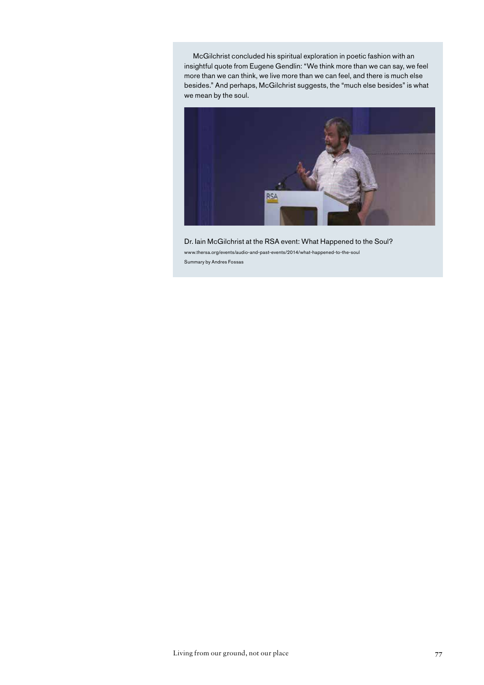McGilchrist concluded his spiritual exploration in poetic fashion with an insightful quote from Eugene Gendlin: "We think more than we can say, we feel more than we can think, we live more than we can feel, and there is much else besides." And perhaps, McGilchrist suggests, the "much else besides" is what we mean by the soul.



Dr. Iain McGilchrist at the RSA event: What Happened to the Soul? www.thersa.org/events/audio-and-past-events/2014/what-happened-to-the-soul Summary by Andres Fossas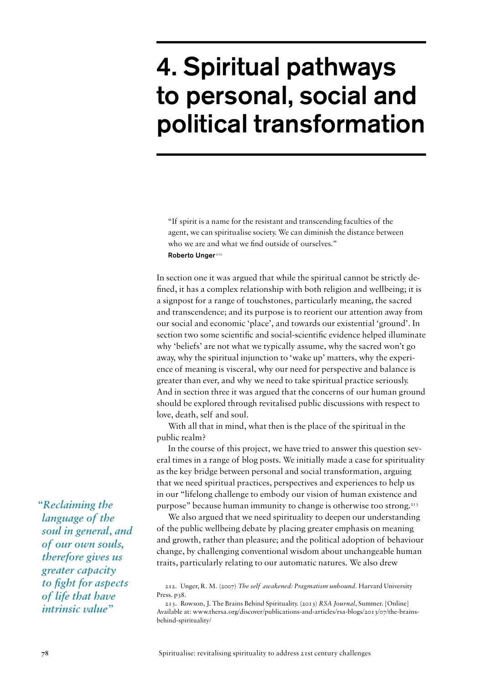# 4. Spiritual pathways to personal, social and political transformation

"If spirit is a name for the resistant and transcending faculties of the agent, we can spiritualise society. We can diminish the distance between who we are and what we find outside of ourselves." Roberto Unger<sup>212</sup>

In section one it was argued that while the spiritual cannot be strictly defined, it has a complex relationship with both religion and wellbeing; it is a signpost for a range of touchstones, particularly meaning, the sacred and transcendence; and its purpose is to reorient our attention away from our social and economic 'place', and towards our existential 'ground'. In section two some scientific and social-scientific evidence helped illuminate why 'beliefs' are not what we typically assume, why the sacred won't go away, why the spiritual injunction to 'wake up' matters, why the experience of meaning is visceral, why our need for perspective and balance is greater than ever, and why we need to take spiritual practice seriously. And in section three it was argued that the concerns of our human ground should be explored through revitalised public discussions with respect to love, death, self and soul.

With all that in mind, what then is the place of the spiritual in the public realm?

In the course of this project, we have tried to answer this question several times in a range of blog posts. We initially made a case for spirituality as the key bridge between personal and social transformation, arguing that we need spiritual practices, perspectives and experiences to help us in our "lifelong challenge to embody our vision of human existence and purpose" because human immunity to change is otherwise too strong.213

We also argued that we need spirituality to deepen our understanding of the public wellbeing debate by placing greater emphasis on meaning and growth, rather than pleasure; and the political adoption of behaviour change, by challenging conventional wisdom about unchangeable human traits, particularly relating to our automatic natures. We also drew

*"Reclaiming the language of the soul in general, and of our own souls, therefore gives us greater capacity to fight for aspects of life that have intrinsic value"*

<sup>212.</sup> Unger, R. M. (2007) *The self awakened: Pragmatism unbound*. Harvard University Press. p<sub>38</sub>.

<sup>213.</sup> Rowson, J. The Brains Behind Spirituality. (2013) *RSA Journal*, Summer. [Online] Available at: www.thersa.org/discover/publications-and-articles/rsa-blogs/2013/07/the-brainsbehind-spirituality/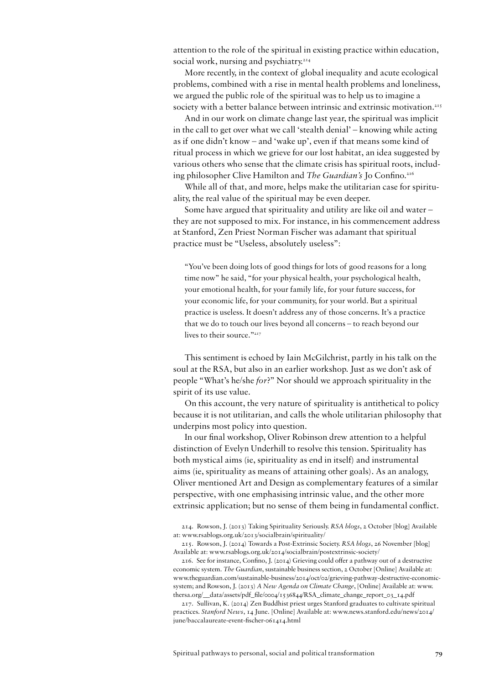attention to the role of the spiritual in existing practice within education, social work, nursing and psychiatry.<sup>214</sup>

More recently, in the context of global inequality and acute ecological problems, combined with a rise in mental health problems and loneliness, we argued the public role of the spiritual was to help us to imagine a society with a better balance between intrinsic and extrinsic motivation.<sup>215</sup>

And in our work on climate change last year, the spiritual was implicit in the call to get over what we call 'stealth denial' – knowing while acting as if one didn't know – and 'wake up', even if that means some kind of ritual process in which we grieve for our lost habitat, an idea suggested by various others who sense that the climate crisis has spiritual roots, including philosopher Clive Hamilton and *The Guardian's* Jo Confino.216

While all of that, and more, helps make the utilitarian case for spirituality, the real value of the spiritual may be even deeper.

Some have argued that spirituality and utility are like oil and water – they are not supposed to mix. For instance, in his commencement address at Stanford, Zen Priest Norman Fischer was adamant that spiritual practice must be "Useless, absolutely useless":

"You've been doing lots of good things for lots of good reasons for a long time now" he said, "for your physical health, your psychological health, your emotional health, for your family life, for your future success, for your economic life, for your community, for your world. But a spiritual practice is useless. It doesn't address any of those concerns. It's a practice that we do to touch our lives beyond all concerns – to reach beyond our lives to their source."<sup>217</sup>

This sentiment is echoed by Iain McGilchrist, partly in his talk on the soul at the RSA, but also in an earlier workshop. Just as we don't ask of people "What's he/she *for*?" Nor should we approach spirituality in the spirit of its use value.

On this account, the very nature of spirituality is antithetical to policy because it is not utilitarian, and calls the whole utilitarian philosophy that underpins most policy into question.

In our final workshop, Oliver Robinson drew attention to a helpful distinction of Evelyn Underhill to resolve this tension. Spirituality has both mystical aims (ie, spirituality as end in itself) and instrumental aims (ie, spirituality as means of attaining other goals). As an analogy, Oliver mentioned Art and Design as complementary features of a similar perspective, with one emphasising intrinsic value, and the other more extrinsic application; but no sense of them being in fundamental conflict.

214. Rowson, J. (2013) Taking Spirituality Seriously. *RSA blogs*, 2 October [blog] Available at: www.rsablogs.org.uk/2013/socialbrain/spirituality/

215. Rowson, J. (2014) Towards a Post-Extrinsic Society. *RSA blogs*, 26 November [blog] Available at: www.rsablogs.org.uk/2014/socialbrain/postextrinsic-society/

216. See for instance, Confino, J. (2014) Grieving could offer a pathway out of a destructive economic system. *The Guardian*, sustainable business section, 2 October [Online] Available at: www.theguardian.com/sustainable-business/2014/oct/02/grieving-pathway-destructive-economicsystem; and Rowson, J. (2013) *A New Agenda on Climate Change*, [Online] Available at: www. thersa.org/\_\_data/assets/pdf\_file/0004/1536844/RSA\_climate\_change\_report\_03\_14.pdf

217. Sullivan, K. (2014) Zen Buddhist priest urges Stanford graduates to cultivate spiritual practices. *Stanford News*, 14 June. [Online] Available at: www.news.stanford.edu/news/2014/ june/baccalaureate-event-fischer-061414.html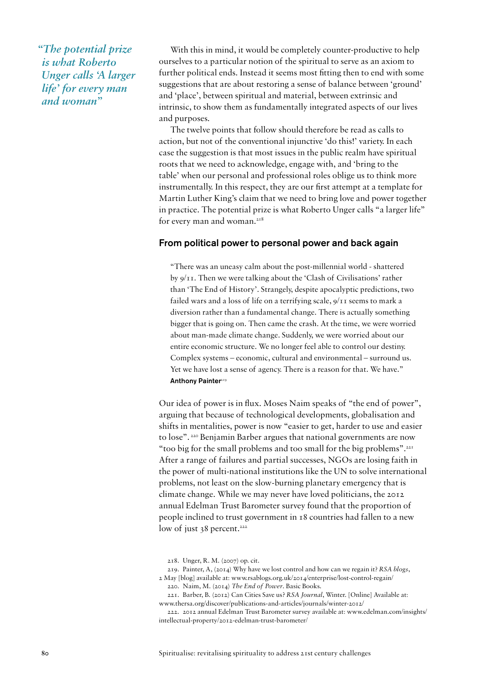*"The potential prize is what Roberto Unger calls 'A larger life' for every man and woman"* 

With this in mind, it would be completely counter-productive to help ourselves to a particular notion of the spiritual to serve as an axiom to further political ends. Instead it seems most fitting then to end with some suggestions that are about restoring a sense of balance between 'ground' and 'place', between spiritual and material, between extrinsic and intrinsic, to show them as fundamentally integrated aspects of our lives and purposes.

The twelve points that follow should therefore be read as calls to action, but not of the conventional injunctive 'do this!' variety. In each case the suggestion is that most issues in the public realm have spiritual roots that we need to acknowledge, engage with, and 'bring to the table' when our personal and professional roles oblige us to think more instrumentally. In this respect, they are our first attempt at a template for Martin Luther King's claim that we need to bring love and power together in practice. The potential prize is what Roberto Unger calls "a larger life" for every man and woman.<sup>218</sup>

#### From political power to personal power and back again

"There was an uneasy calm about the post-millennial world - shattered by 9/11. Then we were talking about the 'Clash of Civilisations' rather than 'The End of History'. Strangely, despite apocalyptic predictions, two failed wars and a loss of life on a terrifying scale, 9/11 seems to mark a diversion rather than a fundamental change. There is actually something bigger that is going on. Then came the crash. At the time, we were worried about man-made climate change. Suddenly, we were worried about our entire economic structure. We no longer feel able to control our destiny. Complex systems – economic, cultural and environmental – surround us. Yet we have lost a sense of agency. There is a reason for that. We have." Anthony Painter<sup>219</sup>

Our idea of power is in flux. Moses Naim speaks of "the end of power", arguing that because of technological developments, globalisation and shifts in mentalities, power is now "easier to get, harder to use and easier to lose". 220 Benjamin Barber argues that national governments are now "too big for the small problems and too small for the big problems".221 After a range of failures and partial successes, NGOs are losing faith in the power of multi-national institutions like the UN to solve international problems, not least on the slow-burning planetary emergency that is climate change. While we may never have loved politicians, the 2012 annual Edelman Trust Barometer survey found that the proportion of people inclined to trust government in 18 countries had fallen to a new low of just 38 percent.<sup>222</sup>

219. Painter, A, (2014) Why have we lost control and how can we regain it? *RSA blogs*, 2 May [blog] available at: www.rsablogs.org.uk/2014/enterprise/lost-control-regain/

220. Naim, M. (2014) *The End of Power*. Basic Books.

221. Barber, B. (2012) Can Cities Save us? *RSA Journal*, Winter. [Online] Available at: www.thersa.org/discover/publications-and-articles/journals/winter-2012/

<sup>218.</sup> Unger, R. M. (2007) op. cit.

<sup>222.</sup> 2012 annual Edelman Trust Barometer survey available at: www.edelman.com/insights/ intellectual-property/2012-edelman-trust-barometer/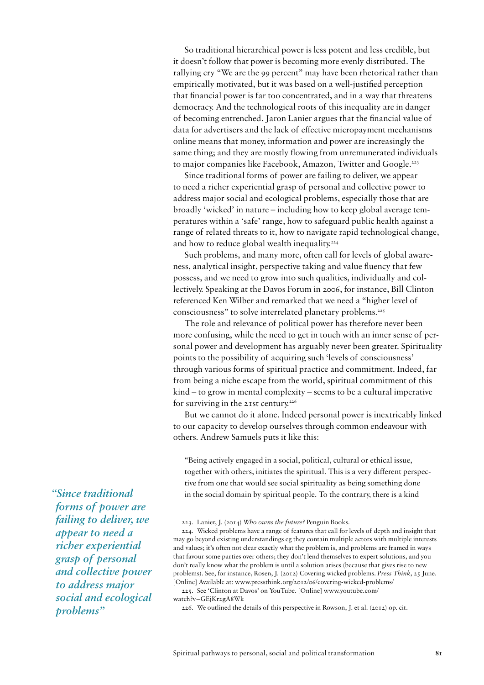So traditional hierarchical power is less potent and less credible, but it doesn't follow that power is becoming more evenly distributed. The rallying cry "We are the 99 percent" may have been rhetorical rather than empirically motivated, but it was based on a well-justified perception that financial power is far too concentrated, and in a way that threatens democracy. And the technological roots of this inequality are in danger of becoming entrenched. Jaron Lanier argues that the financial value of data for advertisers and the lack of effective micropayment mechanisms online means that money, information and power are increasingly the same thing; and they are mostly flowing from unremunerated individuals to major companies like Facebook, Amazon, Twitter and Google.<sup>223</sup>

Since traditional forms of power are failing to deliver, we appear to need a richer experiential grasp of personal and collective power to address major social and ecological problems, especially those that are broadly 'wicked' in nature – including how to keep global average temperatures within a 'safe' range, how to safeguard public health against a range of related threats to it, how to navigate rapid technological change, and how to reduce global wealth inequality.<sup>224</sup>

Such problems, and many more, often call for levels of global awareness, analytical insight, perspective taking and value fluency that few possess, and we need to grow into such qualities, individually and collectively. Speaking at the Davos Forum in 2006, for instance, Bill Clinton referenced Ken Wilber and remarked that we need a "higher level of consciousness" to solve interrelated planetary problems.225

The role and relevance of political power has therefore never been more confusing, while the need to get in touch with an inner sense of personal power and development has arguably never been greater. Spirituality points to the possibility of acquiring such 'levels of consciousness' through various forms of spiritual practice and commitment. Indeed, far from being a niche escape from the world, spiritual commitment of this kind – to grow in mental complexity – seems to be a cultural imperative for surviving in the 21st century.<sup>226</sup>

But we cannot do it alone. Indeed personal power is inextricably linked to our capacity to develop ourselves through common endeavour with others. Andrew Samuels puts it like this:

"Being actively engaged in a social, political, cultural or ethical issue, together with others, initiates the spiritual. This is a very different perspective from one that would see social spirituality as being something done in the social domain by spiritual people. To the contrary, there is a kind

223. Lanier, J. (2014) *Who owns the future?* Penguin Books.

224. Wicked problems have a range of features that call for levels of depth and insight that may go beyond existing understandings eg they contain multiple actors with multiple interests and values; it's often not clear exactly what the problem is, and problems are framed in ways that favour some parties over others; they don't lend themselves to expert solutions, and you don't really know what the problem is until a solution arises (because that gives rise to new problems). See, for instance, Rosen, J. (2012) Covering wicked problems. *Press Think*, 25 June. [Online] Available at: www.pressthink.org/2012/06/covering-wicked-problems/

225. See 'Clinton at Davos' on YouTube. [Online] www.youtube.com/ watch?v=GEjKr2gA8Wk

226. We outlined the details of this perspective in Rowson, J. et al. (2012) op. cit.

*"Since traditional forms of power are failing to deliver, we appear to need a richer experiential grasp of personal and collective power to address major social and ecological problems"*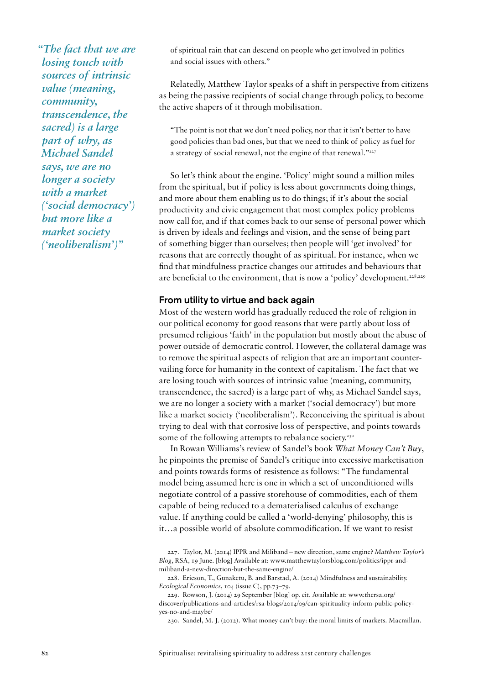*"The fact that we are losing touch with sources of intrinsic value (meaning, community, transcendence, the sacred) is a large part of why, as Michael Sandel says, we are no longer a society with a market ('social democracy') but more like a market society ('neoliberalism')"* 

of spiritual rain that can descend on people who get involved in politics and social issues with others."

Relatedly, Matthew Taylor speaks of a shift in perspective from citizens as being the passive recipients of social change through policy, to become the active shapers of it through mobilisation.

"The point is not that we don't need policy, nor that it isn't better to have good policies than bad ones, but that we need to think of policy as fuel for a strategy of social renewal, not the engine of that renewal."227

So let's think about the engine. 'Policy' might sound a million miles from the spiritual, but if policy is less about governments doing things, and more about them enabling us to do things; if it's about the social productivity and civic engagement that most complex policy problems now call for, and if that comes back to our sense of personal power which is driven by ideals and feelings and vision, and the sense of being part of something bigger than ourselves; then people will 'get involved' for reasons that are correctly thought of as spiritual. For instance, when we find that mindfulness practice changes our attitudes and behaviours that are beneficial to the environment, that is now a 'policy' development.<sup>228,229</sup>

#### From utility to virtue and back again

Most of the western world has gradually reduced the role of religion in our political economy for good reasons that were partly about loss of presumed religious 'faith' in the population but mostly about the abuse of power outside of democratic control. However, the collateral damage was to remove the spiritual aspects of religion that are an important countervailing force for humanity in the context of capitalism. The fact that we are losing touch with sources of intrinsic value (meaning, community, transcendence, the sacred) is a large part of why, as Michael Sandel says, we are no longer a society with a market ('social democracy') but more like a market society ('neoliberalism'). Reconceiving the spiritual is about trying to deal with that corrosive loss of perspective, and points towards some of the following attempts to rebalance society.<sup>230</sup>

In Rowan Williams's review of Sandel's book *What Money Can't Buy*, he pinpoints the premise of Sandel's critique into excessive marketisation and points towards forms of resistence as follows: "The fundamental model being assumed here is one in which a set of unconditioned wills negotiate control of a passive storehouse of commodities, each of them capable of being reduced to a dematerialised calculus of exchange value. If anything could be called a 'world-denying' philosophy, this is it…a possible world of absolute commodification. If we want to resist

227. Taylor, M. (2014) IPPR and Miliband – new direction, same engine? *Matthew Taylor's Blog*, RSA, 19 June. [blog] Available at: www.matthewtaylorsblog.com/politics/ippr-andmiliband-a-new-direction-but-the-same-engine/

228. Ericson, T., Gunaketu, B. and Barstad, A. (2014) Mindfulness and sustainability. *Ecological Economics*, 104 (issue C), pp.73–79.

229. Rowson, J. (2014) 29 September [blog] op. cit. Available at: www.thersa.org/ discover/publications-and-articles/rsa-blogs/2014/09/can-spirituality-inform-public-policyyes-no-and-maybe/

230. Sandel, M. J. (2012). What money can't buy: the moral limits of markets. Macmillan.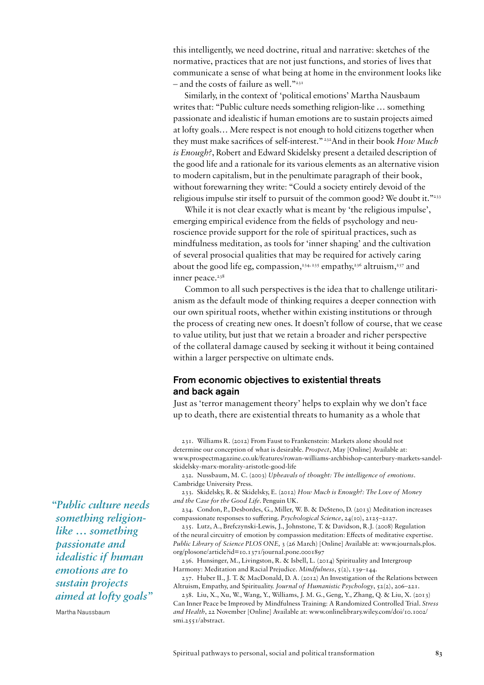this intelligently, we need doctrine, ritual and narrative: sketches of the normative, practices that are not just functions, and stories of lives that communicate a sense of what being at home in the environment looks like  $-$  and the costs of failure as well."<sup>231</sup>

Similarly, in the context of 'political emotions' Martha Nausbaum writes that: "Public culture needs something religion-like … something passionate and idealistic if human emotions are to sustain projects aimed at lofty goals… Mere respect is not enough to hold citizens together when they must make sacrifices of self-interest." 232And in their book *How Much is Enough?*, Robert and Edward Skidelsky present a detailed description of the good life and a rationale for its various elements as an alternative vision to modern capitalism, but in the penultimate paragraph of their book, without forewarning they write: "Could a society entirely devoid of the religious impulse stir itself to pursuit of the common good? We doubt it."233

While it is not clear exactly what is meant by 'the religious impulse', emerging empirical evidence from the fields of psychology and neuroscience provide support for the role of spiritual practices, such as mindfulness meditation, as tools for 'inner shaping' and the cultivation of several prosocial qualities that may be required for actively caring about the good life eg, compassion,<sup>234, 235</sup> empathy,<sup>236</sup> altruism,<sup>237</sup> and inner peace.<sup>238</sup>

Common to all such perspectives is the idea that to challenge utilitarianism as the default mode of thinking requires a deeper connection with our own spiritual roots, whether within existing institutions or through the process of creating new ones. It doesn't follow of course, that we cease to value utility, but just that we retain a broader and richer perspective of the collateral damage caused by seeking it without it being contained within a larger perspective on ultimate ends.

#### From economic objectives to existential threats and back again

Just as 'terror management theory' helps to explain why we don't face up to death, there are existential threats to humanity as a whole that

231. Williams R. (2012) From Faust to Frankenstein: Markets alone should not determine our conception of what is desirable. *Prospect*, May [Online] Available at: www.prospectmagazine.co.uk/features/rowan-williams-archbishop-canterbury-markets-sandelskidelsky-marx-morality-aristotle-good-life

232. Nussbaum, M. C. (2003) *Upheavals of thought: The intelligence of emotions*. Cambridge University Press.

233. Skidelsky, R. & Skidelsky, E. (2012) *How Much is Enough?: The Love of Money and the Case for the Good Life*. Penguin UK.

234. Condon, P., Desbordes, G., Miller, W. B. & DeSteno, D. (2013) Meditation increases compassionate responses to suffering. *Psychological Science*, 24(10), 2125–2127.

235. Lutz, A., Brefczynski-Lewis, J., Johnstone, T. & Davidson, R.J. (2008) Regulation of the neural circuitry of emotion by compassion meditation: Effects of meditative expertise. *Public Library of Science PLOS ONE,* 3 (26 March) [Online] Available at: www.journals.plos. org/plosone/article?id=10.1371/journal.pone.0001897

236. Hunsinger, M., Livingston, R. & Isbell, L. (2014) Spirituality and Intergroup Harmony: Meditation and Racial Prejudice. *Mindfulness*, 5(2), 139–144.

237. Huber II., J. T. & MacDonald, D. A. (2012) An Investigation of the Relations between Altruism, Empathy, and Spirituality. *Journal of Humanistic Psychology*, 52(2), 206–221.

238. Liu, X., Xu, W., Wang, Y., Williams, J. M. G., Geng, Y., Zhang, Q. & Liu, X. (2013) Can Inner Peace be Improved by Mindfulness Training: A Randomized Controlled Trial. *Stress and Health*, 22 November [Online] Available at: www.onlinelibrary.wiley.com/doi/10.1002/ smi.2551/abstract.

*"Public culture needs something religionlike … something passionate and idealistic if human emotions are to sustain projects aimed at lofty goals"* 

Martha Naussbaum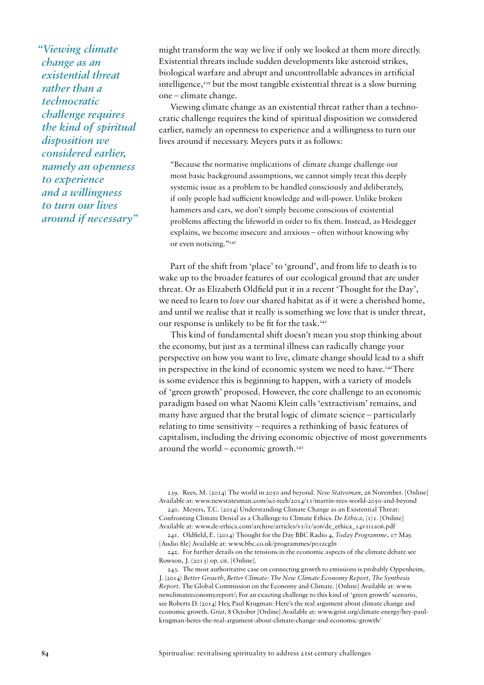*"Viewing climate change as an existential threat rather than a technocratic challenge requires the kind of spiritual disposition we considered earlier, namely an openness to experience and a willingness to turn our lives around if necessary"* 

might transform the way we live if only we looked at them more directly. Existential threats include sudden developments like asteroid strikes, biological warfare and abrupt and uncontrollable advances in artificial intelligence,<sup>239</sup> but the most tangible existential threat is a slow burning one – climate change.

Viewing climate change as an existential threat rather than a technocratic challenge requires the kind of spiritual disposition we considered earlier, namely an openness to experience and a willingness to turn our lives around if necessary. Meyers puts it as follows:

"Because the normative implications of climate change challenge our most basic background assumptions, we cannot simply treat this deeply systemic issue as a problem to be handled consciously and deliberately, if only people had sufficient knowledge and will-power. Unlike broken hammers and cars, we don't simply become conscious of existential problems affecting the lifeworld in order to fix them. Instead, as Heidegger explains, we become insecure and anxious – often without knowing why or even noticing."240

Part of the shift from 'place' to 'ground', and from life to death is to wake up to the broader features of our ecological ground that are under threat. Or as Elizabeth Oldfield put it in a recent 'Thought for the Day', we need to learn to *love* our shared habitat as if it were a cherished home, and until we realise that it really is something we love that is under threat, our response is unlikely to be fit for the task.<sup>241</sup>

This kind of fundamental shift doesn't mean you stop thinking about the economy, but just as a terminal illness can radically change your perspective on how you want to live, climate change should lead to a shift in perspective in the kind of economic system we need to have.<sup>242</sup>There is some evidence this is beginning to happen, with a variety of models of 'green growth' proposed. However, the core challenge to an economic paradigm based on what Naomi Klein calls 'extractivism' remains, and many have argued that the brutal logic of climate science – particularly relating to time sensitivity – requires a rethinking of basic features of capitalism, including the driving economic objective of most governments around the world – economic growth. $243$ 

239. Rees, M. (2014) The world in 2050 and beyond. *New Statesman*, 26 November. [Online] Available at: www.newstatesman.com/sci-tech/2014/11/martin-rees-world-2050-and-beyond

240. Meyers, T.C. (2014) Understanding Climate Change as an Existential Threat: Confronting Climate Denial as a Challenge to Climate Ethics. *De Ethica*, (1)1. [Online] Available at: www.de-ethica.com/archive/articles/v1/i1/a06/de\_ethica\_14v1i1a06.pdf

241. Oldfield, E. (2014) Thought for the Day BBC Radio 4, *Today Programme*, 17 May. [Audio file] Available at: www.bbc.co.uk/programmes/p01zcgln

242. For further details on the tensions in the economic aspects of the climate debate see Rowson, J. (2013) op. cit. [Online].

243. The most authoritative case on connecting growth to emissions is probably Oppenheim, J. (2014) *Better Growth, Better Climate: The New Climate Economy Report, The Synthesis Report*. The Global Commission on the Economy and Climate. [Online] Available at: www. newclimateeconomy.report/; For an exacting challenge to this kind of 'green growth' scenario, see Roberts D. (2014) Hey, Paul Krugman: Here's the real argument about climate change and economic growth. *Grist*, 8 October [Online] Available at: www.grist.org/climate-energy/hey-paulkrugman-heres-the-real-argument-about-climate-change-and-economic-growth/

**84** Spiritualise: revitalising spirituality to address 21st century challenges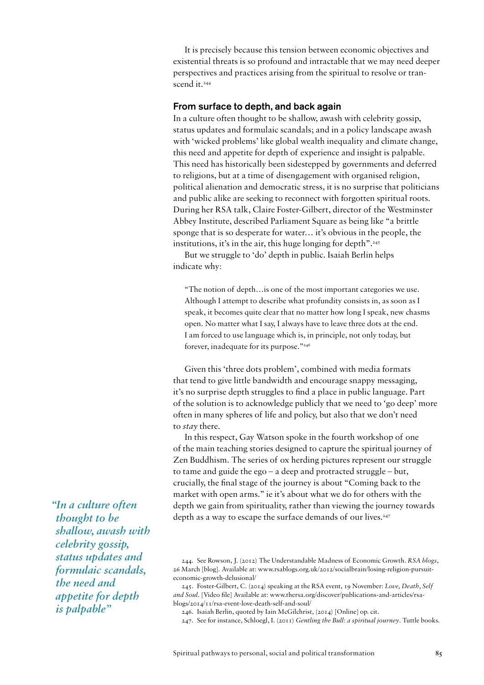It is precisely because this tension between economic objectives and existential threats is so profound and intractable that we may need deeper perspectives and practices arising from the spiritual to resolve or transcend it.<sup>244</sup>

#### From surface to depth, and back again

In a culture often thought to be shallow, awash with celebrity gossip, status updates and formulaic scandals; and in a policy landscape awash with 'wicked problems' like global wealth inequality and climate change, this need and appetite for depth of experience and insight is palpable. This need has historically been sidestepped by governments and deferred to religions, but at a time of disengagement with organised religion, political alienation and democratic stress, it is no surprise that politicians and public alike are seeking to reconnect with forgotten spiritual roots. During her RSA talk, Claire Foster-Gilbert, director of the Westminster Abbey Institute, described Parliament Square as being like "a brittle sponge that is so desperate for water… it's obvious in the people, the institutions, it's in the air, this huge longing for depth".<sup>245</sup>

But we struggle to 'do' depth in public. Isaiah Berlin helps indicate why:

"The notion of depth…is one of the most important categories we use. Although I attempt to describe what profundity consists in, as soon as I speak, it becomes quite clear that no matter how long I speak, new chasms open. No matter what I say, I always have to leave three dots at the end. I am forced to use language which is, in principle, not only today, but forever, inadequate for its purpose."246

Given this 'three dots problem', combined with media formats that tend to give little bandwidth and encourage snappy messaging, it's no surprise depth struggles to find a place in public language. Part of the solution is to acknowledge publicly that we need to 'go deep' more often in many spheres of life and policy, but also that we don't need to *stay* there.

In this respect, Gay Watson spoke in the fourth workshop of one of the main teaching stories designed to capture the spiritual journey of Zen Buddhism. The series of ox herding pictures represent our struggle to tame and guide the ego – a deep and protracted struggle – but, crucially, the final stage of the journey is about "Coming back to the market with open arms." ie it's about what we do for others with the depth we gain from spirituality, rather than viewing the journey towards depth as a way to escape the surface demands of our lives.<sup>247</sup>

244. See Rowson, J. (2012) The Understandable Madness of Economic Growth. *RSA blogs*, 26 March [blog]. Available at: www.rsablogs.org.uk/2012/socialbrain/losing-religion-pursuiteconomic-growth-delusional/

245. Foster-Gilbert, C. (2014) speaking at the RSA event, 19 November: *Love, Death, Self and Soul*. [Video file] Available at: www.thersa.org/discover/publications-and-articles/rsablogs/2014/11/rsa-event-love-death-self-and-soul/

246. Isaiah Berlin, quoted by Iain McGilchrist, (2014) [Online] op. cit.

247. See for instance, Schloegl, I. (2011) *Gentling the Bull*: *a spiritual journey*. Tuttle books.

*"In a culture often thought to be shallow, awash with celebrity gossip, status updates and formulaic scandals, the need and appetite for depth is palpable"*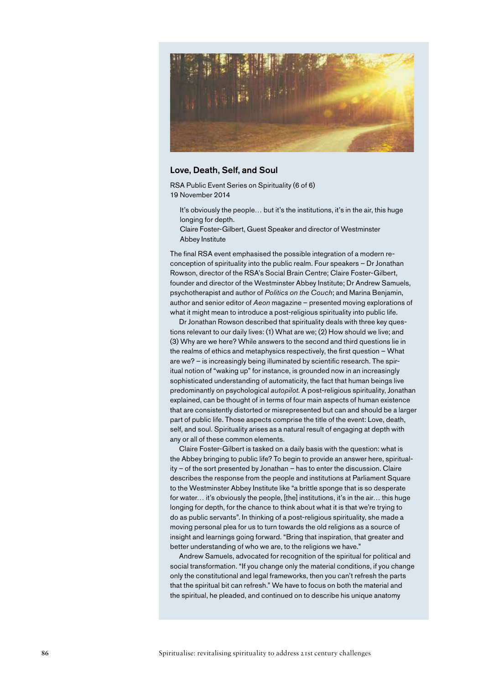

#### Love, Death, Self, and Soul

RSA Public Event Series on Spirituality (6 of 6) 19 November 2014

It's obviously the people… but it's the institutions, it's in the air, this huge longing for depth.

Claire Foster-Gilbert, Guest Speaker and director of Westminster Abbey Institute

The final RSA event emphasised the possible integration of a modern reconception of spirituality into the public realm. Four speakers – Dr Jonathan Rowson, director of the RSA's Social Brain Centre; Claire Foster-Gilbert, founder and director of the Westminster Abbey Institute; Dr Andrew Samuels, psychotherapist and author of *Politics on the Couch*; and Marina Benjamin, author and senior editor of *Aeon* magazine – presented moving explorations of what it might mean to introduce a post-religious spirituality into public life.

Dr Jonathan Rowson described that spirituality deals with three key questions relevant to our daily lives: (1) What are we; (2) How should we live; and (3) Why are we here? While answers to the second and third questions lie in the realms of ethics and metaphysics respectively, the first question – What are we? – is increasingly being illuminated by scientific research. The spiritual notion of "waking up" for instance, is grounded now in an increasingly sophisticated understanding of automaticity, the fact that human beings live predominantly on psychological *autopilot*. A post-religious spirituality, Jonathan explained, can be thought of in terms of four main aspects of human existence that are consistently distorted or misrepresented but can and should be a larger part of public life. Those aspects comprise the title of the event: Love, death, self, and soul. Spirituality arises as a natural result of engaging at depth with any or all of these common elements.

Claire Foster-Gilbert is tasked on a daily basis with the question: what is the Abbey bringing to public life? To begin to provide an answer here, spirituality – of the sort presented by Jonathan – has to enter the discussion. Claire describes the response from the people and institutions at Parliament Square to the Westminster Abbey Institute like "a brittle sponge that is so desperate for water… it's obviously the people, [the] institutions, it's in the air… this huge longing for depth, for the chance to think about what it is that we're trying to do as public servants". In thinking of a post-religious spirituality, she made a moving personal plea for us to turn towards the old religions as a source of insight and learnings going forward. "Bring that inspiration, that greater and better understanding of who we are, to the religions we have."

Andrew Samuels, advocated for recognition of the spiritual for political and social transformation. "If you change only the material conditions, if you change only the constitutional and legal frameworks, then you can't refresh the parts that the spiritual bit can refresh." We have to focus on both the material and the spiritual, he pleaded, and continued on to describe his unique anatomy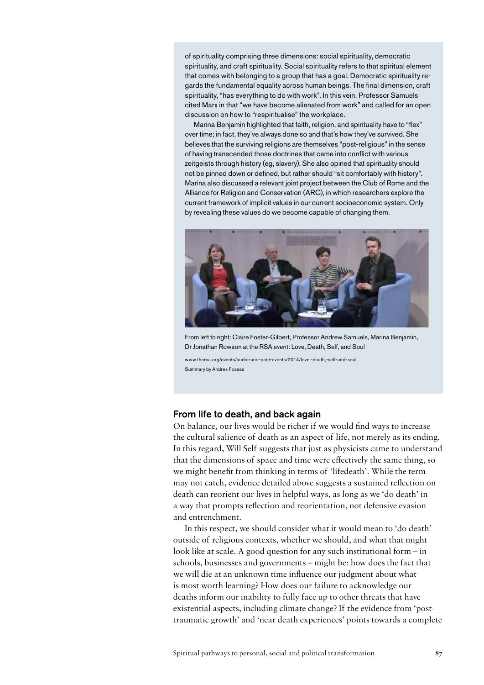of spirituality comprising three dimensions: social spirituality, democratic spirituality, and craft spirituality. Social spirituality refers to that spiritual element that comes with belonging to a group that has a goal. Democratic spirituality regards the fundamental equality across human beings. The final dimension, craft spirituality, "has everything to do with work". In this vein, Professor Samuels cited Marx in that "we have become alienated from work" and called for an open discussion on how to "respiritualise" the workplace.

Marina Benjamin highlighted that faith, religion, and spirituality have to "flex" over time; in fact, they've always done so and that's how they've survived. She believes that the surviving religions are themselves "post-religious" in the sense of having transcended those doctrines that came into conflict with various zeitgeists through history (eg, slavery). She also opined that spirituality should not be pinned down or defined, but rather should "sit comfortably with history". Marina also discussed a relevant joint project between the Club of Rome and the Alliance for Religion and Conservation (ARC), in which researchers explore the current framework of implicit values in our current socioeconomic system. Only by revealing these values do we become capable of changing them.



From left to right: Claire Foster-Gilbert, Professor Andrew Samuels, Marina Benjamin, Dr Jonathan Rowson at the RSA event: Love, Death, Self, and Soul

www.thersa.org/events/audio-and-past-events/2014/love,-death,-self-and-soul Summary by Andres Fossas

#### From life to death, and back again

On balance, our lives would be richer if we would find ways to increase the cultural salience of death as an aspect of life, not merely as its ending. In this regard, Will Self suggests that just as physicists came to understand that the dimensions of space and time were effectively the same thing, so we might benefit from thinking in terms of 'lifedeath'. While the term may not catch, evidence detailed above suggests a sustained reflection on death can reorient our lives in helpful ways, as long as we 'do death' in a way that prompts reflection and reorientation, not defensive evasion and entrenchment.

In this respect, we should consider what it would mean to 'do death' outside of religious contexts, whether we should, and what that might look like at scale. A good question for any such institutional form – in schools, businesses and governments – might be: how does the fact that we will die at an unknown time influence our judgment about what is most worth learning? How does our failure to acknowledge our deaths inform our inability to fully face up to other threats that have existential aspects, including climate change? If the evidence from 'posttraumatic growth' and 'near death experiences' points towards a complete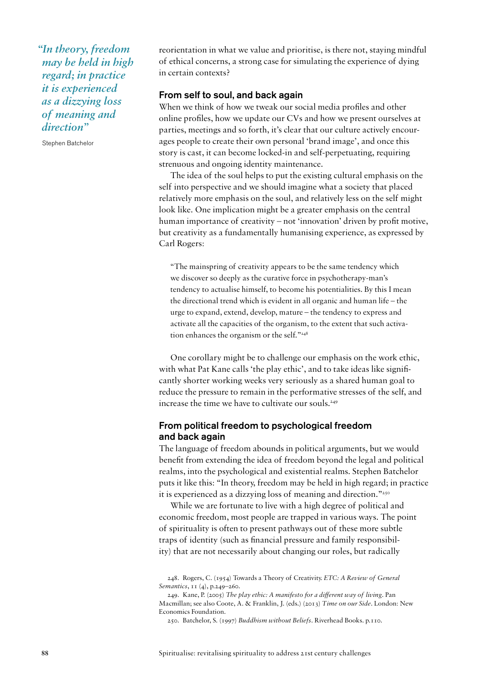*"In theory, freedom may be held in high regard; in practice it is experienced as a dizzying loss of meaning and direction"*

Stephen Batchelor

reorientation in what we value and prioritise, is there not, staying mindful of ethical concerns, a strong case for simulating the experience of dying in certain contexts?

#### From self to soul, and back again

When we think of how we tweak our social media profiles and other online profiles, how we update our CVs and how we present ourselves at parties, meetings and so forth, it's clear that our culture actively encourages people to create their own personal 'brand image', and once this story is cast, it can become locked-in and self-perpetuating, requiring strenuous and ongoing identity maintenance.

The idea of the soul helps to put the existing cultural emphasis on the self into perspective and we should imagine what a society that placed relatively more emphasis on the soul, and relatively less on the self might look like. One implication might be a greater emphasis on the central human importance of creativity – not 'innovation' driven by profit motive, but creativity as a fundamentally humanising experience, as expressed by Carl Rogers:

"The mainspring of creativity appears to be the same tendency which we discover so deeply as the curative force in psychotherapy-man's tendency to actualise himself, to become his potentialities. By this I mean the directional trend which is evident in all organic and human life – the urge to expand, extend, develop, mature – the tendency to express and activate all the capacities of the organism, to the extent that such activation enhances the organism or the self."248

One corollary might be to challenge our emphasis on the work ethic, with what Pat Kane calls 'the play ethic', and to take ideas like significantly shorter working weeks very seriously as a shared human goal to reduce the pressure to remain in the performative stresses of the self, and increase the time we have to cultivate our souls.<sup>249</sup>

#### From political freedom to psychological freedom and back again

The language of freedom abounds in political arguments, but we would benefit from extending the idea of freedom beyond the legal and political realms, into the psychological and existential realms. Stephen Batchelor puts it like this: "In theory, freedom may be held in high regard; in practice it is experienced as a dizzying loss of meaning and direction."250

While we are fortunate to live with a high degree of political and economic freedom, most people are trapped in various ways. The point of spirituality is often to present pathways out of these more subtle traps of identity (such as financial pressure and family responsibility) that are not necessarily about changing our roles, but radically

<sup>248.</sup> Rogers, C. (1954) Towards a Theory of Creativity. *ETC: A Review of General Semantics*, 11 (4), p.249–260.

<sup>249.</sup> Kane, P. (2005) *The play ethic: A manifesto for a different way of living*. Pan Macmillan; see also Coote, A. & Franklin, J. (eds.) (2013) *Time on our Side*. London: New Economics Foundation.

<sup>250.</sup> Batchelor, S. (1997) *Buddhism without Beliefs*. Riverhead Books. p.110.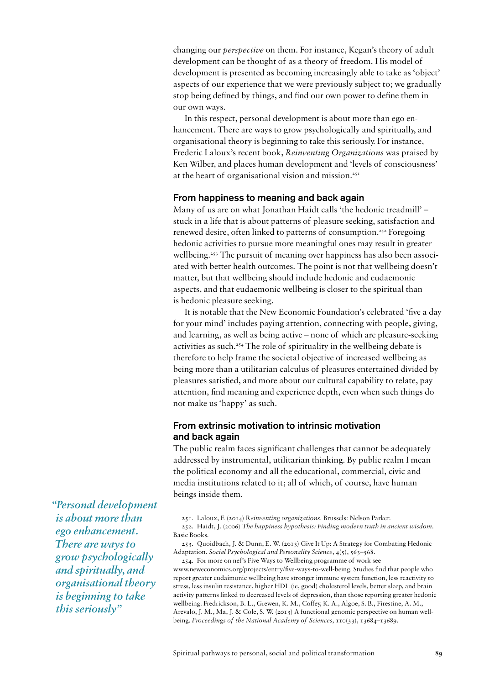changing our *perspective* on them. For instance, Kegan's theory of adult development can be thought of as a theory of freedom. His model of development is presented as becoming increasingly able to take as 'object' aspects of our experience that we were previously subject to; we gradually stop being defined by things, and find our own power to define them in our own ways.

In this respect, personal development is about more than ego enhancement. There are ways to grow psychologically and spiritually, and organisational theory is beginning to take this seriously. For instance, Frederic Laloux's recent book, *Reinventing Organizations* was praised by Ken Wilber, and places human development and 'levels of consciousness' at the heart of organisational vision and mission.251

#### From happiness to meaning and back again

Many of us are on what Jonathan Haidt calls 'the hedonic treadmill' – stuck in a life that is about patterns of pleasure seeking, satisfaction and renewed desire, often linked to patterns of consumption.252 Foregoing hedonic activities to pursue more meaningful ones may result in greater wellbeing.<sup>253</sup> The pursuit of meaning over happiness has also been associated with better health outcomes. The point is not that wellbeing doesn't matter, but that wellbeing should include hedonic and eudaemonic aspects, and that eudaemonic wellbeing is closer to the spiritual than is hedonic pleasure seeking.

It is notable that the New Economic Foundation's celebrated 'five a day for your mind' includes paying attention, connecting with people, giving, and learning, as well as being active – none of which are pleasure-seeking activities as such.254 The role of spirituality in the wellbeing debate is therefore to help frame the societal objective of increased wellbeing as being more than a utilitarian calculus of pleasures entertained divided by pleasures satisfied, and more about our cultural capability to relate, pay attention, find meaning and experience depth, even when such things do not make us 'happy' as such.

### From extrinsic motivation to intrinsic motivation and back again

The public realm faces significant challenges that cannot be adequately addressed by instrumental, utilitarian thinking. By public realm I mean the political economy and all the educational, commercial, civic and media institutions related to it; all of which, of course, have human beings inside them.

251. Laloux, F. (2014) R*einventing organizations*. Brussels: Nelson Parker.

252. Haidt, J. (2006) *The happiness hypothesis: Finding modern truth in ancient wisdom*. Basic Books.

253. Quoidbach, J. & Dunn, E. W. (2013) Give It Up: A Strategy for Combating Hedonic Adaptation. *Social Psychological and Personality Science*, 4(5), 563–568.

254. For more on nef's Five Ways to Wellbeing programme of work see www.neweconomics.org/projects/entry/five-ways-to-well-being. Studies find that people who report greater eudaimonic wellbeing have stronger immune system function, less reactivity to stress, less insulin resistance, higher HDL (ie, good) cholesterol levels, better sleep, and brain activity patterns linked to decreased levels of depression, than those reporting greater hedonic wellbeing. Fredrickson, B. L., Grewen, K. M., Coffey, K. A., Algoe, S. B., Firestine, A. M., Arevalo, J. M., Ma, J. & Cole, S. W. (2013) A functional genomic perspective on human wellbeing. *Proceedings of the National Academy of Sciences*, 110(33), 13684–13689.

*"Personal development is about more than ego enhancement. There are ways to grow psychologically and spiritually, and organisational theory is beginning to take this seriously"*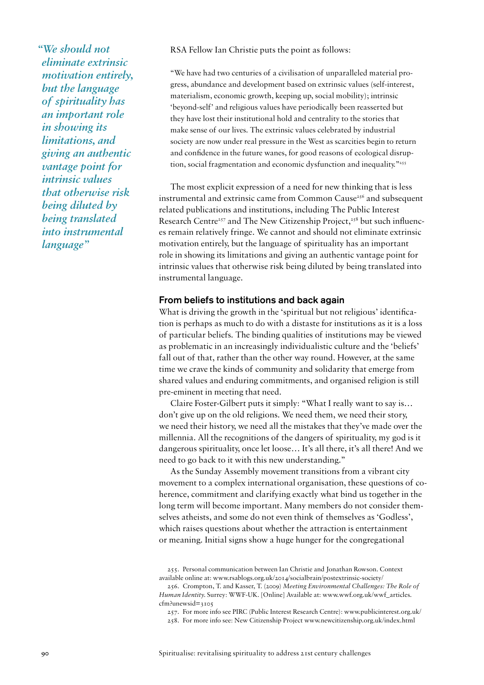*"We should not eliminate extrinsic motivation entirely, but the language of spirituality has an important role in showing its limitations, and giving an authentic vantage point for intrinsic values that otherwise risk being diluted by being translated into instrumental language"*

RSA Fellow Ian Christie puts the point as follows:

"We have had two centuries of a civilisation of unparalleled material progress, abundance and development based on extrinsic values (self-interest, materialism, economic growth, keeping up, social mobility); intrinsic 'beyond-self' and religious values have periodically been reasserted but they have lost their institutional hold and centrality to the stories that make sense of our lives. The extrinsic values celebrated by industrial society are now under real pressure in the West as scarcities begin to return and confidence in the future wanes, for good reasons of ecological disruption, social fragmentation and economic dysfunction and inequality."<sup>255</sup>

The most explicit expression of a need for new thinking that is less instrumental and extrinsic came from Common Cause<sup>256</sup> and subsequent related publications and institutions, including The Public Interest Research Centre<sup>257</sup> and The New Citizenship Project,<sup>258</sup> but such influences remain relatively fringe. We cannot and should not eliminate extrinsic motivation entirely, but the language of spirituality has an important role in showing its limitations and giving an authentic vantage point for intrinsic values that otherwise risk being diluted by being translated into instrumental language.

#### From beliefs to institutions and back again

What is driving the growth in the 'spiritual but not religious' identification is perhaps as much to do with a distaste for institutions as it is a loss of particular beliefs. The binding qualities of institutions may be viewed as problematic in an increasingly individualistic culture and the 'beliefs' fall out of that, rather than the other way round. However, at the same time we crave the kinds of community and solidarity that emerge from shared values and enduring commitments, and organised religion is still pre-eminent in meeting that need.

Claire Foster-Gilbert puts it simply: "What I really want to say is… don't give up on the old religions. We need them, we need their story, we need their history, we need all the mistakes that they've made over the millennia. All the recognitions of the dangers of spirituality, my god is it dangerous spirituality, once let loose… It's all there, it's all there! And we need to go back to it with this new understanding."

As the Sunday Assembly movement transitions from a vibrant city movement to a complex international organisation, these questions of coherence, commitment and clarifying exactly what bind us together in the long term will become important. Many members do not consider themselves atheists, and some do not even think of themselves as 'Godless', which raises questions about whether the attraction is entertainment or meaning. Initial signs show a huge hunger for the congregational

255. Personal communication between Ian Christie and Jonathan Rowson. Context available online at: www.rsablogs.org.uk/2014/socialbrain/postextrinsic-society/

<sup>256.</sup> Crompton, T. and Kasser, T. (2009) *Meeting Environmental Challenges: The Role of Human Identity.* Surrey: WWF-UK. [Online] Available at: www.wwf.org.uk/wwf\_articles.  $cfm$ ?unewsid= $2105$ 

<sup>257.</sup> For more info see PIRC (Public Interest Research Centre): www.publicinterest.org.uk/

<sup>258.</sup> For more info see: New Citizenship Project www.newcitizenship.org.uk/index.html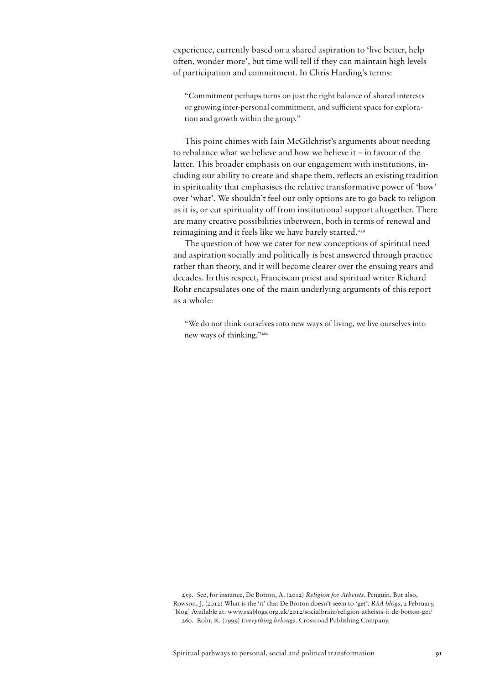experience, currently based on a shared aspiration to 'live better, help often, wonder more', but time will tell if they can maintain high levels of participation and commitment. In Chris Harding's terms:

"Commitment perhaps turns on just the right balance of shared interests or growing inter-personal commitment, and sufficient space for exploration and growth within the group."

This point chimes with Iain McGilchrist's arguments about needing to rebalance what we believe and how we believe it – in favour of the latter. This broader emphasis on our engagement with institutions, including our ability to create and shape them, reflects an existing tradition in spirituality that emphasises the relative transformative power of 'how' over 'what'. We shouldn't feel our only options are to go back to religion as it is, or cut spirituality off from institutional support altogether. There are many creative possibilities inbetween, both in terms of renewal and reimagining and it feels like we have barely started.<sup>259</sup>

The question of how we cater for new conceptions of spiritual need and aspiration socially and politically is best answered through practice rather than theory, and it will become clearer over the ensuing years and decades. In this respect, Franciscan priest and spiritual writer Richard Rohr encapsulates one of the main underlying arguments of this report as a whole:

"We do not think ourselves into new ways of living, we live ourselves into new ways of thinking."260

259. See, for instance, De Botton, A. (2012) *Religion for Atheists*. Penguin. But also, Rowson, J, (2012) What is the 'it' that De Botton doesn't seem to 'get'. *RSA blogs*, 2 February, [blog] Available at: www.rsablogs.org.uk/2012/socialbrain/religion-atheists-it-de-botton-get/ 260. Rohr, R. (1999) *Everything belongs*. Crossroad Publishing Company.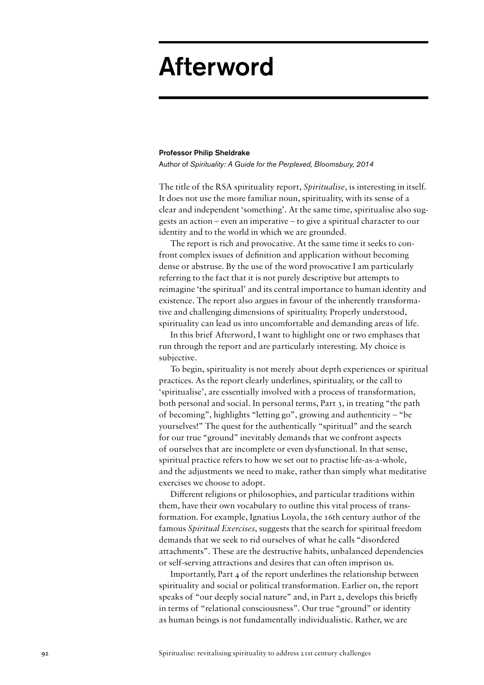## Afterword

#### Professor Philip Sheldrake

Author of *Spirituality: A Guide for the Perplexed, Bloomsbury, 2014*

The title of the RSA spirituality report, *Spiritualise*, is interesting in itself. It does not use the more familiar noun, spirituality, with its sense of a clear and independent 'something'. At the same time, spiritualise also suggests an action – even an imperative – to give a spiritual character to our identity and to the world in which we are grounded.

The report is rich and provocative. At the same time it seeks to confront complex issues of definition and application without becoming dense or abstruse. By the use of the word provocative I am particularly referring to the fact that it is not purely descriptive but attempts to reimagine 'the spiritual' and its central importance to human identity and existence. The report also argues in favour of the inherently transformative and challenging dimensions of spirituality. Properly understood, spirituality can lead us into uncomfortable and demanding areas of life.

In this brief Afterword, I want to highlight one or two emphases that run through the report and are particularly interesting. My choice is subjective.

To begin, spirituality is not merely about depth experiences or spiritual practices. As the report clearly underlines, spirituality, or the call to 'spiritualise', are essentially involved with a process of transformation, both personal and social. In personal terms, Part 3, in treating "the path of becoming", highlights "letting go", growing and authenticity – "be yourselves!" The quest for the authentically "spiritual" and the search for our true "ground" inevitably demands that we confront aspects of ourselves that are incomplete or even dysfunctional. In that sense, spiritual practice refers to how we set out to practise life-as-a-whole, and the adjustments we need to make, rather than simply what meditative exercises we choose to adopt.

Different religions or philosophies, and particular traditions within them, have their own vocabulary to outline this vital process of transformation. For example, Ignatius Loyola, the 16th century author of the famous *Spiritual Exercises,* suggests that the search for spiritual freedom demands that we seek to rid ourselves of what he calls "disordered attachments". These are the destructive habits, unbalanced dependencies or self-serving attractions and desires that can often imprison us.

Importantly, Part 4 of the report underlines the relationship between spirituality and social or political transformation. Earlier on, the report speaks of "our deeply social nature" and, in Part 2, develops this briefly in terms of "relational consciousness". Our true "ground" or identity as human beings is not fundamentally individualistic. Rather, we are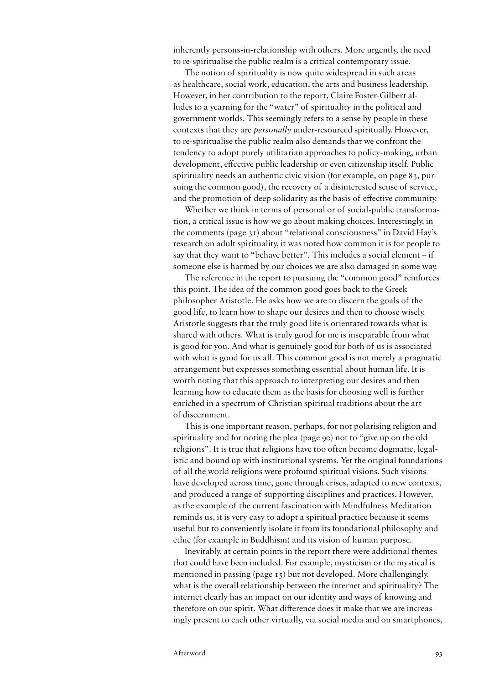inherently persons-in-relationship with others. More urgently, the need to re-spiritualise the public realm is a critical contemporary issue.

The notion of spirituality is now quite widespread in such areas as healthcare, social work, education, the arts and business leadership. However, in her contribution to the report, Claire Foster-Gilbert alludes to a yearning for the "water" of spirituality in the political and government worlds. This seemingly refers to a sense by people in these contexts that they are *personally* under-resourced spiritually. However, to re-spiritualise the public realm also demands that we confront the tendency to adopt purely utilitarian approaches to policy-making, urban development, effective public leadership or even citizenship itself. Public spirituality needs an authentic civic vision (for example, on page 83, pursuing the common good), the recovery of a disinterested sense of service, and the promotion of deep solidarity as the basis of effective community.

Whether we think in terms of personal or of social-public transformation, a critical issue is how we go about making choices. Interestingly, in the comments (page 31) about "relational consciousness" in David Hay's research on adult spirituality, it was noted how common it is for people to say that they want to "behave better". This includes a social element – if someone else is harmed by our choices we are also damaged in some way.

The reference in the report to pursuing the "common good" reinforces this point. The idea of the common good goes back to the Greek philosopher Aristotle. He asks how we are to discern the goals of the good life, to learn how to shape our desires and then to choose wisely. Aristotle suggests that the truly good life is orientated towards what is shared with others. What is truly good for me is inseparable from what is good for you. And what is genuinely good for both of us is associated with what is good for us all. This common good is not merely a pragmatic arrangement but expresses something essential about human life. It is worth noting that this approach to interpreting our desires and then learning how to educate them as the basis for choosing well is further enriched in a spectrum of Christian spiritual traditions about the art of discernment.

This is one important reason, perhaps, for not polarising religion and spirituality and for noting the plea (page 90) not to "give up on the old religions". It is true that religions have too often become dogmatic, legalistic and bound up with institutional systems. Yet the original foundations of all the world religions were profound spiritual visions. Such visions have developed across time, gone through crises, adapted to new contexts, and produced a range of supporting disciplines and practices. However, as the example of the current fascination with Mindfulness Meditation reminds us, it is very easy to adopt a spiritual practice because it seems useful but to conveniently isolate it from its foundational philosophy and ethic (for example in Buddhism) and its vision of human purpose.

Inevitably, at certain points in the report there were additional themes that could have been included. For example, mysticism or the mystical is mentioned in passing (page 15) but not developed. More challengingly, what is the overall relationship between the internet and spirituality? The internet clearly has an impact on our identity and ways of knowing and therefore on our spirit. What difference does it make that we are increasingly present to each other virtually, via social media and on smartphones,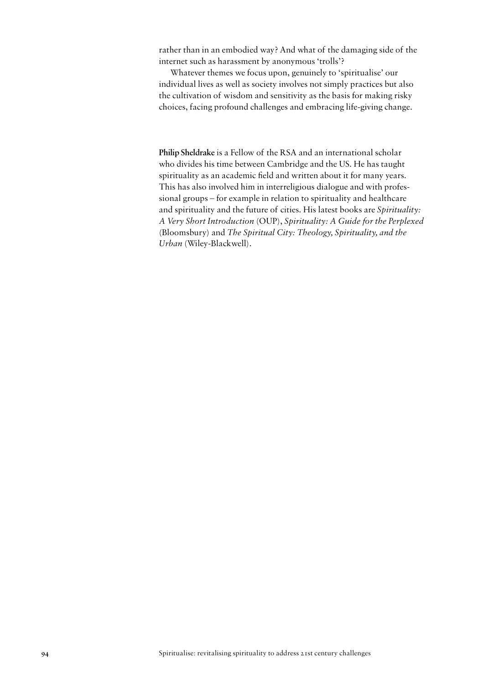rather than in an embodied way? And what of the damaging side of the internet such as harassment by anonymous 'trolls'?

Whatever themes we focus upon, genuinely to 'spiritualise' our individual lives as well as society involves not simply practices but also the cultivation of wisdom and sensitivity as the basis for making risky choices, facing profound challenges and embracing life-giving change.

**Philip Sheldrake** is a Fellow of the RSA and an international scholar who divides his time between Cambridge and the US. He has taught spirituality as an academic field and written about it for many years. This has also involved him in interreligious dialogue and with professional groups – for example in relation to spirituality and healthcare and spirituality and the future of cities. His latest books are *Spirituality: A Very Short Introduction* (OUP), *Spirituality: A Guide for the Perplexed*  (Bloomsbury) and *The Spiritual City: Theology, Spirituality, and the Urban* (Wiley-Blackwell).